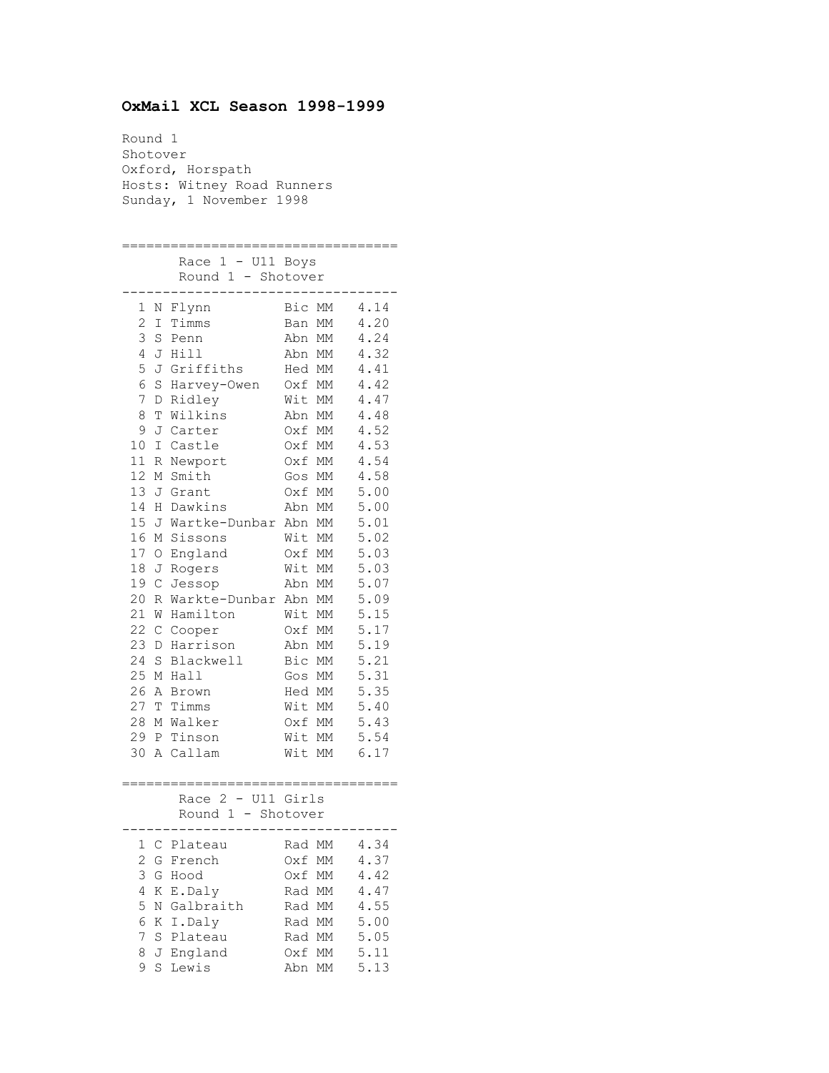## **OxMail XCL Season 1998-1999**

Round 1 Shotover Oxford, Horspath Hosts: Witney Road Runners Sunday, 1 November 1998

================================== Race 1 - U11 Boys Round 1 - Shotover ---------------------------------- 1 N Flynn Bic MM 4.14 2 I Timms Ban MM 4.20<br>3 S Penn Abn MM 4.24<br>4 T Uill Abn MM 4.32 Abn MM 4.24 4 J Hill Abn MM 4.32 5 J Griffiths Hed MM 4.41 6 S Harvey-Owen Oxf MM 4.42 7 D Ridley Wit MM 4.47 8 T Wilkins Abn MM 4.48 9 J Carter Oxf MM 4.52 10 I Castle Oxf MM 4.53 11 R Newport Oxf MM 4.54 12 M Smith Gos MM 4.58 13 J Grant Oxf MM 5.00 14 H Dawkins Abn MM 5.00 15 J Wartke-Dunbar Abn MM 5.01 16 M Sissons Wit MM 5.02 17 O England Oxf MM 5.03 18 J Rogers Wit MM 5.03 19 C Jessop Abn MM 5.07 20 R Warkte-Dunbar Abn MM 5.09 21 W Hamilton Wit MM 5.15 22 C Cooper Oxf MM 5.17 23 D Harrison Abn MM 5.19 24 S Blackwell Bic MM 5.21 25 M Hall Gos MM 5.31 26 A Brown Hed MM 5.35 27 T Timms Wit MM 5.40 28 M Walker Oxf MM 5.43 29 P Tinson Wit MM 5.54 30 A Callam Wit MM 6.17 ================================== Race 2 - U11 Girls Round 1 - Shotover ---------------------------------- 1 C Plateau Rad MM 4.34 2 G French Oxf MM 4.37 3 G Hood Oxf MM 4.42 4 K E.Daly Rad MM 4.47 5 N Galbraith Rad MM 4.55 6 K I.Daly Rad MM 5.00 7 S Plateau Rad MM 5.05 8 J England Oxf MM 5.11 9 S Lewis Abn MM 5.13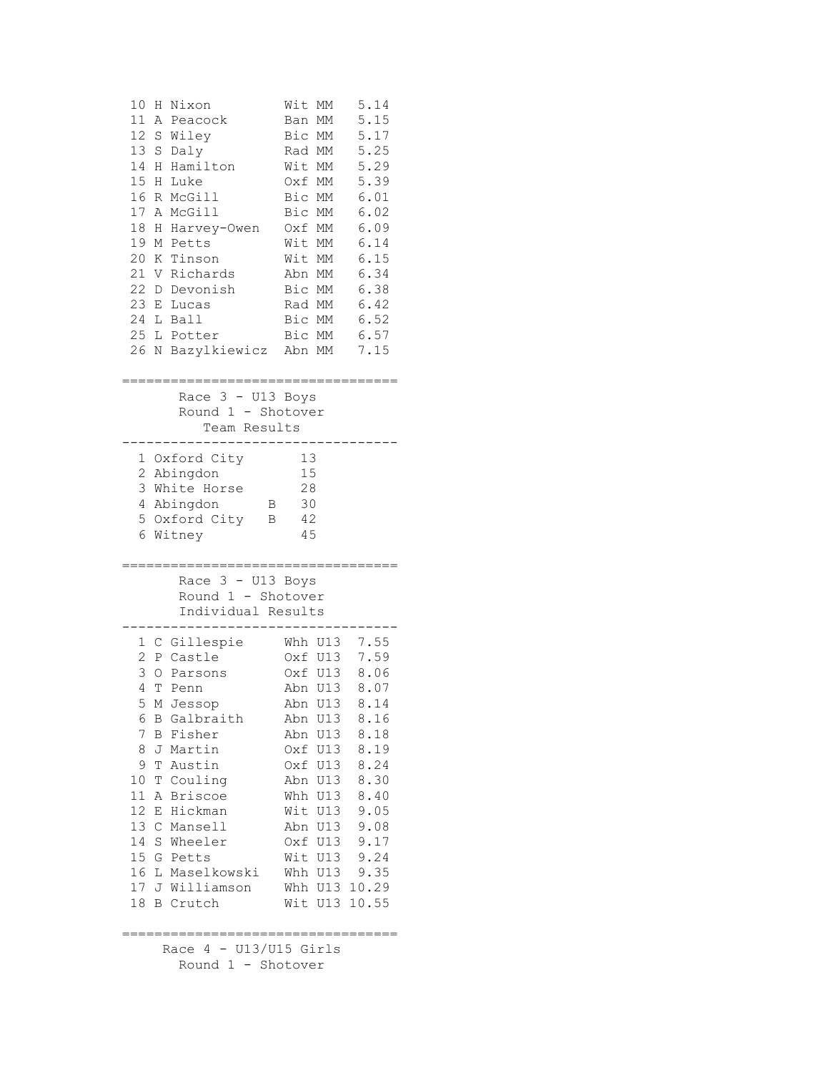| 10<br>H Nixon<br>11<br>Α<br>Peacock<br>12<br>S Wiley<br>13<br>S Daly<br>Hamilton<br>14<br>Н<br>15<br>Luke<br>Η<br>16<br>R McGill<br>17<br>A McGill<br>18<br>Harvey-Owen<br>Η<br>19<br>M Petts<br>20<br>K Tinson<br>21 V Richards<br>22 D Devonish<br>23 E Lucas<br>24 L Ball<br>25 L Potter<br>26<br>N Bazylkiewicz                                                                  | Wit<br>МM<br>Ban<br>МM<br>Bic MM<br>Rad MM<br>Wit MM<br>Oxf MM<br>Bic MM<br>Bic<br>МM<br>Oxf<br>МM<br>Wit<br>MM<br>Wit MM<br>Abn MM<br>Bic MM<br>Rad MM<br>Bic MM<br>Bic MM<br>Abn MM                      | 5.14<br>5.15<br>5.17<br>5.25<br>5.29<br>5.39<br>6.01<br>6.02<br>6.09<br>6.14<br>6.15<br>6.34<br>6.38<br>6.42<br>6.52<br>6.57<br>7.15               |  |  |  |
|--------------------------------------------------------------------------------------------------------------------------------------------------------------------------------------------------------------------------------------------------------------------------------------------------------------------------------------------------------------------------------------|------------------------------------------------------------------------------------------------------------------------------------------------------------------------------------------------------------|----------------------------------------------------------------------------------------------------------------------------------------------------|--|--|--|
| ;==================================<br>Race $3 - U13$ Boys<br>Round 1 - Shotover<br>Team Results                                                                                                                                                                                                                                                                                     |                                                                                                                                                                                                            |                                                                                                                                                    |  |  |  |
| 1 Oxford City<br>2<br>Abingdon<br>3 White Horse<br>4 Abingdon<br>Β<br>5 Oxford City<br>В<br>6<br>Witney                                                                                                                                                                                                                                                                              | 13<br>15<br>28<br>30<br>42<br>45                                                                                                                                                                           |                                                                                                                                                    |  |  |  |
| Race $3 - U13$ Boys<br>Round 1 - Shotover<br>Individual Results                                                                                                                                                                                                                                                                                                                      |                                                                                                                                                                                                            |                                                                                                                                                    |  |  |  |
| 1 C Gillespie<br>2<br>P Castle<br>3<br>O<br>Parsons<br>4<br>T<br>Penn<br>5<br>M Jessop<br>6<br>B Galbraith<br>7<br><b>B</b> Fisher<br>J Martin<br>8<br>9<br>T<br>Austin<br>T Couling<br>10<br>11<br>A Briscoe<br>12<br>Е<br>Hickman<br>13 C Mansell<br>14 S Wheeler<br>15 G Petts<br>L Maselkowski<br>16<br>17 J Williamson<br><b>B</b> Crutch<br>18<br>.=========================== | Whh U13<br>Oxf U13<br>Oxf U13<br>U13<br>Abn<br>Abn U13<br>Abn U13<br>Abn U13<br>Oxf U13<br>Oxf U13<br>Abn<br>U13<br>Whh<br>U13<br>Wit U13<br>Abn U13<br>Oxf U13<br>Wit U13<br>Whh U13<br>Whh<br>Wit<br>U13 | 7.55<br>7.59<br>8.06<br>8.07<br>8.14<br>8.16<br>8.18<br>8.19<br>8.24<br>8.30<br>8.40<br>9.05<br>9.08<br>9.17<br>9.24<br>9.35<br>U13 10.29<br>10.55 |  |  |  |
| Race $4 - U13/U15$ Girls<br>Round 1 - Shotover                                                                                                                                                                                                                                                                                                                                       |                                                                                                                                                                                                            |                                                                                                                                                    |  |  |  |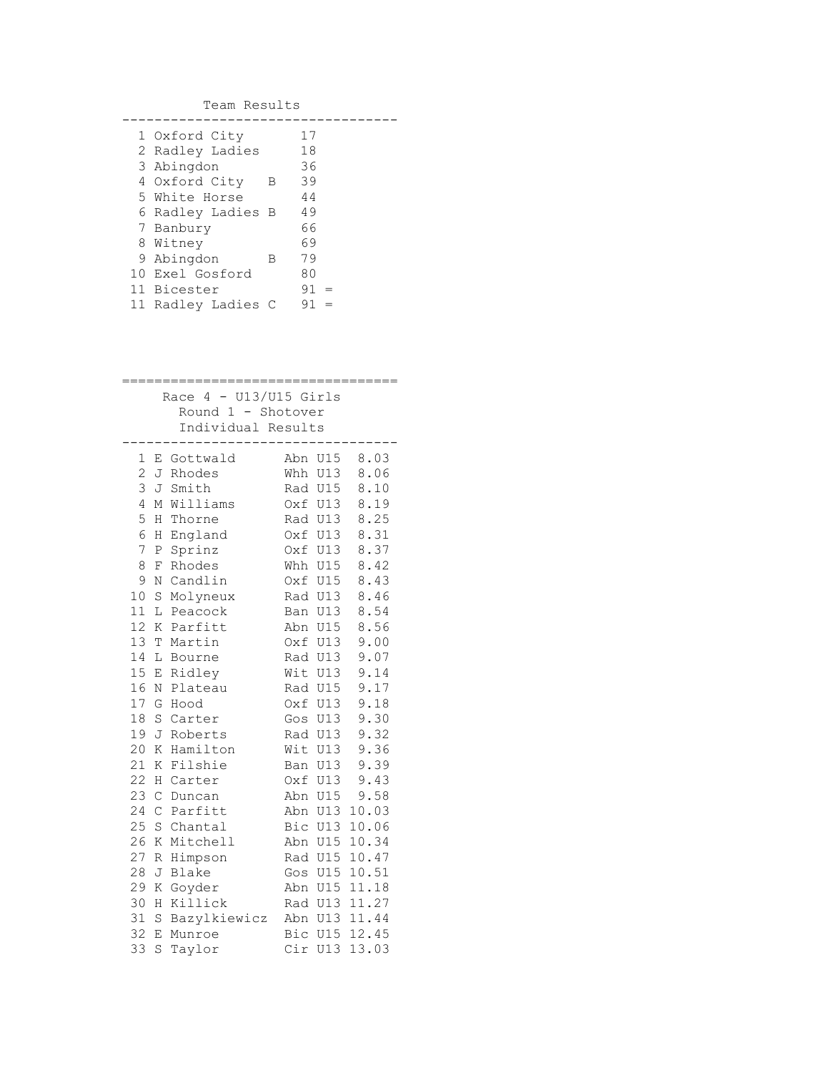| Team Results |                    |   |    |  |  |  |
|--------------|--------------------|---|----|--|--|--|
|              | 1 Oxford City      |   | 17 |  |  |  |
|              | 2 Radley Ladies    |   | 18 |  |  |  |
|              | 3 Abingdon         |   | 36 |  |  |  |
|              | 4 Oxford City      | В | 39 |  |  |  |
|              | 5 White Horse      |   | 44 |  |  |  |
|              | 6 Radley Ladies B  |   | 49 |  |  |  |
|              | 7 Banbury          |   | 66 |  |  |  |
|              | 8 Witney           |   | 69 |  |  |  |
|              | 9 Abingdon         | В | 79 |  |  |  |
|              | 10 Exel Gosford    |   | 80 |  |  |  |
|              | 11 Bicester        |   | 91 |  |  |  |
|              | 11 Radley Ladies C |   | 91 |  |  |  |

|                                                |              | ;======================<br>:======== <b>:</b> |     |         |       |
|------------------------------------------------|--------------|-----------------------------------------------|-----|---------|-------|
| Race $4 - U13/U15$ Girls<br>Round 1 - Shotover |              |                                               |     |         |       |
|                                                |              | Individual Results                            |     |         |       |
|                                                |              |                                               |     |         |       |
| 1                                              | Е            | Gottwald                                      | Abn | U15     | 8.03  |
| $\overline{c}$                                 | J            | Rhodes                                        | Whh | U13     | 8.06  |
| 3                                              | J            | Smith                                         |     | Rad U15 | 8.10  |
| 4                                              | М            | Williams                                      |     | Oxf U13 | 8.19  |
| 5                                              | Η            | Thorne                                        |     | Rad U13 | 8.25  |
| 6                                              | Η            | England                                       |     | Oxf U13 | 8.31  |
| 7                                              | Ρ            | Sprinz                                        | Oxf | U13     | 8.37  |
| 8                                              | F            | Rhodes                                        |     | Whh U15 | 8.42  |
| 9                                              | Ν            | Candlin                                       |     | Oxf U15 | 8.43  |
| 10                                             | S            | Molyneux                                      |     | Rad U13 | 8.46  |
| 11                                             | L            | Peacock                                       | Ban | U13     | 8.54  |
| 12                                             | Κ            | Parfitt                                       |     | Abn U15 | 8.56  |
| 13                                             | T            | Martin                                        |     | Oxf U13 | 9.00  |
| 14                                             | L            | Bourne                                        |     | Rad U13 | 9.07  |
| 15                                             | E            | Ridley                                        | Wit | U13     | 9.14  |
| 16                                             | N            | Plateau                                       |     | Rad U15 | 9.17  |
| 17                                             | G            | Hood                                          | Oxf | U13     | 9.18  |
| 18                                             | S            | Carter                                        | Gos | U13     | 9.30  |
| 19                                             | J            | Roberts                                       |     | Rad U13 | 9.32  |
| 20                                             | Κ            | Hamilton                                      | Wit | U13     | 9.36  |
| 21                                             | Κ            | Filshie                                       | Ban | U13     | 9.39  |
| 22                                             | Н            | Carter                                        | Oxf | U13     | 9.43  |
| 23                                             | $\mathsf{C}$ | Duncan                                        | Abn | U15     | 9.58  |
| 24                                             | $\mathsf{C}$ | Parfitt                                       |     | Abn U13 | 10.03 |
| 25                                             | S            | Chantal                                       |     | Bic U13 | 10.06 |
| 26                                             | Κ            | Mitchell                                      |     | Abn U15 | 10.34 |
| 27                                             | R            | Himpson                                       |     | Rad U15 | 10.47 |
| 28                                             | J            | Blake                                         |     | Gos U15 | 10.51 |
| 29                                             | Κ            | Goyder                                        |     | Abn U15 | 11.18 |
| 30                                             | Η            | Killick                                       |     | Rad U13 | 11.27 |
| 31                                             | $\rm S$      | Bazylkiewicz                                  |     | Abn U13 | 11.44 |
| 32                                             | E            | Munroe                                        |     | Bic U15 | 12.45 |
| 33                                             | S            | Taylor                                        | Cir | U13     | 13.03 |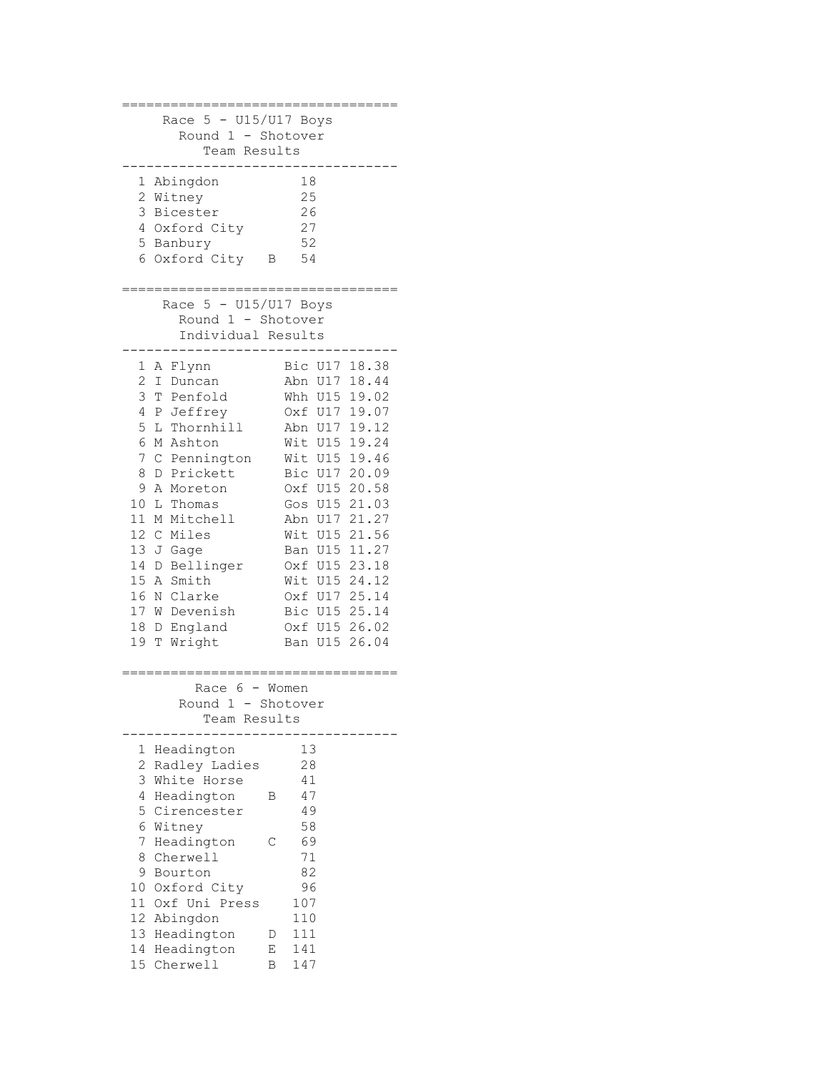| Race $5 - U15/U17$ Boys<br>Round 1 - Shotover<br>Team Results                                                                                                                                                                                                                                                                                                                                                                                |                                                                                                                                                                                                                                                                                                                                                                                                                                                |
|----------------------------------------------------------------------------------------------------------------------------------------------------------------------------------------------------------------------------------------------------------------------------------------------------------------------------------------------------------------------------------------------------------------------------------------------|------------------------------------------------------------------------------------------------------------------------------------------------------------------------------------------------------------------------------------------------------------------------------------------------------------------------------------------------------------------------------------------------------------------------------------------------|
| 1<br>Abingdon<br>2<br>Witney<br>3<br>Bicester<br>4<br>Oxford City<br>5<br>Banbury<br>6<br>Oxford City                                                                                                                                                                                                                                                                                                                                        | 18<br>25<br>26<br>27<br>52<br>54<br>В                                                                                                                                                                                                                                                                                                                                                                                                          |
| Race $5 - U15/U17$ Boys<br>Round 1 - Shotover<br>Individual Results                                                                                                                                                                                                                                                                                                                                                                          |                                                                                                                                                                                                                                                                                                                                                                                                                                                |
| A Flynn<br>1<br>2<br>$\mathbbm{I}$<br>Duncan<br>3<br>Т<br>Penfold<br>4<br>Ρ<br>Jeffrey<br>5<br>L Thornhill<br>6<br>М<br>Ashton<br>7<br>$\mathcal{C}$<br>Pennington<br>8<br>Prickett<br>D<br>9<br>Α<br>Moreton<br>10<br>L<br>Thomas<br>11<br>Mitchell<br>М<br>12<br>Miles<br>$\mathcal{C}$<br>13<br>J<br>Gage<br>14<br>Bellinger<br>D<br>15<br>Smith<br>Α<br>16<br>Clarke<br>Ν<br>17<br>W Devenish<br>18<br>England<br>D<br>19<br>Wright<br>Τ | Bic U17 18.38<br><b>U17</b><br>18.44<br>Abn<br><b>U15</b><br>19.02<br>Whh<br><b>U17</b><br>Oxf<br>19.07<br>Abn<br>U17 19.12<br>Wit<br>U15 19.24<br>19.46<br>Wit<br>U15<br>20.09<br>Bic<br>U17<br>20.58<br>U15<br>Oxf<br>21.03<br>Gos<br>U15<br>21.27<br>U17<br>Abn<br>21.56<br>Wit<br>U15<br>11.27<br>U15<br>Ban<br>U15 23.18<br>Oxf<br>Wit<br>U15 24.12<br>25.14<br>U17<br>Oxf<br>U15 25.14<br>Bic<br>U15 26.02<br>Oxf<br>26.04<br>U15<br>Ban |
| Race 6<br>Round 1<br>$\overline{\phantom{a}}$<br>Team Results                                                                                                                                                                                                                                                                                                                                                                                | - Women<br>Shotover                                                                                                                                                                                                                                                                                                                                                                                                                            |
| Headington<br>1<br>2<br>Radley Ladies<br>3<br>White Horse<br>4<br>Headington<br>5<br>Cirencester<br>6<br>Witney<br>7<br>Headington<br>8<br>Cherwell<br>9<br>Bourton<br>10<br>Oxford City<br>11<br>Oxf Uni Press<br>12<br>Abingdon<br>13<br>Headington<br>14<br>Headington<br>15 Cherwell                                                                                                                                                     | 13<br>28<br>41<br>47<br>В<br>49<br>58<br>69<br>С<br>71<br>82<br>96<br>107<br>110<br>111<br>D<br>141<br>Ε<br>147<br>В                                                                                                                                                                                                                                                                                                                           |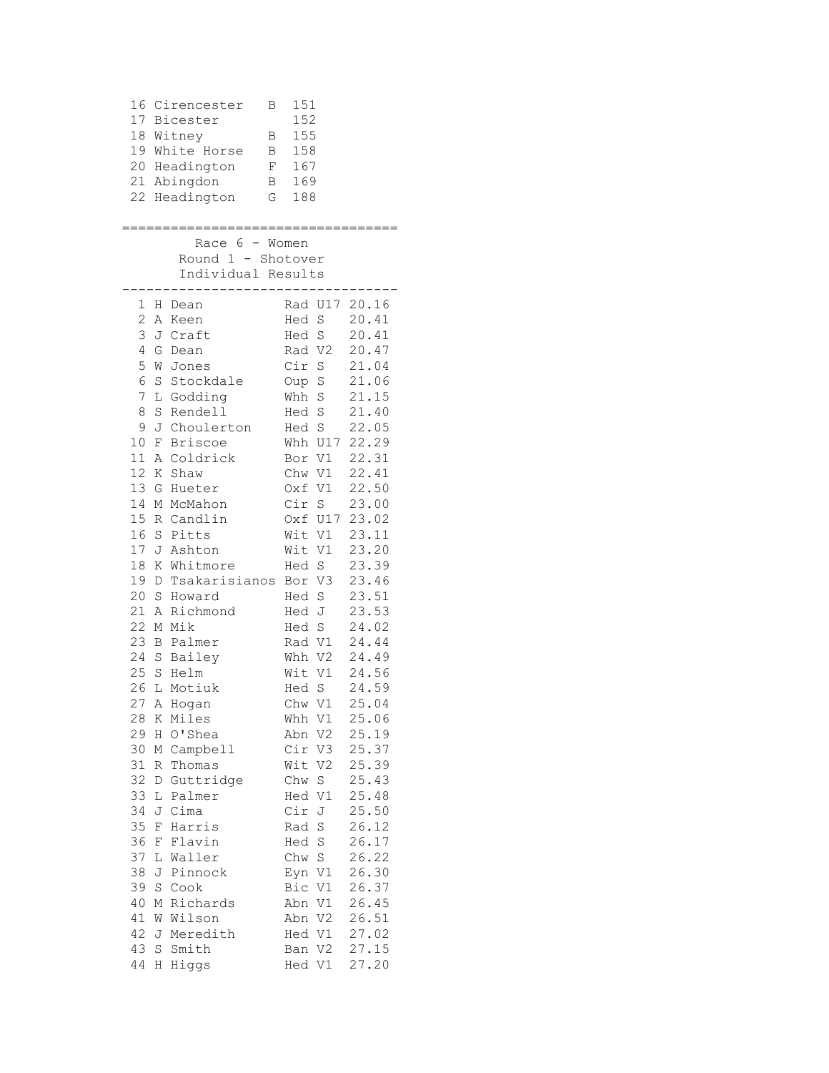| 16<br>18     |             | Cirencester<br>Β<br>17 Bicester<br>Witney<br>В<br>19 White Horse<br>Β<br>20 Headington<br>F<br>21 Abingdon<br>Β<br>22 Headington<br>G | 151<br>152<br>155<br>158<br>167<br>169<br>188 |                |
|--------------|-------------|---------------------------------------------------------------------------------------------------------------------------------------|-----------------------------------------------|----------------|
|              |             | ;==============================                                                                                                       |                                               |                |
|              |             | Race 6 - Women                                                                                                                        |                                               |                |
|              |             | Round 1 - Shotover                                                                                                                    |                                               |                |
|              |             | Individual Results<br>. _ _ _ _ _ _                                                                                                   | . <u>.</u> .                                  |                |
|              |             | 1 H Dean                                                                                                                              | Rad U17 20.16                                 |                |
| $\mathbf{2}$ | A           | Keen                                                                                                                                  | Hed S                                         | 20.41          |
| 3            |             | J Craft                                                                                                                               | Hed S                                         | 20.41          |
| 4            |             | G Dean                                                                                                                                | Rad V2                                        | 20.47          |
| 5            |             | W Jones                                                                                                                               | Cir S                                         | 21.04          |
| 6            |             | S Stockdale                                                                                                                           | Oup S                                         | 21.06          |
| 7            | L           | Godding                                                                                                                               | Whh S                                         | 21.15          |
| 8            | S           | Rendell                                                                                                                               | S<br>Hed                                      | 21.40          |
| 9            | J           | Choulerton                                                                                                                            | Hed S                                         | 22.05<br>22.29 |
| 10<br>11     | F<br>Α      | <b>Briscoe</b><br>Coldrick                                                                                                            | Whh U17<br>Bor V1                             | 22.31          |
| 12           | Κ           | Shaw                                                                                                                                  | Chw V1                                        | 22.41          |
| 13           | G           | Hueter                                                                                                                                | Oxf V1                                        | 22.50          |
| 14           |             | M McMahon                                                                                                                             | Cir S                                         | 23.00          |
| 15           |             | R Candlin                                                                                                                             | Oxf U17                                       | 23.02          |
| 16           | $\rm S$     | Pitts                                                                                                                                 | Wit V1                                        | 23.11          |
| 17           |             | J Ashton                                                                                                                              | Wit V1                                        | 23.20          |
| 18           | Κ           | Whitmore                                                                                                                              | Hed S                                         | 23.39          |
| 19           |             | D Tsakarisianos                                                                                                                       | Bor V3                                        | 23.46          |
| 20           | $\mathbf S$ | Howard                                                                                                                                | Hed S                                         | 23.51          |
| 21           | Α           | Richmond                                                                                                                              | Hed J                                         | 23.53          |
| 22           |             | M Mik                                                                                                                                 | Hed S                                         | 24.02          |
| 23           |             | <b>B</b> Palmer                                                                                                                       | Rad V1                                        | 24.44          |
| 24           |             | S Bailey<br>25 S Helm                                                                                                                 | Whh V2                                        | 24.49          |
| 26           |             | L Motiuk                                                                                                                              | Wit V1<br>Hed<br>S                            | 24.56<br>24.59 |
|              |             | 27 A Hogan                                                                                                                            | Chw V1                                        | 25.04          |
| 28           |             | K Miles                                                                                                                               | Whh V1                                        | 25.06          |
| 29           | Η           | O'Shea                                                                                                                                | Abn V2                                        | 25.19          |
| 30           |             | M Campbell                                                                                                                            | Cir V3                                        | 25.37          |
| 31           | R           | Thomas                                                                                                                                | Wit V2                                        | 25.39          |
| 32           |             | D Guttridge                                                                                                                           | Chw S                                         | 25.43          |
| 33           | L           | Palmer                                                                                                                                | Hed V1                                        | 25.48          |
| 34           | J           | Cima                                                                                                                                  | Cir J                                         | 25.50          |
| 35           | F           | Harris                                                                                                                                | S<br>Rad                                      | 26.12          |
| 36           | F           | Flavin                                                                                                                                | $\rm S$<br>Hed                                | 26.17          |
| 37           | L           | Waller                                                                                                                                | Chw S                                         | 26.22          |
| 38<br>39     | J<br>S      | Pinnock<br>Cook                                                                                                                       | Eyn V1<br>Bic V1                              | 26.30<br>26.37 |
| 40           |             | M Richards                                                                                                                            | Abn V1                                        | 26.45          |
| 41           |             | W Wilson                                                                                                                              | V <sub>2</sub><br>Abn                         | 26.51          |
| 42           |             | J Meredith                                                                                                                            | Hed V1                                        | 27.02          |
| 43           | S           | Smith                                                                                                                                 | Ban V2                                        | 27.15          |
| 44           | H           | Higgs                                                                                                                                 | Hed V1                                        | 27.20          |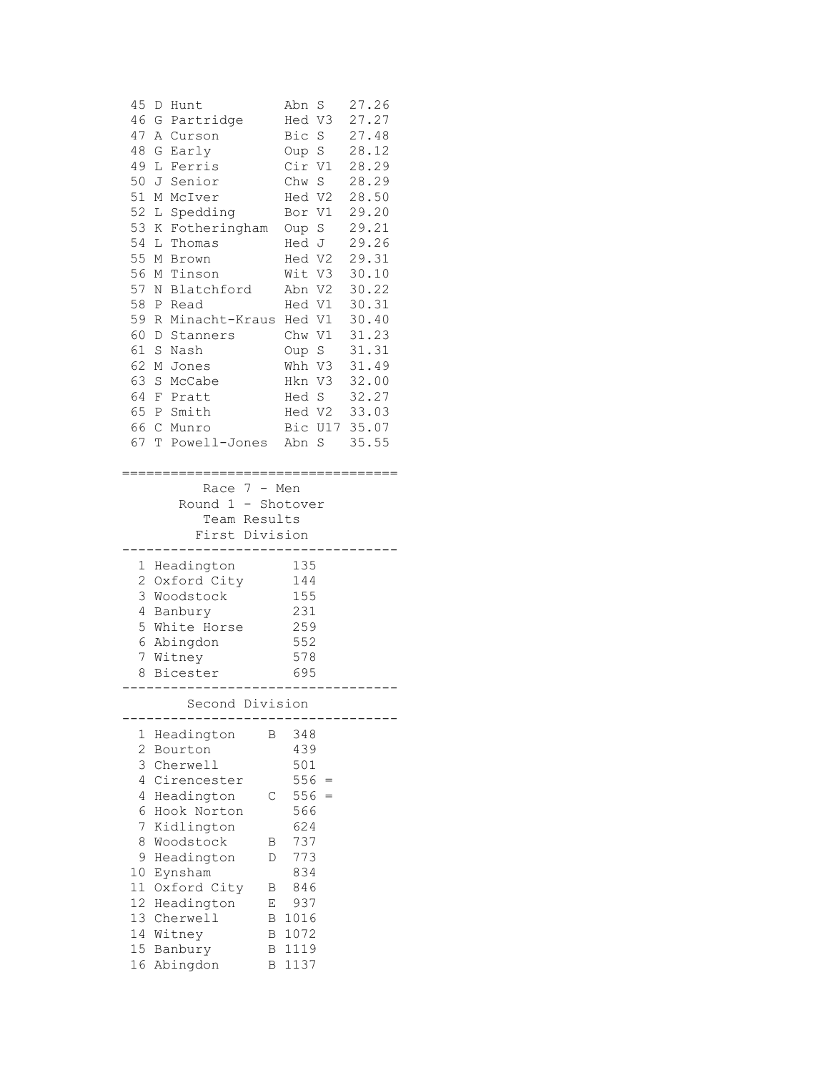|                | 45 D Hunt                       |   | Abn S         | 27.26 |
|----------------|---------------------------------|---|---------------|-------|
|                | 46 G Partridge                  |   | Hed V3 27.27  |       |
| 47             | A Curson                        |   | Bic S 27.48   |       |
| 48             | G Early                         |   | Oup S 28.12   |       |
|                | 49 L Ferris                     |   | Cir V1 28.29  |       |
|                | 50 J Senior                     |   | Chw S 28.29   |       |
|                | 51 M McIver                     |   | Hed V2 28.50  |       |
|                | 52 L Spedding                   |   | Bor V1 29.20  |       |
|                | 53 K Fotheringham Oup S         |   |               | 29.21 |
|                | 54 L Thomas                     |   | Hed J         | 29.26 |
|                | 55 M Brown                      |   | Hed V2 29.31  |       |
|                | 56 M Tinson                     |   | Wit V3 30.10  |       |
|                | 57 N Blatchford                 |   |               |       |
|                |                                 |   | Abn V2 30.22  |       |
|                | 58 P Read                       |   | Hed V1 30.31  |       |
|                | 59 R Minacht-Kraus Hed V1 30.40 |   |               |       |
| 60             | D Stanners                      |   | Chw V1 31.23  |       |
| 61             | S Nash                          |   | Oup S         | 31.31 |
|                | 62 M Jones                      |   | Whh V3        | 31.49 |
|                | 63 S McCabe                     |   | Hkn V3 32.00  |       |
|                | 64 F Pratt                      |   | Hed S 32.27   |       |
|                | 65 P Smith                      |   | Hed V2 33.03  |       |
|                | 66 C Munro                      |   | Bic U17 35.07 |       |
|                | 67 T Powell-Jones Abn S 35.55   |   |               |       |
|                | First Division                  |   | ------------  |       |
|                | 1 Headington                    |   | 135           |       |
|                | 2 Oxford City 144               |   |               |       |
|                | 3 Woodstock                     |   | 155           |       |
|                | 4 Banbury                       |   | 231           |       |
|                | 5 White Horse                   |   | 259<br>552    |       |
|                | 6 Abingdon                      |   |               |       |
|                | 7 Witney                        |   | 578           |       |
|                | 8 Bicester                      |   | 695           |       |
|                | Second Division                 |   |               |       |
| 1              | Headington                      | Β | 348           |       |
| $\overline{2}$ | Bourton                         |   | 439           |       |
| 3              | Cherwell                        |   | 501           |       |
| 4              | Cirencester                     |   | $556 =$       |       |
| 4              | Headington                      | C | $556 =$       |       |
| 6              | Hook Norton                     |   | 566           |       |
| 7              | Kidlington                      |   | 624           |       |
| 8              | Woodstock                       | Β | 737           |       |
| 9              | Headington                      | D | 773           |       |
| 10             | Eynsham                         |   | 834           |       |
|                |                                 |   |               |       |
| 11             | Oxford City                     | Β | 846           |       |
| 12             | Headington                      | Ε | 937           |       |
| 13             | Cherwell                        | В | 1016          |       |
| 14<br>15       | Witney                          | В | 1072          |       |
|                | Banbury                         | В | 1119<br>1137  |       |
| 16             | Abingdon                        | В |               |       |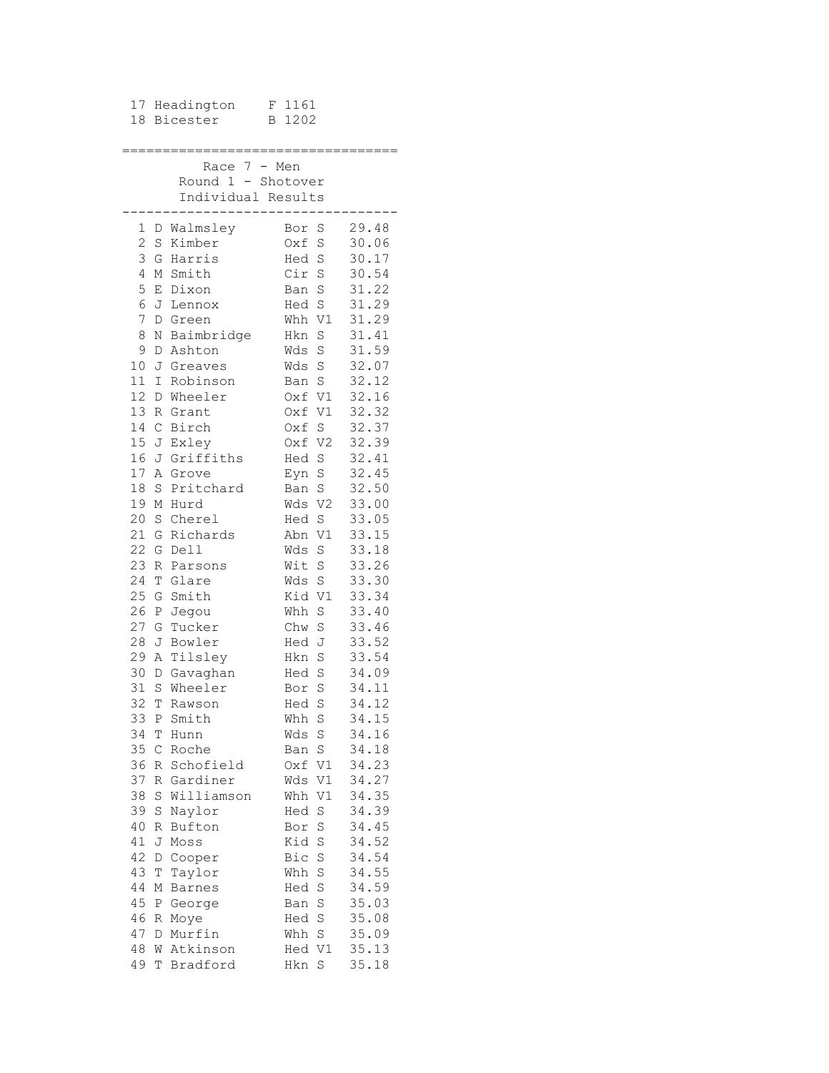| 17             |               | Headington         | 1161<br>F             |       |
|----------------|---------------|--------------------|-----------------------|-------|
| 18             |               | Bicester           | 1202<br>В             |       |
|                |               |                    |                       |       |
|                |               |                    |                       |       |
|                |               | 7<br>Race          | Men<br>$-$            |       |
|                |               | Round 1            | - Shotover            |       |
|                |               |                    |                       |       |
|                |               | Individual Results |                       |       |
|                |               |                    | $- - - - -$           |       |
| 1              |               | D Walmsley         | Bor<br>S              | 29.48 |
| $\overline{c}$ | S             | Kimber             | S<br>0xf              | 30.06 |
| 3              | G             | Harris             | Hed<br>$\rm S$        | 30.17 |
| 4              | М             | Smith              | Cir S                 | 30.54 |
| 5              | Е             | Dixon              | Ban S                 | 31.22 |
| 6              | J             | Lennox             | Hed S                 | 31.29 |
| 7              | D             | Green              | V1<br>Whh             | 31.29 |
| 8              | Ν             | Baimbridge         | S<br>Hkn              | 31.41 |
| 9              | D             | Ashton             | S<br>Wds              | 31.59 |
| 10             | J             | Greaves            | $\rm S$<br>Wds        | 32.07 |
| 11             | I             | Robinson           | S<br>Ban              | 32.12 |
| 12             | D             | Wheeler            | V1<br>Oxf             | 32.16 |
| 13             |               | Grant              | Oxf<br>V1             | 32.32 |
| 14             | R             |                    |                       |       |
|                | $\mathsf C$   | Birch              | Oxf S                 | 32.37 |
| 15             | J             | Exley              | V <sub>2</sub><br>Oxf | 32.39 |
| 16             | J             | Griffiths          | Hed S                 | 32.41 |
| 17             | Α             | Grove              | $\mathbf S$<br>Eyn    | 32.45 |
| 18             | S             | Pritchard          | Ban<br>S              | 32.50 |
| 19             | Μ             | Hurd               | Wds<br>V <sub>2</sub> | 33.00 |
| 20             | $\mathbf S$   | Cherel             | S<br>Hed              | 33.05 |
| 21             | G             | Richards           | V1<br>Abn             | 33.15 |
| 22             | G             | Dell               | Wds<br>$\rm S$        | 33.18 |
| 23             | R             | Parsons            | Wit<br>S              | 33.26 |
| 24             | Т             | Glare              | S<br>Wds              | 33.30 |
| 25             | G             | Smith              | Kid<br>V1             | 33.34 |
| 26             | Ρ             | Jegou              | Whh<br>S              | 33.40 |
| 27             | G             | Tucker             | Chw<br>S              | 33.46 |
| 28             | J             | Bowler             | J<br>Hed              | 33.52 |
| 29             | Α             | Tilsley            | $\rm S$<br>Hkn        | 33.54 |
| 30             | D             | Gavaghan           | S<br>Hed              | 34.09 |
| 31             | S             | Wheeler            | S<br>Bor              | 34.11 |
| 32             | Т             | Rawson             | S<br>Hed              | 34.12 |
| 33             | Ρ             | Smith              | Whh<br>S              | 34.15 |
| 34             | Τ             | Hunn               | $\rm S$<br>Wds        | 34.16 |
| 35             | $\mathcal{C}$ | Roche              | $\rm S$<br>Ban        | 34.18 |
| 36             | R             | Schofield          | V1<br>Oxf             | 34.23 |
| 37             | R             | Gardiner           | V1<br>Wds             | 34.27 |
| 38             | S             | Williamson         | V1<br>Whh             | 34.35 |
| 39             | S             | Naylor             | S<br>Hed              | 34.39 |
|                |               |                    |                       | 34.45 |
| 40             | R             | Bufton             | S<br>Bor              |       |
| 41             | J             | Moss               | Kid<br>$\rm S$        | 34.52 |
| 42             | D             | Cooper             | S<br>Bic              | 34.54 |
| 43             | Τ             | Taylor             | S<br>Whh              | 34.55 |
| 44             | М             | <b>Barnes</b>      | S<br>Hed              | 34.59 |
| 45             | Ρ             | George             | S<br>Ban              | 35.03 |
| 46             | R             | Moye               | S<br>Hed              | 35.08 |
| 47             | D             | Murfin             | S<br>Whh              | 35.09 |
| 48             | W             | Atkinson           | V1<br>Hed             | 35.13 |
| 49             | Т             | Bradford           | Hkn<br>S              | 35.18 |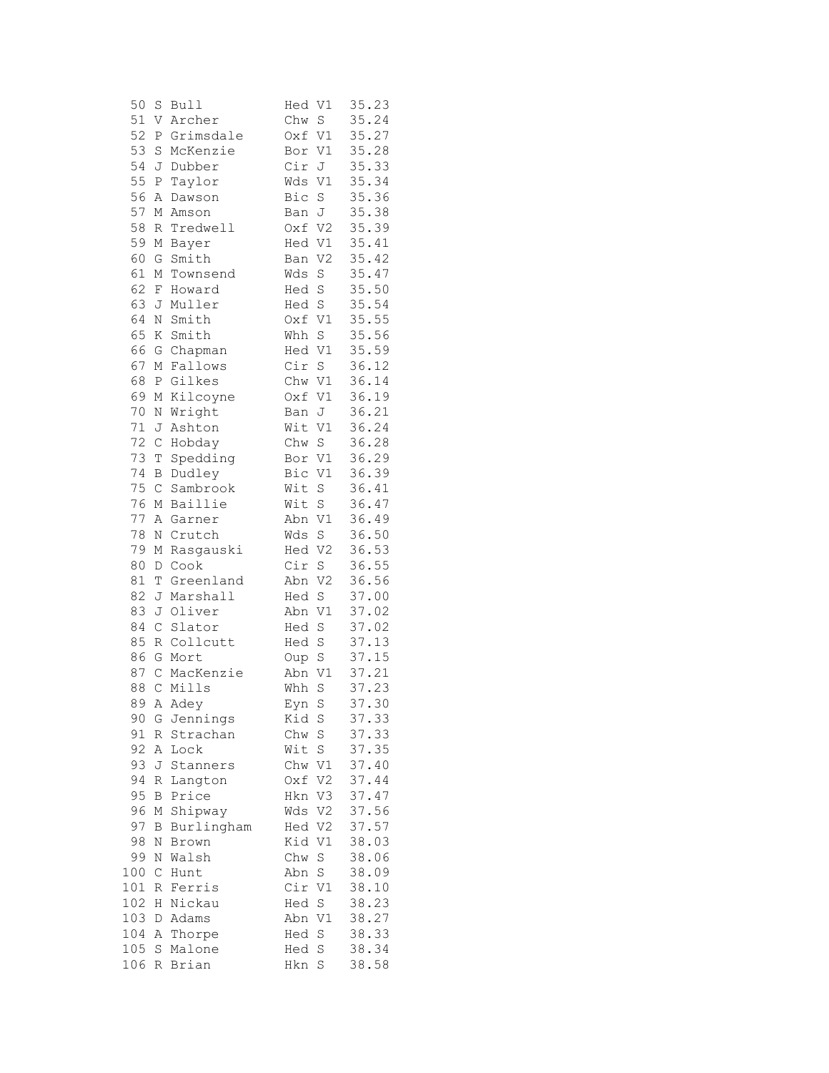| 50      | $\rm S$      | <b>Bull</b> | Hed<br>V1                   | 35.23 |
|---------|--------------|-------------|-----------------------------|-------|
| 51      | V            | Archer      | S<br>Chw                    | 35.24 |
| 52      | Ρ            | Grimsdale   | Oxf<br>V1                   | 35.27 |
| 53      | $\rm S$      | McKenzie    | V1<br>Bor                   | 35.28 |
| 54      | J            | Dubber      | Cir<br>J                    | 35.33 |
| 55      | $\, {\bf P}$ | Taylor      | Wds<br>V1                   | 35.34 |
| 56      | Α            | Dawson      | Bic<br>S                    | 35.36 |
| 57      | Μ            | Amson       | J<br>Ban                    | 35.38 |
| 58      | R            | Tredwell    | Oxf V2                      | 35.39 |
| 59      | М            | Bayer       | V1<br>Hed                   | 35.41 |
| 60      | G            | Smith       | V <sub>2</sub><br>Ban       | 35.42 |
| 61      | Μ            | Townsend    | Wds<br>S                    | 35.47 |
| 62      | F            | Howard      | $\rm S$<br>Hed              | 35.50 |
| 63      | J            | Muller      | Hed S                       | 35.54 |
| 64      |              |             | $\mathtt{V1}$               |       |
|         | Ν            | Smith       | Oxf                         | 35.55 |
| 65      | Κ            | Smith       | S<br>Whh                    | 35.56 |
| 66      | G            | Chapman     | Hed V1                      | 35.59 |
| 67      | $\mathbb M$  | Fallows     | Cir<br>S                    | 36.12 |
| 68      | $\, {\bf P}$ | Gilkes      | Chw V1                      | 36.14 |
| 69      | М            | Kilcoyne    | V1<br>Oxf                   | 36.19 |
| 70      | N            | Wright      | J<br>Ban                    | 36.21 |
| $71 \,$ | J            | Ashton      | V1<br>Wit                   | 36.24 |
| 72      | $\mathsf C$  | Hobday      | S<br>Chw                    | 36.28 |
| 73      | T            | Spedding    | Bor<br>V1                   | 36.29 |
| 74      | B            | Dudley      | Bic<br>V1                   | 36.39 |
| 75      | $\mathsf{C}$ | Sambrook    | Wit<br>$\rm S$              | 36.41 |
| 76      | М            | Baillie     | S<br>Wit                    | 36.47 |
| 77      | Α            | Garner      | $\mathtt{V1}$<br>Abn        | 36.49 |
| 78      | $\mathbb N$  | Crutch      | S<br>Wds                    | 36.50 |
| 79      | М            | Rasgauski   | Hed<br>V <sub>2</sub>       | 36.53 |
| 80      | D            | Cook        | Cir<br>$\rm S$              | 36.55 |
| 81      | T            | Greenland   | Abn<br>V <sub>2</sub>       | 36.56 |
| 82      | J            | Marshall    | S<br>Hed                    | 37.00 |
| 83      | J            | Oliver      | Abn<br>V1                   | 37.02 |
| 84      | C            | Slator      | Hed<br>S                    | 37.02 |
| 85      | $\,$ R       | Collcutt    | $\mathbf S$<br>Hed          | 37.13 |
| 86      | G            | Mort        | $\rm S$<br>Oup              | 37.15 |
| 87      | $\mathsf C$  | MacKenzie   | V1<br>Abn                   | 37.21 |
| 88      | $\mathsf C$  | Mills       | S<br>Whh                    | 37.23 |
|         |              | 89 A Adey   | Eyn S                       | 37.30 |
| 90      |              | G Jennings  | Kid S                       | 37.33 |
| 91      | R            | Strachan    | Chw S                       | 37.33 |
| 92      | Α            | Lock        | S<br>Wit                    | 37.35 |
| 93      | J            | Stanners    | Chw V1                      | 37.40 |
| 94      | R            | Langton     | V <sub>2</sub><br>Oxf       | 37.44 |
| 95      | B            | Price       | V3<br>Hkn                   | 37.47 |
| 96      | Μ            | Shipway     | V2<br>Wds                   | 37.56 |
| 97      |              |             |                             | 37.57 |
|         | B            | Burlingham  | V <sub>2</sub><br>Hed<br>V1 |       |
| 98      | N            | Brown       | Kid                         | 38.03 |
| 99      | N            | Walsh       | $\rm S$<br>Chw              | 38.06 |
| 100     | $\mathsf C$  | Hunt        | Abn S                       | 38.09 |
| 101     | R            | Ferris      | Cir V1                      | 38.10 |
| 102     | Η            | Nickau      | $\mathbb S$<br>Hed          | 38.23 |
| 103     | D            | Adams       | Abn V1                      | 38.27 |
| 104     | Α            | Thorpe      | S<br>Hed                    | 38.33 |
| 105     | S            | Malone      | Hed S                       | 38.34 |
| 106     | R            | Brian       | S<br>Hkn                    | 38.58 |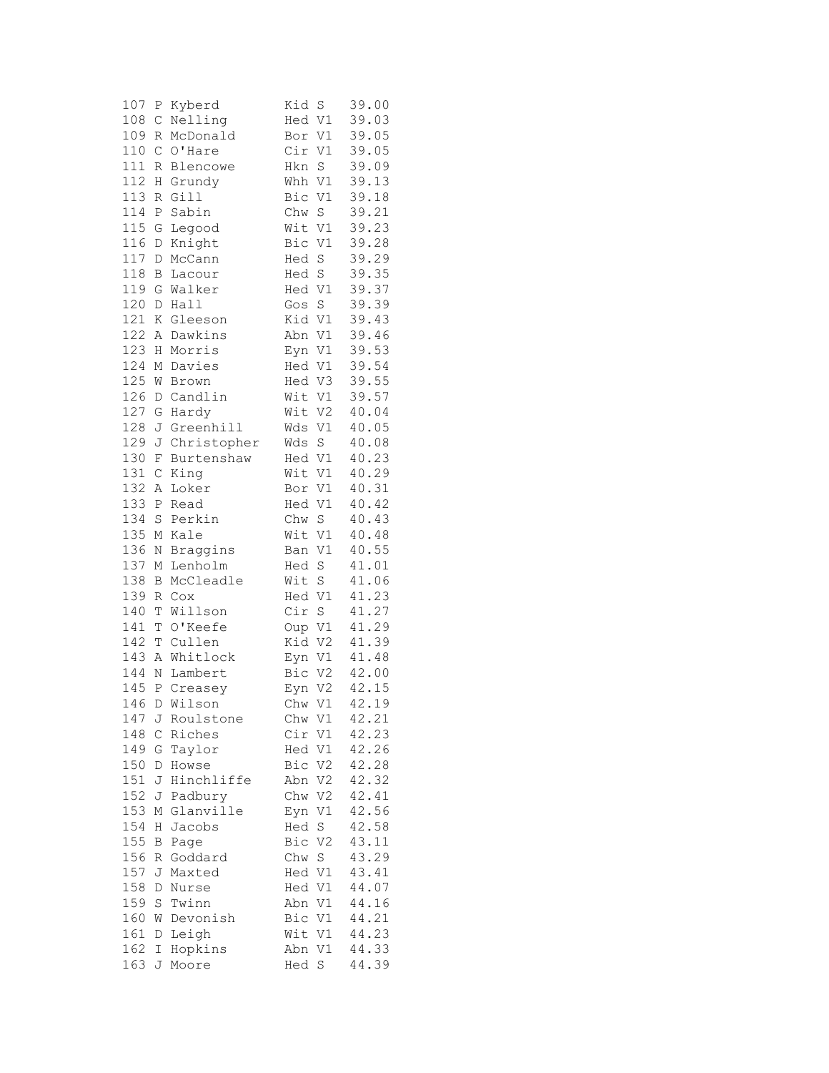| 107 | Ρ            | Kyberd       | Kid<br>S              | 39.00 |
|-----|--------------|--------------|-----------------------|-------|
| 108 | С            | Nelling      | V1<br>Hed             | 39.03 |
| 109 | R            | McDonald     | Bor V1                | 39.05 |
| 110 | C            | O'Hare       | V1<br>Cir             | 39.05 |
| 111 | R            | Blencowe     | S<br>Hkn              | 39.09 |
| 112 | Η            | Grundy       | Whh<br>V1             | 39.13 |
| 113 |              | Gill         | Bic<br>V1             |       |
|     | R            |              |                       | 39.18 |
| 114 | Ρ            | Sabin        | Chw<br>$\mathbf S$    | 39.21 |
| 115 | G            | Legood       | Wit V1                | 39.23 |
| 116 | $\mathbb D$  | Knight       | Bic V1                | 39.28 |
| 117 | D            | McCann       | $\rm S$<br>Hed        | 39.29 |
| 118 | В            | Lacour       | Hed S                 | 39.35 |
| 119 | G            | Walker       | Hed V1                | 39.37 |
| 120 | D            | Hall         | $\rm S$<br>Gos        | 39.39 |
| 121 | Κ            | Gleeson      | Kid<br>$\rm V1$       | 39.43 |
| 122 | Α            | Dawkins      | Abn<br>V1             | 39.46 |
| 123 | Η            | Morris       | V1<br>Eyn             | 39.53 |
| 124 | М            | Davies       | V1<br>Hed             | 39.54 |
| 125 |              |              |                       | 39.55 |
|     | W            | Brown        | V3<br>Hed             |       |
| 126 | D            | Candlin      | Wit<br>$\mathtt{V1}$  | 39.57 |
| 127 | G            | Hardy        | V <sub>2</sub><br>Wit | 40.04 |
| 128 | J            | Greenhill    | $\mathtt{V1}$<br>Wds  | 40.05 |
| 129 | J            | Christopher  | Wds<br>S              | 40.08 |
| 130 | F            | Burtenshaw   | Hed V1                | 40.23 |
| 131 | $\mathsf C$  | King         | Wit V1                | 40.29 |
| 132 | Α            | Loker        | Bor V1                | 40.31 |
| 133 | Ρ            | Read         | Hed V1                | 40.42 |
| 134 | $\rm S$      | Perkin       | $\rm S$<br>Chw        | 40.43 |
| 135 | М            | Kale         | Wit V1                | 40.48 |
| 136 | N            | Braggins     | Ban V1                | 40.55 |
| 137 | М            | Lenholm      | Hed S                 | 41.01 |
| 138 | B            | McCleadle    | Wit<br>S              | 41.06 |
|     |              |              |                       |       |
| 139 | R            | Cox          | V1<br>Hed             | 41.23 |
| 140 | T            | Willson      | Cir<br>$\mathbf S$    | 41.27 |
| 141 | T            | O'Keefe      | Oup V1                | 41.29 |
| 142 | T            | Cullen       | Kid V2                | 41.39 |
| 143 | $\, {\tt A}$ | Whitlock     | V1<br>Eyn             | 41.48 |
| 144 | $\rm N$      | Lambert      | Bic V2                | 42.00 |
| 145 | Ρ            | Creasey      | V <sub>2</sub><br>Eyn | 42.15 |
|     |              | 146 D Wilson | Chw V1                | 42.19 |
| 147 | J            | Roulstone    | Chw V1                | 42.21 |
| 148 | С            | Riches       | Cir<br>V1             | 42.23 |
| 149 | G            | Taylor       | Hed V1                | 42.26 |
| 150 | D            | Howse        | Bic V2                | 42.28 |
| 151 | J            | Hinchliffe   | $\rm V2$<br>Abn       | 42.32 |
| 152 | J            | Padbury      | Chw V2                | 42.41 |
| 153 | Μ            | Glanville    | Eyn V1                | 42.56 |
|     |              |              |                       | 42.58 |
| 154 | Η            | Jacobs       | Hed S                 |       |
| 155 | В            | Page         | V <sub>2</sub><br>Bic | 43.11 |
| 156 | R            | Goddard      | Chw S                 | 43.29 |
| 157 | J            | Maxted       | Hed V1                | 43.41 |
| 158 | D            | Nurse        | Hed V1                | 44.07 |
| 159 | S            | Twinn        | Abn V1                | 44.16 |
| 160 | W            | Devonish     | Bic V1                | 44.21 |
| 161 | D            | Leigh        | Wit V1                | 44.23 |
| 162 | Ι            | Hopkins      | Abn V1                | 44.33 |
| 163 | J            | Moore        | Hed<br>S              | 44.39 |
|     |              |              |                       |       |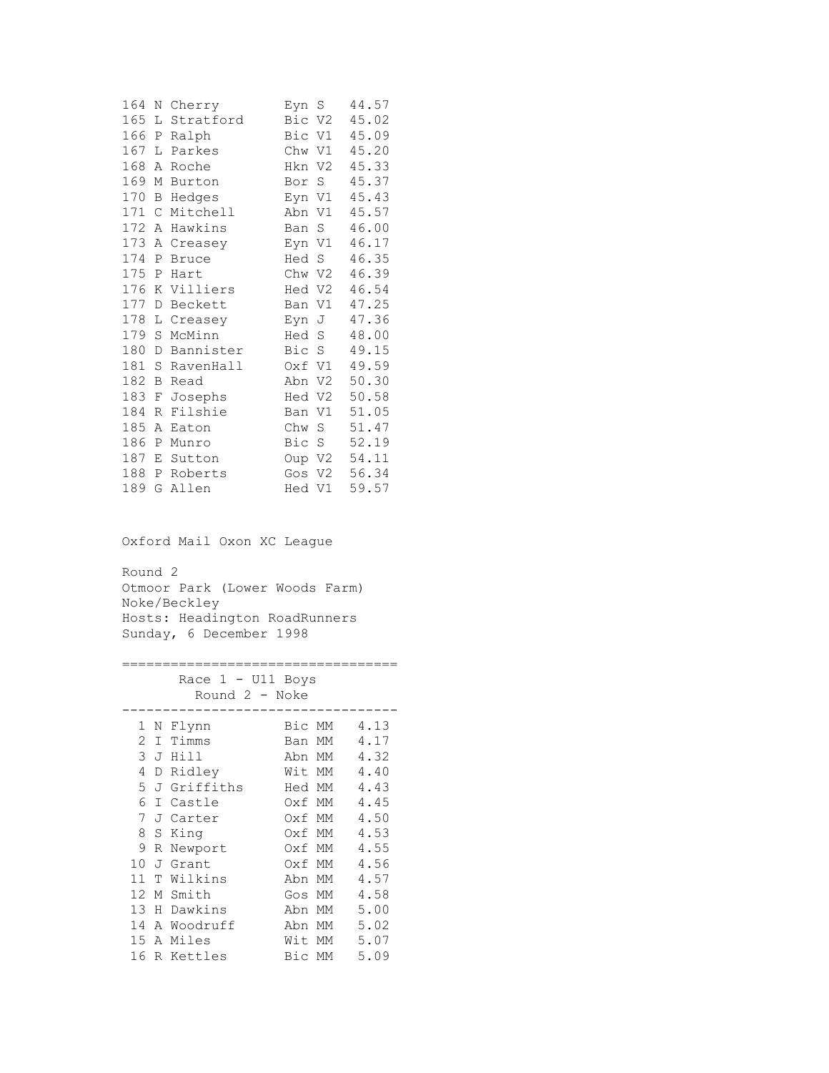| 164 | Ν            | Cherry       | .S<br>Eyn             | 44.57 |
|-----|--------------|--------------|-----------------------|-------|
| 165 | L            | Stratford    | Bic<br>V2             | 45.02 |
| 166 | $\mathbb{P}$ | Ralph        | Bic<br>V1             | 45.09 |
| 167 | L            | Parkes       | Chw<br>V1             | 45.20 |
| 168 | Α            | Roche        | V2<br>Hkn             | 45.33 |
| 169 | М            | Burton       | S<br>Bor              | 45.37 |
| 170 | Β            | Hedges       | Eyn V1                | 45.43 |
| 171 | C            | Mitchell     | Abn<br>V1             | 45.57 |
| 172 | Α            | Hawkins      | S<br>Ban              | 46.00 |
| 173 | Α            | Creasey      | Eyn V1                | 46.17 |
| 174 | Ρ            | <b>Bruce</b> | S<br>Hed              | 46.35 |
| 175 | Ρ            | Hart         | Chw V2                | 46.39 |
| 176 | Κ            | Villiers     | Hed V2                | 46.54 |
| 177 | D            | Beckett      | Ban V1                | 47.25 |
| 178 | L            | Creasey      | Eyn<br>J              | 47.36 |
| 179 | S            | McMinn       | Hed<br>S              | 48.00 |
| 180 | D            | Bannister    | Bic<br>- S            | 49.15 |
| 181 | S            | RavenHall    | V1<br>Oxf             | 49.59 |
| 182 | В            | Read         | V <sub>2</sub><br>Abn | 50.30 |
| 183 | F            | Josephs      | V2<br>Hed             | 50.58 |
| 184 | R            | Filshie      | V1<br>Ban             | 51.05 |
| 185 | Α            | Eaton        | Chw<br>S              | 51.47 |
| 186 | Ρ            | Munro        | Bic<br>- S            | 52.19 |
| 187 | Ε            | Sutton       | Oup V2                | 54.11 |
| 188 | Ρ            | Roberts      | V2<br>Gos             | 56.34 |
| 189 | G            | Allen        | V1<br>Hed             | 59.57 |

Oxford Mail Oxon XC League

Round 2 Otmoor Park (Lower Woods Farm) Noke/Beckley Hosts: Headington RoadRunners Sunday, 6 December 1998

==================================

| - U11 Boys<br>Race 1<br>Round 2 - Noke |   |             |        |    |      |
|----------------------------------------|---|-------------|--------|----|------|
| 1                                      | Ν | Flynn       | Bic MM |    | 4.13 |
| 2                                      | T | Timms       | Ban    | MМ | 4.17 |
| 3                                      | J | Hill        | Abn    | MМ | 4.32 |
| 4                                      | D | Ridley      | Wit MM |    | 4.40 |
| 5                                      |   | J Griffiths | Hed MM |    | 4.43 |
| 6                                      | T | Castle      | Oxf MM |    | 4.45 |
| 7                                      | J | Carter      | Oxf MM |    | 4.50 |
| 8                                      | S | King        | Oxf MM |    | 4.53 |
| 9                                      | R | Newport     | Oxf MM |    | 4.55 |
| 10                                     | J | Grant       | Oxf MM |    | 4.56 |
| 11                                     | Т | Wilkins     | Abn    | МM | 4.57 |
| 12                                     | М | Smith       | Gos    | МM | 4.58 |
| 13                                     | Н | Dawkins     | Abn    | МM | 5.00 |
| 14                                     |   | A Woodruff  | Abn    | MM | 5.02 |
| 15                                     | А | Miles       | Wit    | МM | 5.07 |
| 16                                     |   | R Kettles   | Bic    | МM | 5.09 |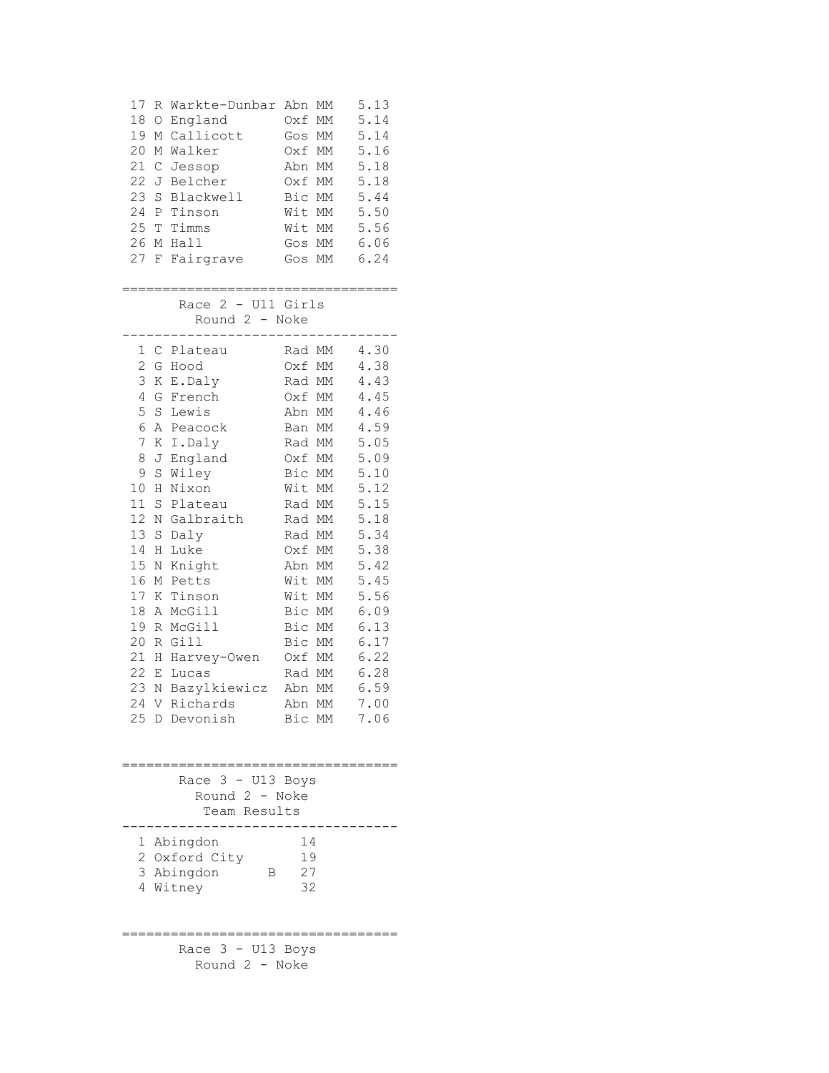| 17             | R            | Warkte-Dunbar      | Abn      | МM                | 5.13     |
|----------------|--------------|--------------------|----------|-------------------|----------|
| 18             | $\bigcirc$   | England            | Oxf      | МM                | 5.14     |
| 19             | М            | Callicott          | Gos      | МM                | 5.14     |
| 20             | М            | Walker             | Oxf      | МM                | 5.16     |
| 21             | $\mathsf{C}$ | Jessop             | Abn      | МM                | 5.18     |
| 22             | J            | Belcher            | Oxf      | МM                | 5.18     |
| 23             | S            | Blackwell          | Bic      | MM                | 5.44     |
| 24             |              | P Tinson           | Wit      | МM                | 5.50     |
|                |              | 25 T Timms         | Wit MM   |                   | 5.56     |
| 26             |              | M Hall             | Gos MM   |                   | 6.06     |
| 27             | F            | Fairgrave          | Gos MM   |                   | 6.24     |
|                |              |                    |          |                   |          |
|                |              |                    |          |                   |          |
|                |              | Race 2 - U11 Girls |          |                   |          |
|                |              | Round 2 - Noke     |          |                   |          |
| 1              |              | C Plateau          | Rad MM   |                   | 4.30     |
| $\overline{c}$ |              | G Hood             | Oxf MM   |                   | 4.38     |
| 3              | К            | E.Daly             | Rad MM   |                   | 4.43     |
| 4              | G            | French             | Oxf MM   |                   | 4.45     |
| 5              | $\rm S$      | Lewis              | Abn MM   |                   | $4.46\,$ |
| 6              |              | A Peacock          | Ban      | МM                | 4.59     |
| 7              |              | K I.Daly           | Rad MM   |                   | 5.05     |
| 8              | J            | England            | Oxf MM   |                   | 5.09     |
| 9              | $\rm S$      | Wiley              | Bic MM   |                   | 5.10     |
| 10             | Η            | Nixon              | Wit MM   |                   | 5.12     |
| 11             | S            | Plateau            | Rad MM   |                   | 5.15     |
| 12             | Ν            | Galbraith          | Rad MM   |                   | 5.18     |
| 13             | $\rm S$      | Daly               | Rad MM   |                   | 5.34     |
| 14             | Η            | Luke               | Oxf MM   |                   | 5.38     |
| 15             | Ν            | Knight             | Abn      | МM                | 5.42     |
| 16             | М            | Petts              | Wit      | МM                | 5.45     |
| 17             | Κ            | Tinson             | Wit MM   |                   | 5.56     |
| 18             | Α            | McGill             | Bic MM   |                   | 6.09     |
| 19             | R            | McGill             | Bic MM   |                   | 6.13     |
| 20             | R            | Gill               | Bic      | MM                | 6.17     |
| 21             | Η            | Harvey-Owen        | Oxf MM   |                   | 6.22     |
| 22             | Ε            | Lucas              | Rad MM   |                   | 6.28     |
| 23             | $\mathbb N$  | Bazylkiewicz       | Abn      | $\mathop{\rm MM}$ | 6.59     |
|                |              | 24 V Richards      | Abn MM   |                   | 7.00     |
|                |              | 25 D Devonish      |          | Bic MM            | 7.06     |
|                |              |                    |          |                   |          |
|                |              |                    |          |                   |          |
|                |              |                    |          |                   |          |
|                |              | Race 3 - U13 Boys  |          |                   |          |
|                |              | Round 2 - Noke     |          |                   |          |
|                |              | Team Results       |          |                   |          |
|                |              |                    |          |                   |          |
|                |              | 1 Abingdon         | 14       |                   |          |
|                |              | 2 Oxford City      | 19       |                   |          |
|                |              | 3 Abingdon<br>В    | 27<br>32 |                   |          |
|                |              | 4 Witney           |          |                   |          |
|                |              |                    |          |                   |          |
|                |              |                    |          |                   |          |
|                |              | Race 3 - U13 Boys  |          |                   |          |
|                |              | Round 2 - Noke     |          |                   |          |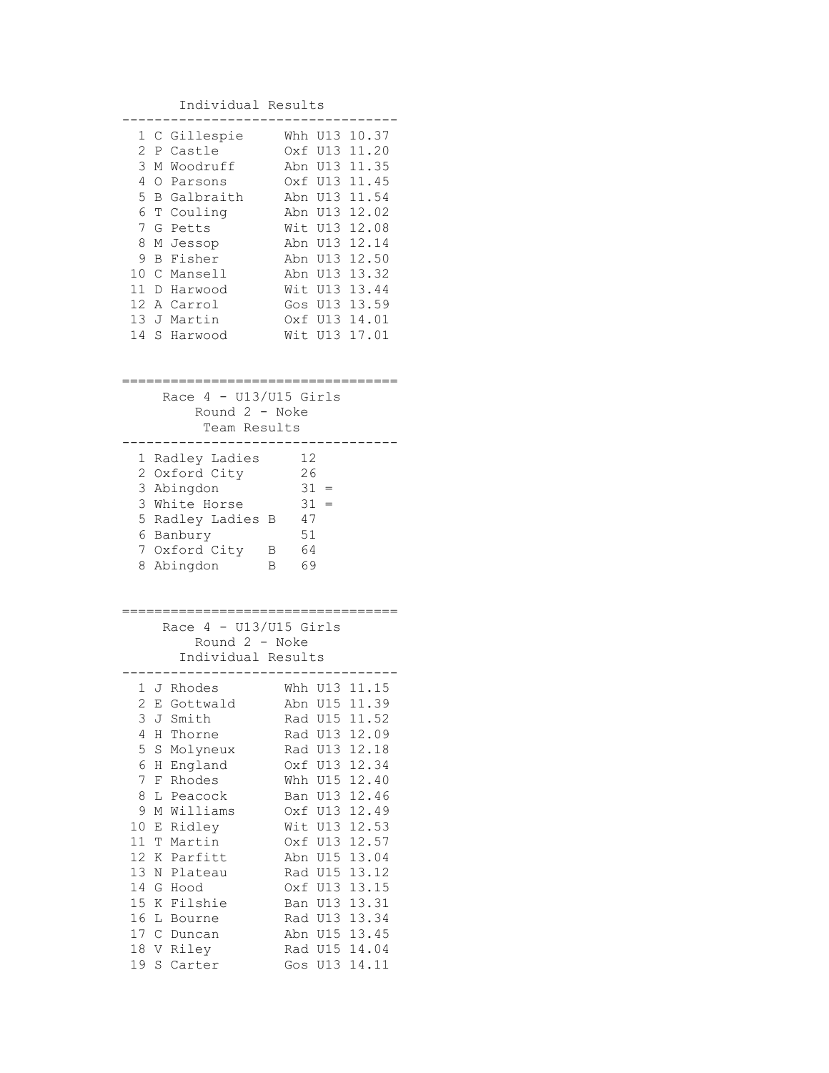| Individual Results                                                                                                                                                                                                                                                                                                                                                                                                                                                                                                                                           |                                                                                                                                                                                                                                                                                                                             |
|--------------------------------------------------------------------------------------------------------------------------------------------------------------------------------------------------------------------------------------------------------------------------------------------------------------------------------------------------------------------------------------------------------------------------------------------------------------------------------------------------------------------------------------------------------------|-----------------------------------------------------------------------------------------------------------------------------------------------------------------------------------------------------------------------------------------------------------------------------------------------------------------------------|
| 1 C Gillespie<br>Whh<br>2<br>Castle<br>P<br>0xf<br>3<br>Woodruff<br>Abn<br>М<br>4<br>0<br>Parsons<br>5<br>Galbraith<br>$\mathbf{B}$<br>Abn<br>6<br>T Couling<br>Abn<br>7<br>G<br>Wit<br>Petts<br>8<br>Abn<br>М<br>Jessop<br>9<br>Fisher<br>В<br>Abn<br>10C<br>Mansell<br>Abn<br>11 D<br>Wit<br>Harwood<br>12 A Carrol<br>Gos<br>13 J<br>Martin<br>14<br>S<br>Wit<br>Harwood                                                                                                                                                                                  | U13 10.37<br>U13 11.20<br>U13 11.35<br>Oxf U13 11.45<br>U13 11.54<br>12.02<br>U13<br>12.08<br>U13<br>12.14<br>U13<br>12.50<br>U13<br>U13<br>13.32<br>13.44<br>U13<br>U13 13.59<br>Oxf U13 14.01<br>U13 17.01                                                                                                                |
| Race $4 - U13/U15$ Girls<br>Round $2 - Note$<br>Team Results                                                                                                                                                                                                                                                                                                                                                                                                                                                                                                 |                                                                                                                                                                                                                                                                                                                             |
| 12<br>Radley Ladies<br>1<br>26<br>Oxford City<br>$\mathbf{2}$<br>31<br>3 Abingdon<br>3 White Horse<br>31<br>5<br>Radley Ladies<br>47<br>В<br>51<br>6 Banbury<br>64<br>Oxford City<br>7<br>Β<br>Abingdon<br>69<br>8<br>B                                                                                                                                                                                                                                                                                                                                      | $=$                                                                                                                                                                                                                                                                                                                         |
| Race $4 - U13/U15$ Girls<br>Round $2 -$ Noke<br>Individual Results                                                                                                                                                                                                                                                                                                                                                                                                                                                                                           |                                                                                                                                                                                                                                                                                                                             |
| 1 J Rhodes<br>$\overline{c}$<br>Gottwald<br>Abn<br>Ε<br>3<br>Smith<br>Rad<br>J<br>4<br>Rad U13<br>Η<br>Thorne<br>5<br>S<br>Molyneux<br>Rad<br>6<br>England<br>Oxf<br>Η<br>7<br>F<br>Rhodes<br>Whh<br>8<br>L<br>Peacock<br>Ban<br>9<br>Williams<br>М<br>Oxf<br>10<br>Ridley<br>Wit<br>Ε<br>11<br>T<br>Martin<br>Oxf<br>12<br>Parfitt<br>Κ<br>Abn<br>13<br>Ν<br>Plateau<br>Rad<br>14<br>G<br>Hood<br>Oxf<br>15<br>Κ<br>Filshie<br>Ban<br>16<br>L<br>Rad<br>Bourne<br>17<br>$\mathsf C$<br>Duncan<br>Abn<br>18<br>V<br>Riley<br>Rad<br>19<br>S<br>Carter<br>Gos | Whh U13 11.15<br>U15<br>11.39<br><b>U15</b><br>11.52<br>12.09<br>U13<br>12.18<br>U13<br>12.34<br><b>U15</b><br>12.40<br>12.46<br>U13<br>12.49<br>U13<br>12.53<br>U13<br><b>U13</b><br>12.57<br>U15<br>13.04<br>13.12<br>U15<br>U13<br>13.15<br>U13<br>13.31<br>U13<br>13.34<br>U15<br>13.45<br>U15<br>14.04<br>14.11<br>U13 |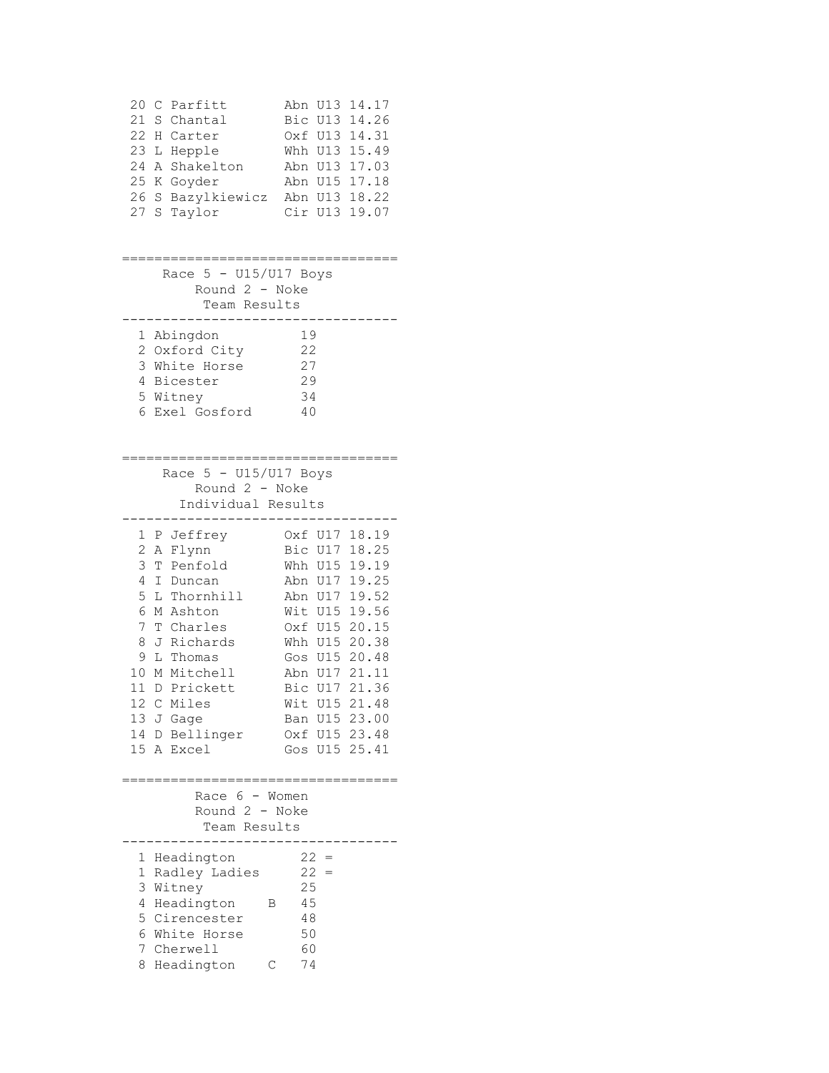| 20<br>Parfitt<br>С<br>21<br>S<br>Chantal<br>22<br>Η<br>Carter<br>23<br>L<br>Hepple<br>24<br>Shakelton<br>Α<br>25<br>Κ<br>Goyder<br>26<br>Bazylkiewicz<br>S<br>27<br>Taylor<br>S                                                                                                             | U13<br>14.17<br>Abn<br>Bic<br>U13<br>14.26<br>14.31<br>Oxf U13<br>15.49<br>Whh U13<br>17.03<br>Abn U13<br>17.18<br>U15<br>Abn<br>Abn<br>U13<br>18.22<br>Cir<br>U13<br>19.07                                                                                                                           |
|---------------------------------------------------------------------------------------------------------------------------------------------------------------------------------------------------------------------------------------------------------------------------------------------|-------------------------------------------------------------------------------------------------------------------------------------------------------------------------------------------------------------------------------------------------------------------------------------------------------|
| Race $5 - U15/U17$ Boys<br>Round 2 - Noke<br>Team Results                                                                                                                                                                                                                                   |                                                                                                                                                                                                                                                                                                       |
| Abingdon<br>1<br>2<br>Oxford City<br>3<br>White Horse<br>4<br>Bicester<br>5<br>Witney<br>6<br>Exel Gosford                                                                                                                                                                                  | 19<br>22<br>27<br>29<br>34<br>40                                                                                                                                                                                                                                                                      |
| Race $5 - U15/U17$ Boys<br>Round 2 - Noke<br>Individual Results                                                                                                                                                                                                                             |                                                                                                                                                                                                                                                                                                       |
| 1<br>P Jeffrey<br>$\overline{c}$<br>Flynn<br>Α<br>3<br>Penfold<br>Т<br>4<br>Ι<br>Duncan<br>5<br>L Thornhill<br>6<br>M Ashton<br>7<br>T Charles<br>8<br>J Richards<br>9<br>L Thomas<br>10<br>M Mitchell<br>11<br>Prickett<br>D<br>12 C<br>Miles<br>13 J Gage<br>14 D Bellinger<br>15 A Excel | 18.19<br>Oxf U17<br>18.25<br>Bic U17<br>19.19<br>Whh U15<br>19.25<br>Abn U17<br>19.52<br>Abn U17<br>19.56<br>Wit U15<br>Oxf U15<br>20.15<br>20.38<br>Whh U15<br>20.48<br>Gos<br>U15<br>21.11<br>Abn<br>U17<br>21.36<br>Bic<br>U17<br>Wit U15 21.48<br>Ban U15 23.00<br>Oxf U15 23.48<br>Gos U15 25.41 |
| Race 6 - Women<br>Round 2 - Noke<br>Team Results                                                                                                                                                                                                                                            |                                                                                                                                                                                                                                                                                                       |
| 1<br>Headington<br>1<br>Radley Ladies<br>3<br>Witney<br>4<br>Headington<br>Β<br>5<br>Cirencester<br>6<br>White Horse<br>7<br>Cherwell<br>8<br>Headington<br>С                                                                                                                               | $22 =$<br>$22 =$<br>25<br>45<br>48<br>50<br>60<br>74                                                                                                                                                                                                                                                  |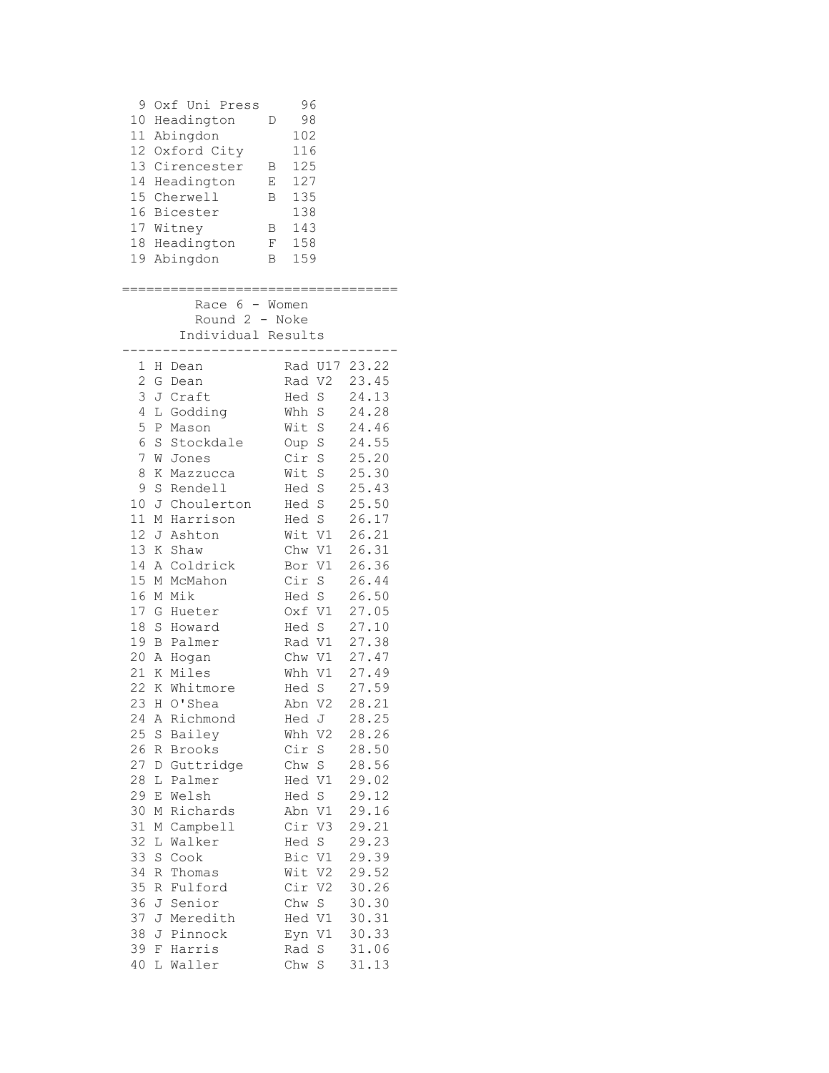|    | 9 Oxf Uni Press    |   | 96      |        |               |
|----|--------------------|---|---------|--------|---------------|
|    | 10 Headington      | D | 98      |        |               |
|    | 11 Abingdon        |   | 102     |        |               |
|    | 12 Oxford City     |   | 116     |        |               |
|    | 13 Cirencester B   |   | 125     |        |               |
|    | 14 Headington E    |   | 127     |        |               |
|    | 15 Cherwell        | B | 135     |        |               |
|    | 16 Bicester        |   | 138     |        |               |
|    | 17 Witney          |   | B 143   |        |               |
|    | 18 Headington      |   | $F$ 158 |        |               |
|    | 19 Abingdon        |   | B 159   |        |               |
|    |                    |   |         |        |               |
|    |                    |   |         |        |               |
|    | Race $6 -$ Women   |   |         |        |               |
|    | Round 2 - Noke     |   |         |        |               |
|    | Individual Results |   |         |        |               |
|    |                    |   |         |        |               |
|    | 1 H Dean           |   |         |        | Rad U17 23.22 |
|    | 2 G Dean           |   |         |        | Rad V2 23.45  |
| 3  | J Craft            |   |         | Hed S  | 24.13         |
| 4  | L Godding          |   |         | Whh S  | 24.28         |
| 5  | P Mason            |   |         |        | Wit S 24.46   |
| 6  | S Stockdale        |   |         |        | Oup S 24.55   |
| 7  | W Jones            |   | Cir S   |        | 25.20         |
| 8  | K Mazzucca         |   |         | Wit S  | 25.30         |
| 9  | S Rendell          |   | Hed S   |        | 25.43         |
|    | 10 J Choulerton    |   | Hed S   |        | 25.50         |
|    | 11 M Harrison      |   |         | Hed S  | 26.17         |
|    |                    |   |         | Wit V1 |               |
|    | 12 J Ashton        |   |         |        | 26.21         |
|    | 13 K Shaw          |   |         | Chw V1 | 26.31         |
|    | 14 A Coldrick      |   |         | Bor V1 | 26.36         |
|    | 15 M McMahon       |   |         | Cir S  | 26.44         |
|    | 16 M Mik           |   |         | Hed S  | 26.50         |
|    | 17 G Hueter        |   |         | Oxf V1 | 27.05         |
| 18 | S Howard           |   |         | Hed S  | 27.10         |
|    | 19 B Palmer        |   |         |        | Rad V1 27.38  |
|    | 20 A Hogan         |   |         | Chw V1 | 27.47         |
| 21 | K Miles            |   | Whh V1  |        | 27.49         |
|    | 22 K Whitmore      |   |         | Hed S  | 27.59         |
|    | 23 H O'Shea        |   |         | Abn V2 | 28.21         |
| 24 | A Richmond         |   | Hed J   |        | 28.25         |
| 25 | S Bailey           |   | Whh V2  |        | 28.26         |
| 26 | R Brooks           |   | Cir S   |        | 28.50         |
| 27 | D Guttridge        |   | Chw S   |        | 28.56         |
| 28 | L Palmer           |   | Hed V1  |        | 29.02         |
|    |                    |   |         |        |               |
| 29 | E Welsh            |   | Hed S   |        | 29.12         |
| 30 | M Richards         |   | Abn V1  |        | 29.16         |
| 31 | M Campbell         |   | Cir V3  |        | 29.21         |
| 32 | L Walker           |   | Hed S   |        | 29.23         |
| 33 | S Cook             |   | Bic V1  |        | 29.39         |
| 34 | R Thomas           |   | Wit V2  |        | 29.52         |
| 35 | R Fulford          |   | Cir V2  |        | 30.26         |
| 36 | J Senior           |   | Chw S   |        | 30.30         |
| 37 | J Meredith         |   | Hed V1  |        | 30.31         |
| 38 | J Pinnock          |   | Eyn V1  |        | 30.33         |
| 39 | F Harris           |   | Rad S   |        | 31.06         |
|    |                    |   |         |        |               |
| 40 | L Waller           |   | Chw S   |        | 31.13         |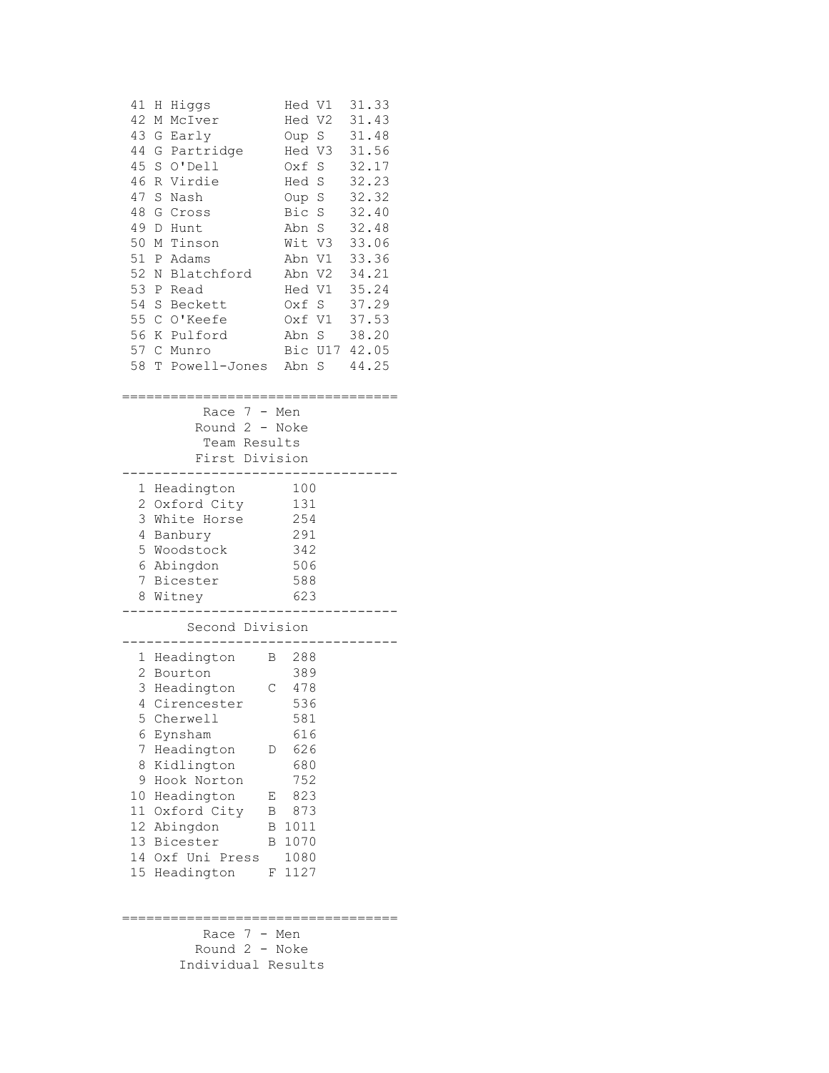| 41<br>42<br>43<br>44<br>45<br>46<br>47<br>48<br>49<br>50<br>51<br>52<br>53<br>54<br>55<br>56<br>57<br>58 | Η<br>Higgs<br>Μ<br>McIver<br>G<br>Early<br>Partridge<br>G<br>S<br>O'Dell<br>Virdie<br>R<br>S<br>Nash<br>G<br>Cross<br>D<br>Hunt<br>Tinson<br>Μ<br>Ρ<br>Adams<br>Blatchford<br>Ν<br>Ρ<br>Read<br>S<br>Beckett<br>$\mathbb{C}$<br>O'Keefe<br>Κ<br>Pulford<br>C Munro<br>Powell-Jones<br>T | Hed<br>V1<br>Hed V2<br>Oup S<br>Hed V3<br>Oxf<br>$\mathbf S$<br>S<br>Hed<br>Oup S<br>Bic<br>$\mathbf S$<br>$\rm S$<br>Abn<br>Wit<br>V3<br>Abn V1<br>Abn V2<br>Hed V1<br>Oxf S<br>Oxf V1<br>Abn S<br>Bic U17<br>Abn S | 31.33<br>31.43<br>31.48<br>31.56<br>32.17<br>32.23<br>32.32<br>32.40<br>32.48<br>33.06<br>33.36<br>34.21<br>35.24<br>37.29<br>37.53<br>38.20<br>42.05<br>44.25 |
|----------------------------------------------------------------------------------------------------------|-----------------------------------------------------------------------------------------------------------------------------------------------------------------------------------------------------------------------------------------------------------------------------------------|----------------------------------------------------------------------------------------------------------------------------------------------------------------------------------------------------------------------|----------------------------------------------------------------------------------------------------------------------------------------------------------------|
|                                                                                                          | 7<br>Race                                                                                                                                                                                                                                                                               | Men<br>$-$                                                                                                                                                                                                           |                                                                                                                                                                |
|                                                                                                          | Round 2<br>$\sim$<br>Team Results                                                                                                                                                                                                                                                       | Noke                                                                                                                                                                                                                 |                                                                                                                                                                |
|                                                                                                          | First Division                                                                                                                                                                                                                                                                          |                                                                                                                                                                                                                      |                                                                                                                                                                |
| 1<br>2                                                                                                   | Headington<br>Oxford City                                                                                                                                                                                                                                                               | 100<br>131                                                                                                                                                                                                           |                                                                                                                                                                |
| 3                                                                                                        | White Horse                                                                                                                                                                                                                                                                             | 254                                                                                                                                                                                                                  |                                                                                                                                                                |
| 4<br>5                                                                                                   | Banbury<br>Woodstock                                                                                                                                                                                                                                                                    | 291<br>342                                                                                                                                                                                                           |                                                                                                                                                                |
| 6                                                                                                        | Abingdon                                                                                                                                                                                                                                                                                | 506                                                                                                                                                                                                                  |                                                                                                                                                                |
| 7<br>8                                                                                                   | Bicester<br>Witney                                                                                                                                                                                                                                                                      | 588<br>623                                                                                                                                                                                                           |                                                                                                                                                                |
|                                                                                                          |                                                                                                                                                                                                                                                                                         |                                                                                                                                                                                                                      |                                                                                                                                                                |
|                                                                                                          | Second Division                                                                                                                                                                                                                                                                         |                                                                                                                                                                                                                      |                                                                                                                                                                |
| 1<br>2                                                                                                   | Headington<br>Bourton                                                                                                                                                                                                                                                                   | 288<br>Β<br>389                                                                                                                                                                                                      |                                                                                                                                                                |
| 3                                                                                                        | Headington                                                                                                                                                                                                                                                                              | 478<br>С                                                                                                                                                                                                             |                                                                                                                                                                |
| 5                                                                                                        | 4 Cirencester<br>Cherwell                                                                                                                                                                                                                                                               | 536<br>581                                                                                                                                                                                                           |                                                                                                                                                                |
| 6                                                                                                        | Eynsham                                                                                                                                                                                                                                                                                 | 616                                                                                                                                                                                                                  |                                                                                                                                                                |
| 7<br>8                                                                                                   | Headington<br>Kidlington                                                                                                                                                                                                                                                                | 626<br>D<br>680                                                                                                                                                                                                      |                                                                                                                                                                |
| 9                                                                                                        | Hook Norton                                                                                                                                                                                                                                                                             | 752                                                                                                                                                                                                                  |                                                                                                                                                                |
| 10<br>11                                                                                                 | Headington<br>Oxford City                                                                                                                                                                                                                                                               | 823<br>Е<br>873<br>Β                                                                                                                                                                                                 |                                                                                                                                                                |
| 12                                                                                                       | Abingdon                                                                                                                                                                                                                                                                                | 1011<br>В                                                                                                                                                                                                            |                                                                                                                                                                |
| 13<br>14                                                                                                 | Bicester<br>Oxf Uni Press                                                                                                                                                                                                                                                               | 1070<br>В                                                                                                                                                                                                            |                                                                                                                                                                |
| 15                                                                                                       | Headington                                                                                                                                                                                                                                                                              | 1080<br>1127<br>F                                                                                                                                                                                                    |                                                                                                                                                                |
|                                                                                                          |                                                                                                                                                                                                                                                                                         |                                                                                                                                                                                                                      |                                                                                                                                                                |
|                                                                                                          | $7 -$<br>Race                                                                                                                                                                                                                                                                           | Men                                                                                                                                                                                                                  |                                                                                                                                                                |
|                                                                                                          | Round $2$ –                                                                                                                                                                                                                                                                             | Noke                                                                                                                                                                                                                 |                                                                                                                                                                |
|                                                                                                          | Individual Results                                                                                                                                                                                                                                                                      |                                                                                                                                                                                                                      |                                                                                                                                                                |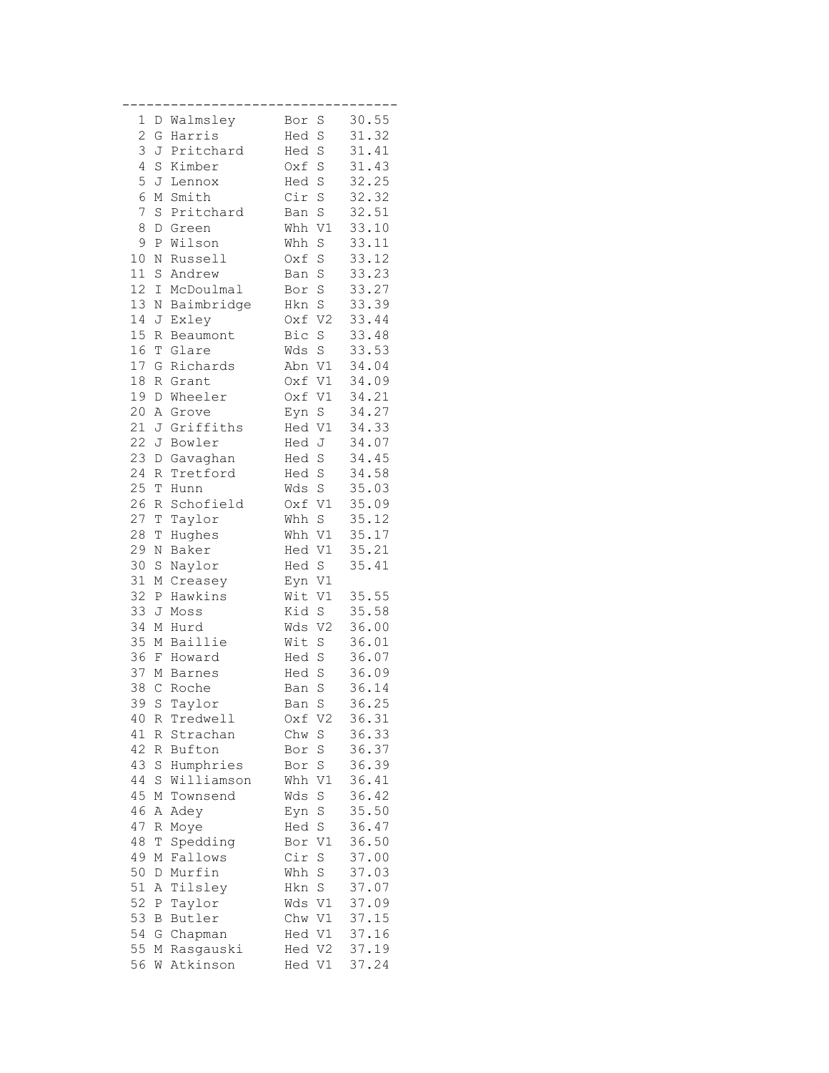| 1              |              | D Walmsley | Bor    | S               | 30.55 |
|----------------|--------------|------------|--------|-----------------|-------|
| $\overline{c}$ | G            | Harris     | Hed    | S               | 31.32 |
| 3              | J            | Pritchard  | Hed    | S               | 31.41 |
| 4              | S            | Kimber     | Oxf S  |                 | 31.43 |
| 5              |              |            |        |                 |       |
|                | J            | Lennox     | Hed S  |                 | 32.25 |
| 6              | Μ            | Smith      | Cir S  |                 | 32.32 |
| 7              | S            | Pritchard  | Ban S  |                 | 32.51 |
| 8              | D            | Green      | Whh V1 |                 | 33.10 |
| 9              | $\, {\bf P}$ | Wilson     | Whh    | S               | 33.11 |
| $10$           | N            | Russell    | Oxf    | S               | 33.12 |
| 11             | S            | Andrew     | Ban S  |                 | 33.23 |
| 12             | Ι            | McDoulmal  | Bor S  |                 | 33.27 |
| 13             | N            | Baimbridge | Hkn    | S               | 33.39 |
| 14             | J            | Exley      | Oxf V2 |                 | 33.44 |
| $15\,$         | R            | Beaumont   | Bic    | $\rm S$         | 33.48 |
| 16             | Τ            | Glare      | Wds    | $\rm S$         | 33.53 |
| 17             | G            | Richards   | Abn V1 |                 | 34.04 |
| 18             | R            | Grant      | Oxf V1 |                 | 34.09 |
| 19             | D            | Wheeler    | Oxf    | V1              | 34.21 |
| 20             | Α            | Grove      | Eyn    | S               | 34.27 |
| 21             | J            | Griffiths  | Hed    | V1              | 34.33 |
| 22             |              |            |        |                 |       |
|                | J            | Bowler     | Hed J  |                 | 34.07 |
| 23             | D            | Gavaghan   | Hed S  |                 | 34.45 |
| 24             | R            | Tretford   | Hed S  |                 | 34.58 |
| 25             | T            | Hunn       | Wds S  |                 | 35.03 |
| 26             | R            | Schofield  | Oxf V1 |                 | 35.09 |
| 27             | T            | Taylor     | Whh    | S               | 35.12 |
| 28             | Τ            | Hughes     | Whh V1 |                 | 35.17 |
| 29             | Ν            | Baker      | Hed V1 |                 | 35.21 |
| 30             | S            | Naylor     | Hed    | $\rm S$         | 35.41 |
| 31             | Μ            | Creasey    | Eyn V1 |                 |       |
| 32             | Ρ            | Hawkins    | Wit    | V1              | 35.55 |
| 33             | J            | Moss       | Kid S  |                 | 35.58 |
| 34             | Μ            | Hurd       | Wds    | V <sub>2</sub>  | 36.00 |
| 35             | Μ            | Baillie    | Wit    | S               | 36.01 |
| 36             |              | F Howard   | Hed    | $\rm S$         | 36.07 |
| 37             | Μ            | Barnes     | Hed    | S               | 36.09 |
| 38             | $\mathsf{C}$ | Roche      | Ban    | S               | 36.14 |
| 39             | $\mathbb S$  | Taylor     | Ban    | $\rm S$         | 36.25 |
| 40             | R            | Tredwell   | Oxf V2 |                 | 36.31 |
| 41             |              | R Strachan | Chw    | S               | 36.33 |
| 42             |              | R Bufton   | Bor S  |                 | 36.37 |
| 43             | S            | Humphries  | Bor    | $\rm S$         | 36.39 |
| 44             | S            | Williamson | Whh V1 |                 | 36.41 |
| 45             | М            | Townsend   | Wds    | S               | 36.42 |
| 46             | Α            | Adey       | Eyn S  |                 | 35.50 |
| 47             | R            | Moye       | Hed    | $\rm S$         | 36.47 |
| 48             | Τ            | Spedding   | Bor    | V1              | 36.50 |
| 49             | Μ            | Fallows    | Cir    | S               | 37.00 |
| 50             | D            | Murfin     | Whh    | S               | 37.03 |
| 51             | Α            | Tilsley    | Hkn    | $S_{\parallel}$ | 37.07 |
| 52             | Ρ            | Taylor     | Wds V1 |                 | 37.09 |
| 53             | B            | Butler     | Chw V1 |                 | 37.15 |
| 54             |              | G Chapman  | Hed V1 |                 | 37.16 |
| 55             | Μ            | Rasgauski  | Hed V2 |                 | 37.19 |
| 56             | W            | Atkinson   | Hed    | V1              | 37.24 |
|                |              |            |        |                 |       |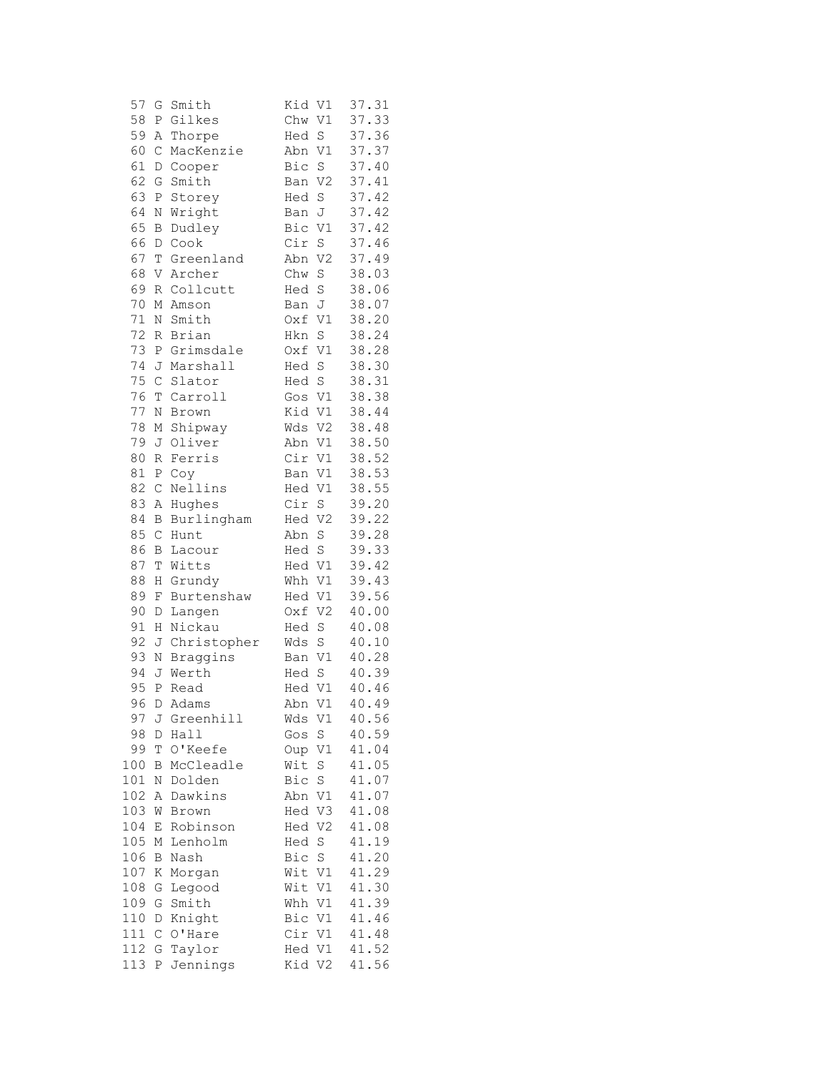| 57     | G                | Smith       | Kid<br>V1             | 37.31 |
|--------|------------------|-------------|-----------------------|-------|
| 58     | Ρ                | Gilkes      | $\mathtt{V1}$<br>Chw  | 37.33 |
| 59     | Α                | Thorpe      | $\rm S$<br>Hed        | 37.36 |
| 60     | $\mathsf C$      | MacKenzie   | Abn<br>V1             | 37.37 |
| 61     | D                | Cooper      | S<br>Bic              | 37.40 |
| 62     | G                | Smith       | V <sub>2</sub><br>Ban | 37.41 |
| 63     | $\, {\mathbb P}$ | Storey      | $\rm S$<br>Hed        | 37.42 |
| 64     | N                | Wright      | J<br>Ban              | 37.42 |
| 65     | B                | Dudley      | Bic<br>V1             | 37.42 |
| 66     | D                | Cook        | Cir<br>S              | 37.46 |
| 67     | T                | Greenland   | Abn<br>V <sub>2</sub> | 37.49 |
| 68     | V                | Archer      | Chw<br>$\rm S$        | 38.03 |
| 69     | R                | Collcutt    | S<br>Hed              | 38.06 |
| $70$   | Μ                | Amson       | J<br>Ban              | 38.07 |
| 71     | Ν                | Smith       | V1<br>Oxf             | 38.20 |
| 72     | R                | Brian       | Hkn<br>$\rm S$        | 38.24 |
| 73     | Ρ                | Grimsdale   | V1<br>Oxf             | 38.28 |
| 74     | J                | Marshall    | S<br>Hed              | 38.30 |
| 75     | $\mathsf{C}$     | Slator      | $\rm S$<br>Hed        | 38.31 |
| 76     | T                | Carroll     | V1<br>Gos             | 38.38 |
| 77     | Ν                | Brown       | Kid<br>V1             | 38.44 |
| 78     | М                | Shipway     | Wds<br>V2             | 38.48 |
| 79     | J                | Oliver      | Abn<br>V1             | 38.50 |
| $80\,$ | R                | Ferris      | Cir<br>V1             | 38.52 |
| 81     | $\, {\bf P}$     | Coy         | V1<br>Ban             | 38.53 |
| 82     | $\mathsf C$      | Nellins     | $\mathtt{V1}$<br>Hed  | 38.55 |
| 83     | Α                | Hughes      | Cir<br>S              | 39.20 |
| 84     | $\, {\bf B}$     | Burlingham  | V <sub>2</sub><br>Hed | 39.22 |
| 85     | $\mathcal{C}$    | Hunt        | S<br>Abn              | 39.28 |
| 86     | В                | Lacour      | S<br>Hed              | 39.33 |
| 87     | Τ                | Witts       | Hed V1                | 39.42 |
| 88     | Η                | Grundy      | V1<br>Whh             | 39.43 |
| 89     | F                | Burtenshaw  | V1<br>Hed             | 39.56 |
| 90     | D                | Langen      | V <sub>2</sub><br>Oxf | 40.00 |
| 91     | Η                | Nickau      | S<br>Hed              | 40.08 |
| 92     | J                | Christopher | S<br>Wds              | 40.10 |
| 93     | N                | Braggins    | $\mathtt{V1}$<br>Ban  | 40.28 |
| 94     | J                | Werth       | S<br>Hed              | 40.39 |
| 95     | $\, {\bf P}$     | Read        | Hed V1                | 40.46 |
| 96     | D                | Adams       | V1<br>Abn             | 40.49 |
| 97     | J                | Greenhill   | Wds<br>V1             | 40.56 |
| 98     | D                | Hall        | $\rm S$<br>Gos        | 40.59 |
| 99     | Т                | O'Keefe     | V1<br>Oup             | 41.04 |
| 100    | Β                | McCleadle   | Wit<br>$\rm S$        | 41.05 |
| 101    | N                | Dolden      | Bic<br>S              | 41.07 |
| 102    | Α                | Dawkins     | $\rm V1$<br>Abn       | 41.07 |
| 103    | W                | Brown       | Hed<br>V3             | 41.08 |
| 104    | E                | Robinson    | V <sub>2</sub><br>Hed | 41.08 |
| 105    | Μ                | Lenholm     | $\rm S$<br>Hed        | 41.19 |
| 106    | B                | Nash        | $\rm S$<br>Bic        | 41.20 |
| 107    | Κ                | Morgan      | V1<br>Wit             | 41.29 |
| 108    | G                | Legood      | Wit<br>V1             | 41.30 |
| 109    | G                | Smith       | V1<br>Whh             | 41.39 |
| 110    | D                | Knight      | Bic<br>V1             | 41.46 |
| 111    |                  | O'Hare      | Cir<br>V1             | 41.48 |
|        | $\mathsf C$      |             |                       | 41.52 |
| 112    | G                | Taylor      | Hed<br>V1             |       |
| 113    | Ρ                | Jennings    | Kid<br>V2             | 41.56 |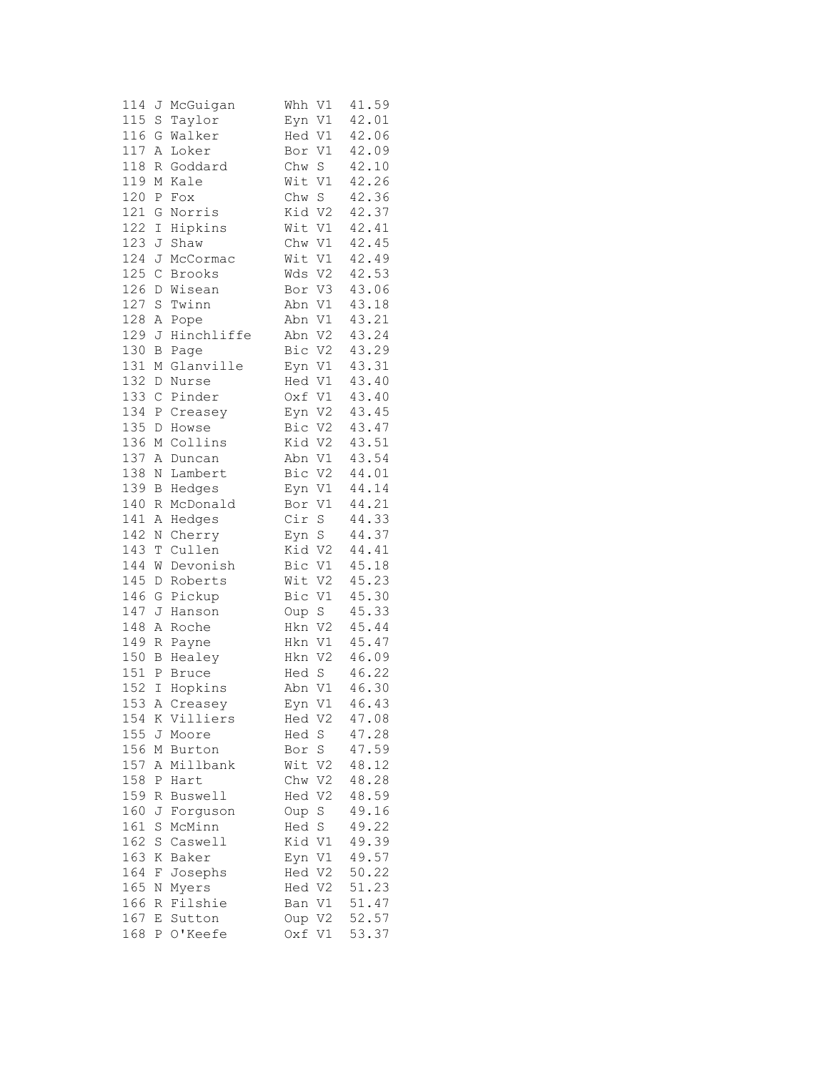| 114 | J             | McGuigan     | V1<br>Whh             | 41.59 |
|-----|---------------|--------------|-----------------------|-------|
| 115 | S             | Taylor       | Eyn V1                | 42.01 |
| 116 | G             | Walker       | Hed V1                | 42.06 |
| 117 | Α             | Loker        | V1<br>Bor             | 42.09 |
| 118 | R             | Goddard      | Chw S                 | 42.10 |
| 119 | М             | Kale         | Wit<br>V1             | 42.26 |
| 120 | Ρ             | Fox          | Chw S                 | 42.36 |
| 121 | G             | Norris       | Kid V2                | 42.37 |
| 122 | I             | Hipkins      | Wit V1                | 42.41 |
| 123 | J             | Shaw         | Chw V1                | 42.45 |
| 124 | J             | McCormac     | Wit V1                | 42.49 |
| 125 | $\mathcal{C}$ |              | V <sub>2</sub><br>Wds | 42.53 |
| 126 |               | Brooks       |                       |       |
|     | D             | Wisean       | Bor V3                | 43.06 |
| 127 | S             | Twinn        | Abn V1                | 43.18 |
| 128 | Α             | Pope         | Abn V1                | 43.21 |
| 129 | J             | Hinchliffe   | Abn<br>V <sub>2</sub> | 43.24 |
| 130 | B             | Page         | Bic<br>V <sub>2</sub> | 43.29 |
| 131 | М             | Glanville    | Eyn V1                | 43.31 |
| 132 | D             | Nurse        | Hed V1                | 43.40 |
| 133 | $\mathsf C$   | Pinder       | Oxf<br>V1             | 43.40 |
| 134 | Ρ             | Creasey      | Eyn V2                | 43.45 |
| 135 | D             | Howse        | V2<br>Bic             | 43.47 |
| 136 | М             | Collins      | Kid V2                | 43.51 |
| 137 | Α             | Duncan       | V1<br>Abn             | 43.54 |
| 138 | Ν             | Lambert      | Bic<br>V <sub>2</sub> | 44.01 |
| 139 | B             | Hedges       | Eyn V1                | 44.14 |
| 140 | R             | McDonald     | Bor V1                | 44.21 |
| 141 | Α             | Hedges       | Cir S                 | 44.33 |
| 142 | Ν             | Cherry       | Eyn S                 | 44.37 |
| 143 | Т             | Cullen       | Kid V2                | 44.41 |
| 144 | W             | Devonish     | Bic<br>V1             | 45.18 |
| 145 | D             | Roberts      | Wit<br>V <sub>2</sub> | 45.23 |
| 146 | G             | Pickup       | Bic V1                | 45.30 |
| 147 | J             | Hanson       | Oup S                 | 45.33 |
| 148 | Α             | Roche        | Hkn<br>V <sub>2</sub> | 45.44 |
| 149 | R             | Payne        | V1<br>Hkn             | 45.47 |
| 150 | В             | Healey       | Hkn V2                | 46.09 |
| 151 | Ρ             | <b>Bruce</b> | $\rm S$<br>Hed        | 46.22 |
| 152 | I             | Hopkins      | $\mathtt{V1}$<br>Abn  | 46.30 |
| 153 |               | A Creasey    | Eyn V1                | 46.43 |
| 154 |               | K Villiers   | Hed V2                | 47.08 |
| 155 | J             | Moore        | Hed S                 | 47.28 |
| 156 | М             | Burton       | Bor S                 | 47.59 |
| 157 | Α             | Millbank     | Wit<br>V2             | 48.12 |
| 158 | P             | Hart         | Chw V2                | 48.28 |
| 159 | R             | Buswell      | Hed V2                | 48.59 |
| 160 | J             | Forguson     | Oup S                 | 49.16 |
| 161 | S             | McMinn       | S<br>Hed              | 49.22 |
| 162 | S             | Caswell      | Kid V1                | 49.39 |
| 163 | Κ             | Baker        | Eyn V1                | 49.57 |
| 164 | F             | Josephs      | Hed V2                | 50.22 |
| 165 | Ν             | Myers        | Hed V2                | 51.23 |
| 166 | R             | Filshie      | Ban V1                | 51.47 |
| 167 | E             | Sutton       | Oup V2                | 52.57 |
| 168 | $\mathbf{P}$  | O'Keefe      | Oxf<br>V1             | 53.37 |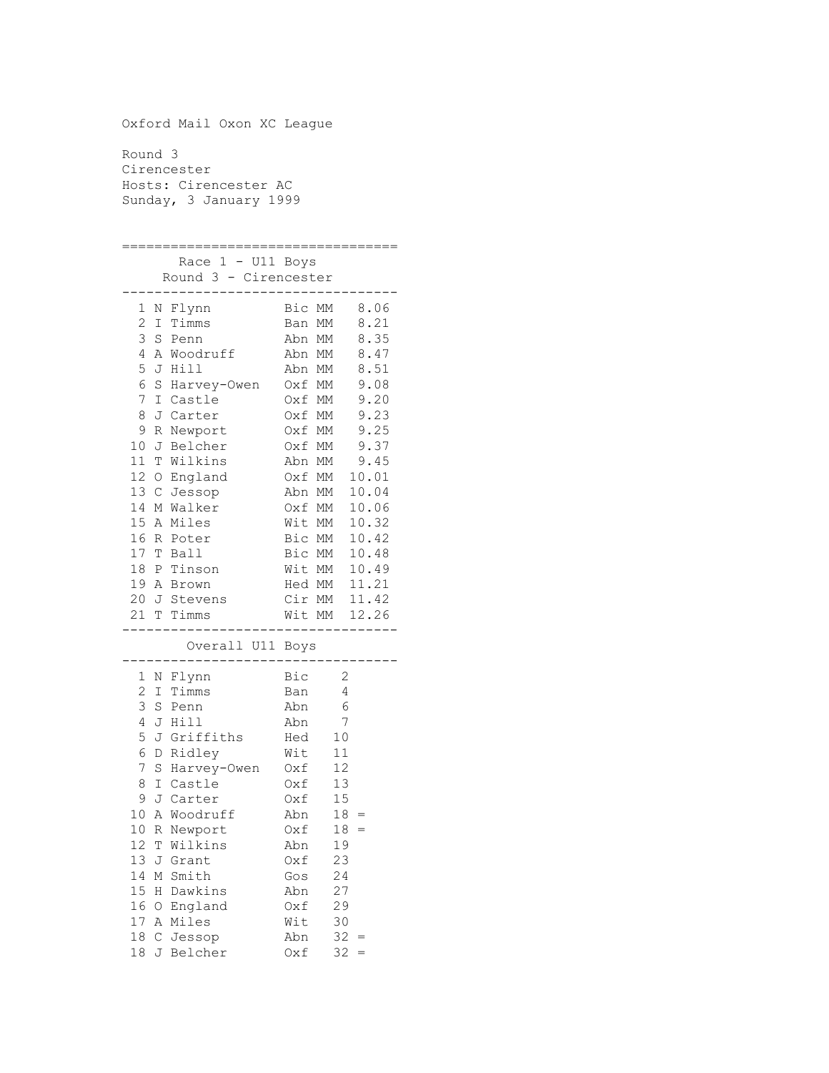Oxford Mail Oxon XC League Round 3 Cirencester Hosts: Cirencester AC Sunday, 3 January 1999 ================================== Race 1 - U11 Boys Round 3 - Cirencester ---------------------------------- 1 N Flynn Bic MM 8.06 2 I Timms Ban MM 8.21<br>3 S Penn Abn MM 8.35 3 S Penn Abn MM 8.35 4 A Woodruff Abn MM 8.47 5 J Hill Abn MM 8.51 6 S Harvey-Owen Oxf MM 9.08 7 I Castle Oxf MM 9.20 8 J Carter Oxf MM 9.23 9 R Newport Oxf MM 9.25 10 J Belcher Oxf MM 9.37 11 T Wilkins Abn MM 9.45 12 O England Oxf MM 10.01 13 C Jessop Abn MM 10.04 14 M Walker Oxf MM 10.06 15 A Miles Wit MM 10.32 16 R Poter Bic MM 10.42 16 R Poter Bic MM 10.42<br>17 T Ball Bic MM 10.48 18 P Tinson Wit MM 10.49 19 A Brown Hed MM 11.21 20 J Stevens Cir MM 11.42 21 T Timms Wit MM 12.26 ---------------------------------- Overall U11 Boys ---------------------------------- 1 N Flynn Bic 2 2 I Timms Ban 4 3 S Penn Abn 6 4 J Hill Abn 7 5 J Griffiths Hed 10 6 D Ridley Wit 11 7 S Harvey-Owen Oxf 12 8 I Castle Oxf 13 9 J Carter Oxf 15 10 A Woodruff Abn 18 = 10 R Newport 0xf 18 = 12 T Wilkins Abn 19 13 J Grant Oxf 23 14 M Smith Gos 24<br>15 H Dawkins Abn 27<br>16 O England 0xf 29 15 H Dawkins 16 O England 17 A Miles Wit 30<br>18 C Jessop Abn 32 =<br>18 J Belcher 0xf 32 =  $18$  C Jessop 18 J Belcher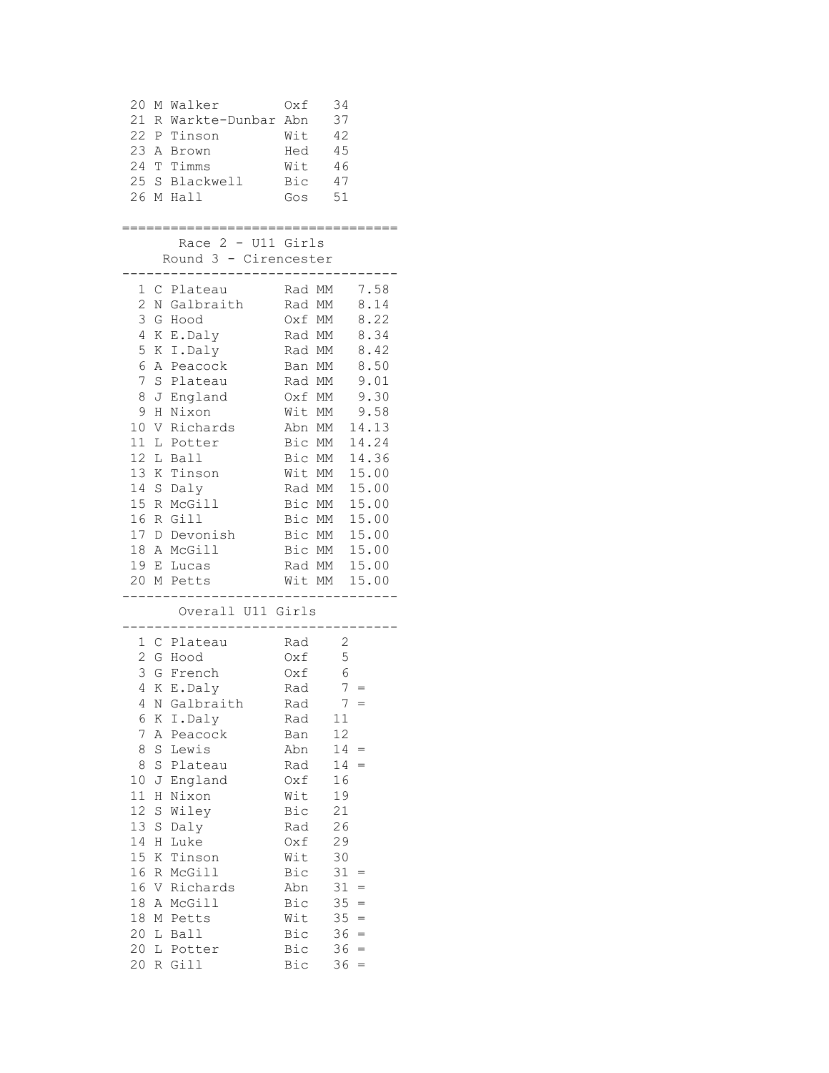|          |        | $Oxf = 34$<br>20 M Walker<br>21 R Warkte-Dunbar Abn 37<br>22 P Tinson<br>$Wit$ 42<br>23 A Brown<br>24 T Timms<br>25 S Blackwell<br>26 M Hall | Hed 45<br>Wit 46<br>Bic 47<br>Gos 51 |                                                   |  |
|----------|--------|----------------------------------------------------------------------------------------------------------------------------------------------|--------------------------------------|---------------------------------------------------|--|
|          |        | :===================================<br>Race $2 - U11$ Girls                                                                                 |                                      |                                                   |  |
|          |        | Round 3 - Cirencester<br>--------------------------------                                                                                    |                                      |                                                   |  |
|          |        | 1 C Plateau Rad MM 7.58<br>2 N Galbraith Rad MM 8.14<br>3 G Hood 0xf MM 8.22<br>4 K E.Daly Rad MM 8.34                                       |                                      |                                                   |  |
|          |        |                                                                                                                                              |                                      |                                                   |  |
|          |        |                                                                                                                                              |                                      |                                                   |  |
|          |        | 5 K I.Daly Rad MM 8.42                                                                                                                       |                                      |                                                   |  |
|          |        | 6 A Peacock Ban MM 8.50                                                                                                                      |                                      |                                                   |  |
|          |        | 7 S Plateau Rad MM 9.01                                                                                                                      |                                      |                                                   |  |
|          |        | 8 J England Oxf MM 9.30                                                                                                                      |                                      |                                                   |  |
|          |        | 9 H Nixon                                                                                                                                    | Wit MM 9.58                          |                                                   |  |
|          |        | 10 V Richards Abn MM 14.13                                                                                                                   |                                      |                                                   |  |
|          |        | 11 L Potter                                                                                                                                  | Bic MM 14.24<br>Bic MM 14.36         |                                                   |  |
|          |        | 12 L Ball                                                                                                                                    |                                      |                                                   |  |
|          |        | 13 K Tinson<br>14 S Daly                                                                                                                     | Wit MM 15.00                         |                                                   |  |
|          |        |                                                                                                                                              | Rad MM 15.00                         |                                                   |  |
|          |        | 15 R McGill Bic MM 15.00                                                                                                                     |                                      |                                                   |  |
|          |        | 16 R Gill<br>17 D Devonish Bic MM 15.00                                                                                                      | Bic MM 15.00                         |                                                   |  |
|          |        | 18 A McGill Bic MM 15.00                                                                                                                     |                                      |                                                   |  |
|          |        |                                                                                                                                              |                                      |                                                   |  |
|          |        | 19 E Lucas Rad MM 15.00<br>20 M Petts Wit MM 15.00<br>---------------------------------                                                      |                                      |                                                   |  |
|          |        |                                                                                                                                              |                                      |                                                   |  |
|          |        | Overall U11 Girls<br>--------------------------------                                                                                        |                                      |                                                   |  |
|          |        | 1 C Plateau Rad 2                                                                                                                            |                                      |                                                   |  |
|          |        | 2 G Hood                                                                                                                                     | $0xf = 5$                            |                                                   |  |
|          |        | 3 G French 0xf 6                                                                                                                             |                                      |                                                   |  |
|          |        | Rad $7 =$<br>4 K E.Daly                                                                                                                      |                                      |                                                   |  |
|          |        | 4 N Galbraith                                                                                                                                | Rad                                  | $7 =$                                             |  |
| 6        | Κ      | I.Daly                                                                                                                                       | Rad                                  | 11                                                |  |
| 7        | Α      | Peacock                                                                                                                                      | Ban                                  | 12                                                |  |
| 8<br>8   | S<br>S | Lewis<br>Plateau                                                                                                                             | Abn<br>Rad                           | $14 =$<br>14<br>$\hspace{0.1cm} = \hspace{0.1cm}$ |  |
| $10$     | J      | England                                                                                                                                      | Oxf                                  | 16                                                |  |
| 11       | Н      | Nixon                                                                                                                                        | Wit                                  | 19                                                |  |
| 12       | S      | Wiley                                                                                                                                        | Bic                                  | 21                                                |  |
| 13       | S      | Daly                                                                                                                                         | Rad                                  | 26                                                |  |
| 14       | H      | Luke                                                                                                                                         | Oxf                                  | 29                                                |  |
| 15       | K      | Tinson                                                                                                                                       | Wit                                  | 30                                                |  |
| 16       |        | R McGill                                                                                                                                     | Bic                                  | 31<br>$=$                                         |  |
| 16       |        | V Richards                                                                                                                                   | Abn                                  | 31<br>$=$                                         |  |
| 18       |        | A McGill                                                                                                                                     | Bic                                  | 35<br>$=$                                         |  |
| 18       | Μ      | Petts                                                                                                                                        | Wit                                  | $35 =$                                            |  |
| 20<br>20 | L<br>L | Ball<br>Potter                                                                                                                               | Bic<br>Bic                           | $36 =$<br>36<br>$=$                               |  |
| 20       |        | R Gill                                                                                                                                       | Bic                                  | 36<br>$\hspace{0.1cm} = \hspace{0.1cm}$           |  |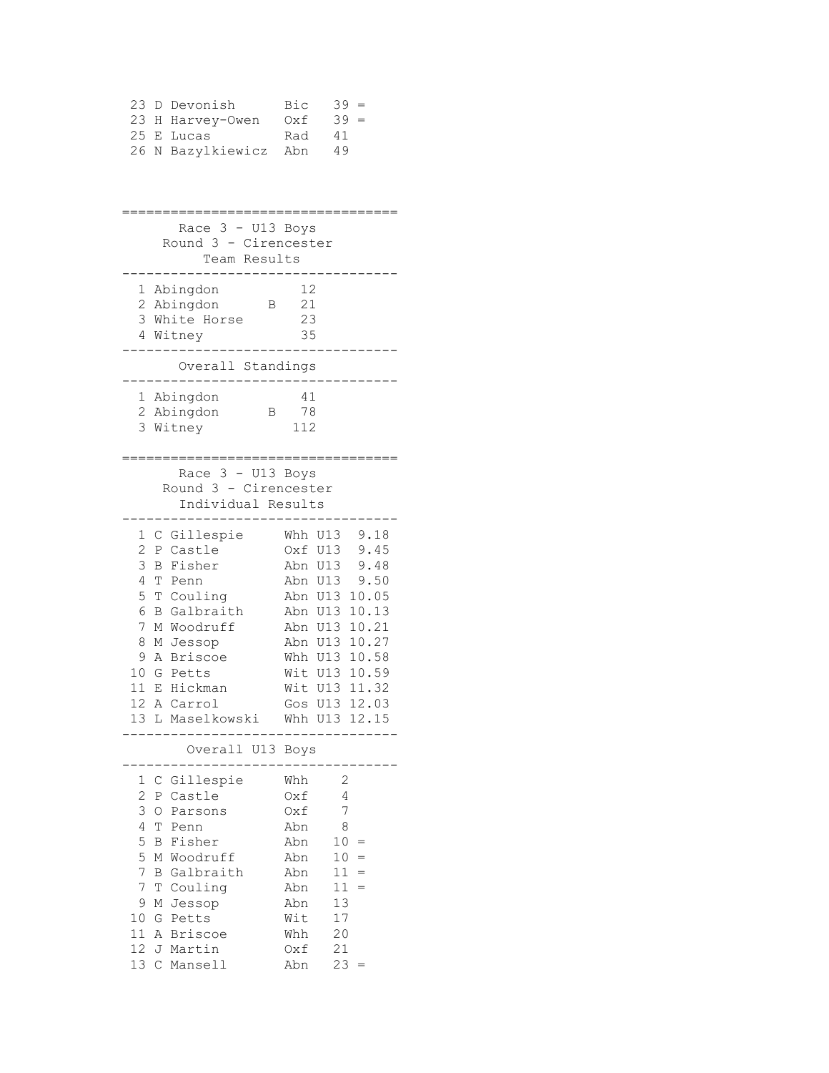|  | 23 D Devonish         | Bic | $39 =$ |
|--|-----------------------|-----|--------|
|  | 23 H Harvey-Owen      | Oxf | $39 =$ |
|  | 25 E Lucas            | Rad | 41     |
|  | 26 N Bazylkiewicz Abn |     | 49     |

================================== Race  $3 - U13$  Boys Round 3 - Cirencester Team Results ---------------------------------- 1 Abingdon 12 2 Abingdon B 21 3 White Horse 23 4 Witney 35 ---------------------------------- Overall Standings ---------------------------------- 1 Abingdon 41 2 Abingdon B 78 3 Witney 112 ================================== Race 3 - U13 Boys Round 3 - Cirencester Individual Results ---------------------------------- 1 C Gillespie Whh U13 9.18 2 P Castle Oxf U13 9.45 3 B Fisher Abn U13 9.48 4 T Penn Abn U13 9.50 5 T Couling Abn U13 10.05 6 B Galbraith Abn U13 10.13 7 M Woodruff Abn U13 10.21 8 M Jessop Abn U13 10.27 9 A Briscoe Whh U13 10.58 10 G Petts Wit U13 10.59 11 E Hickman Wit U13 11.32 12 A Carrol Gos U13 12.03 13 L Maselkowski Whh U13 12.15 ---------------------------------- Overall U13 Boys ---------------------------------- 1 C Gillespie Whh 2<br>2 P Castle 0xf 4 2 P Castle 0xf 3 O Parsons Oxf 7 4 T Penn Abn 8<br>5 B Fisher Abn 10 = 5 B Fisher Abn 10 = 5 M Woodruff Abn 10 = 7 B Galbraith Abn 11 = 7 T Couling Abn 11 = 9 M Jessop Abn 13 10 G Petts Wit 17 11 A Briscoe Whh 20 12 J Martin Oxf 21 13 C Mansell Abn 23 =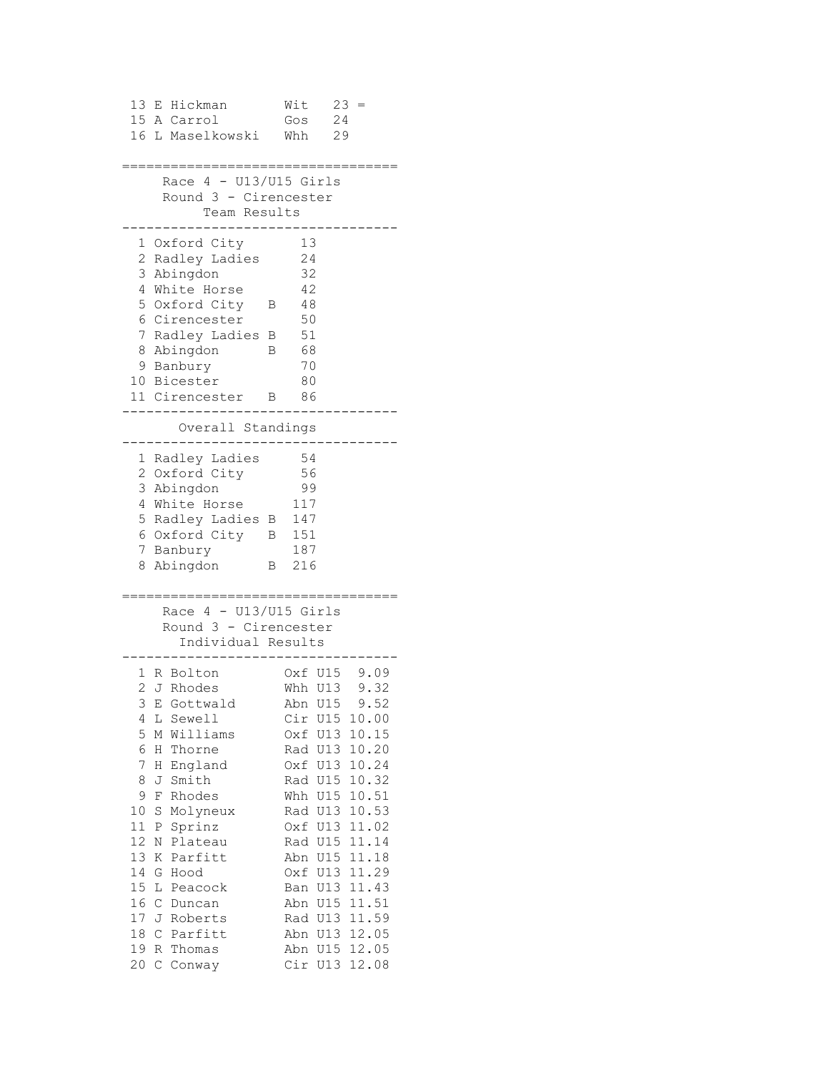```
13 E Hickman Wit 23 =
15 A Carrol Gos 24
16 L Maselkowski Whh 29
==================================
   Race 4 - U13/U15 Girls
    Round 3 - Cirencester
      Team Results
----------------------------------
  1 Oxford City 13
  2 Radley Ladies 24
  3 Abingdon 32
  4 White Horse 42
  5 Oxford City B 48
  6 Cirencester 50
  7 Radley Ladies B 51
 8 Abingdon B 68<br>9 Banbury 70
 9 Banbury 70
10 Bicester 80
11 Cirencester B 86
----------------------------------
     Overall Standings
----------------------------------
  1 Radley Ladies 54
  2 Oxford City 56
  3 Abingdon 99
  4 White Horse 117
  5 Radley Ladies B 147
  6 Oxford City B 151
  7 Banbury 187
  8 Abingdon B 216
==================================
   Race 4 - U13/U15 Girls
    Round 3 - Cirencester
     Individual Results
----------------------------------
 1 R Bolton Oxf U15 9.09
 2 J Rhodes Whh U13 9.32
 3 E Gottwald Abn U15 9.52
 4 L Sewell Cir U15 10.00
 5 M Williams Oxf U13 10.15
 6 H Thorne Rad U13 10.20
 7 H England Oxf U13 10.24
8 J Smith Rad U15 10.32
 9 F Rhodes Whh U15 10.51
10 S Molyneux Rad U13 10.53
11 P Sprinz Oxf U13 11.02
12 N Plateau Rad U15 11.14
13 K Parfitt Abn U15 11.18
14 G Hood Oxf U13 11.29
15 L Peacock Ban U13 11.43
16 C Duncan Abn U15 11.51
17 J Roberts Rad U13 11.59
18 C Parfitt Abn U13 12.05
19 R Thomas Abn U15 12.05
20 C Conway Cir U13 12.08
```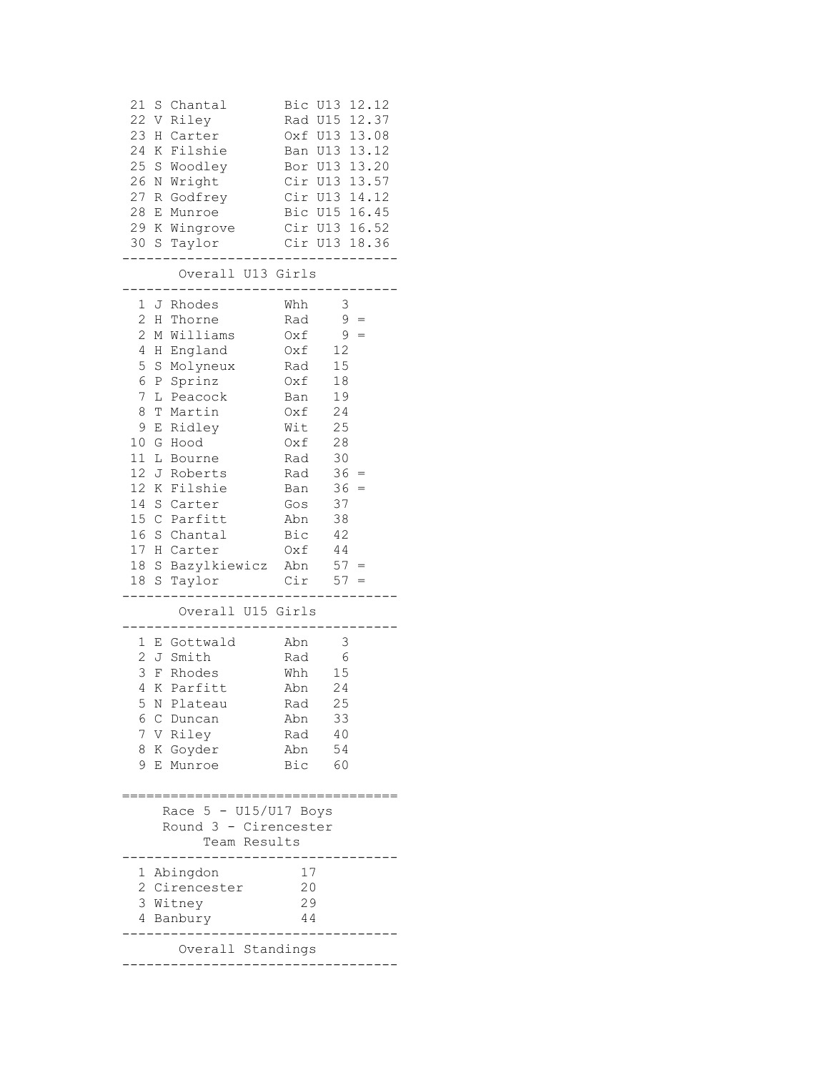| 21<br>S Chantal<br>22<br>V Riley<br>23<br>H Carter<br>24 K Filshie<br>25 S Woodley<br>26 N Wright<br>27 R Godfrey<br>28 E Munroe | Bic U13 12.12<br>Rad U15 12.37<br>Oxf U13 13.08<br>Ban U13 13.12<br>Bor U13 13.20<br>Cir U13 13.57<br>Cir U13 14.12<br>Bic U15 16.45 |
|----------------------------------------------------------------------------------------------------------------------------------|--------------------------------------------------------------------------------------------------------------------------------------|
| 29 K Wingrove<br>30 S<br>Taylor                                                                                                  | Cir U13 16.52<br>Cir U13 18.36                                                                                                       |
| .<br>Overall U13 Girls                                                                                                           | .                                                                                                                                    |
| 1<br>J Rhodes                                                                                                                    | Whh<br>$\overline{\mathbf{3}}$                                                                                                       |
| $\overline{c}$<br>H Thorne                                                                                                       | $9 =$<br>Rad                                                                                                                         |
| $\overline{c}$<br>M Williams                                                                                                     | $9 =$<br>Oxf                                                                                                                         |
| 4<br>H England                                                                                                                   | 12<br>Oxf                                                                                                                            |
| 5<br>S Molyneux                                                                                                                  | 15<br>Rad                                                                                                                            |
| 6<br>P Sprinz                                                                                                                    | 18<br>Oxf                                                                                                                            |
| 7<br>L Peacock                                                                                                                   | 19<br>Ban                                                                                                                            |
| 8<br>T Martin                                                                                                                    | 24<br>Oxf                                                                                                                            |
| 9<br>E Ridley                                                                                                                    | 25<br>Wit                                                                                                                            |
| 10<br>G Hood                                                                                                                     | 28<br>Oxf                                                                                                                            |
| 11<br>L Bourne                                                                                                                   | 30<br>Rad                                                                                                                            |
| 12 J Roberts                                                                                                                     | $36 =$<br>Rad                                                                                                                        |
| 12 K<br>Filshie                                                                                                                  | $36 =$<br>Ban                                                                                                                        |
| 14<br>S Carter                                                                                                                   | 37<br>Gos                                                                                                                            |
| 15 C Parfitt                                                                                                                     | 38<br>Abn                                                                                                                            |
| 16 S Chantal                                                                                                                     | Bic<br>$4\sqrt{2}$                                                                                                                   |
| 17 H Carter                                                                                                                      | Oxf<br>44                                                                                                                            |
| 18 S Bazylkiewicz Abn                                                                                                            | $57 =$                                                                                                                               |
| 18 S Taylor                                                                                                                      | $Cir$ 57 =                                                                                                                           |
| Overall U15 Girls                                                                                                                | $--   -$                                                                                                                             |
| 1 E Gottwald                                                                                                                     | $\mathfrak{Z}$<br>Abn                                                                                                                |
| 2<br>J Smith                                                                                                                     | $\sqrt{6}$<br>Rad                                                                                                                    |
| 3<br>F Rhodes                                                                                                                    | 15<br>Whh                                                                                                                            |
| K Parfitt<br>4                                                                                                                   | 24<br>Abn                                                                                                                            |
| 5 N Plateau                                                                                                                      | 25<br>Rad                                                                                                                            |
| 6<br>C<br>Duncan                                                                                                                 | 33<br>Abn                                                                                                                            |
| 7 V Riley                                                                                                                        | 40<br>Rad                                                                                                                            |
| 8 K Goyder                                                                                                                       | 54<br>Abn                                                                                                                            |
| 9<br>Е<br>Munroe                                                                                                                 | Bic<br>60                                                                                                                            |
|                                                                                                                                  |                                                                                                                                      |
| Race 5 - U15/U17 Boys                                                                                                            |                                                                                                                                      |
| Round 3 - Cirencester                                                                                                            |                                                                                                                                      |
| Team Results                                                                                                                     |                                                                                                                                      |
| Abingdon<br>ı                                                                                                                    | 17                                                                                                                                   |
| 2<br>Cirencester                                                                                                                 | 20                                                                                                                                   |
| 3 Witney                                                                                                                         | 29                                                                                                                                   |
| 4<br>Banbury                                                                                                                     | 44                                                                                                                                   |
| Overall Standings                                                                                                                |                                                                                                                                      |
|                                                                                                                                  |                                                                                                                                      |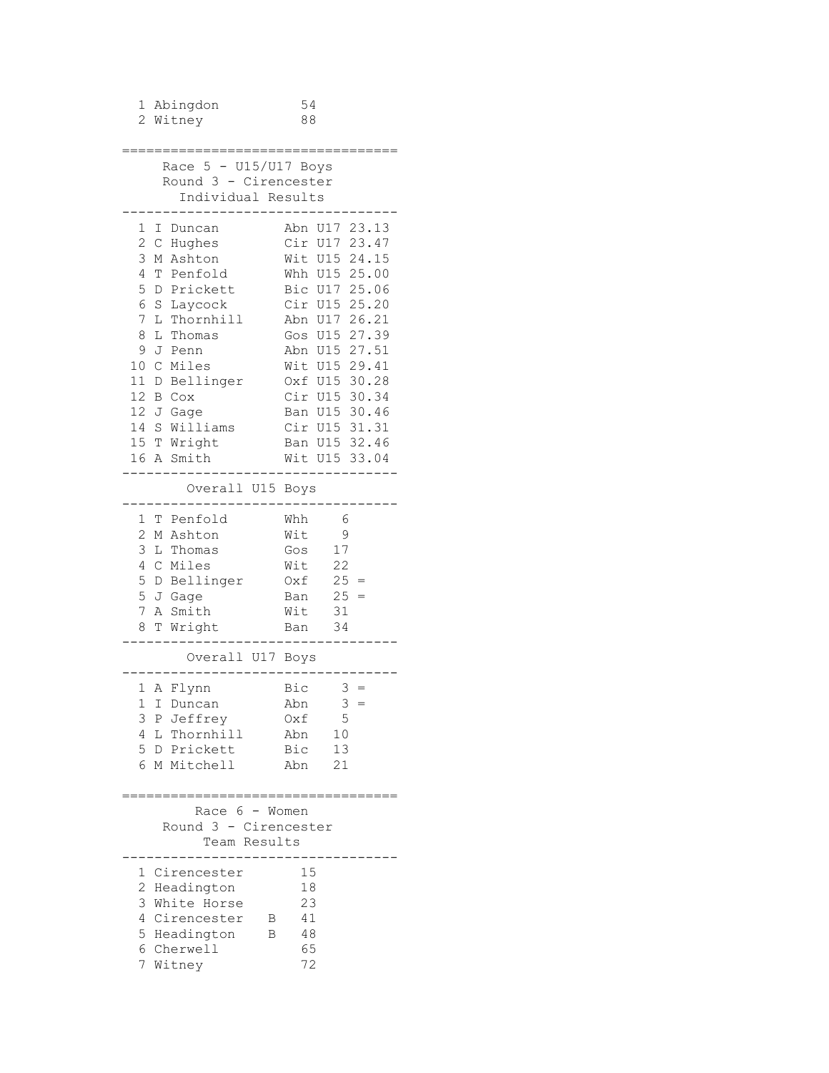| 1 Abingdon<br>2 Witney                           | 54<br>88                        |
|--------------------------------------------------|---------------------------------|
|                                                  |                                 |
|                                                  |                                 |
| Race $5 - U15/U17$ Boys<br>Round 3 - Cirencester |                                 |
| Individual Results                               |                                 |
|                                                  |                                 |
| 1 I Duncan                                       | Abn U17 23.13                   |
| 2 C Hughes                                       | Cir U17 23.47                   |
| 3 M Ashton                                       | Wit U15 24.15                   |
| 4<br>T Penfold<br>5<br>D Prickett                | Whh U15 25.00<br>Bic U17 25.06  |
| 6<br>S Laycock                                   | Cir U15 25.20                   |
| 7                                                | L Thornhill Abn U17 26.21       |
| 8<br>L Thomas                                    | Gos U15 27.39                   |
| 9<br>J Penn                                      | Abn U15 27.51                   |
| 10 C Miles                                       | Wit U15 29.41                   |
| 11 D Bellinger                                   | Oxf U15 30.28                   |
| 12 B Cox                                         | Cir U15 30.34                   |
| 12 J Gage                                        | Ban U15 30.46                   |
| 14 S Williams<br>15 T Wright                     | Cir U15 31.31<br>Ban U15 32.46  |
| 16 A Smith                                       | Wit U15 33.04                   |
|                                                  |                                 |
| Overall U15 Boys                                 |                                 |
| 1 T Penfold                                      | Whh<br>$6\overline{6}$          |
| 2 M Ashton                                       | Wit<br>- 9                      |
| 3<br>L Thomas                                    | 17<br>Gos                       |
| C Miles<br>4                                     | $Wit$ 22<br>$0xf = 25 =$        |
| 5 D Bellinger<br>5 J Gage                        | Ban $25 =$                      |
| 7 A Smith                                        | Wit 31                          |
| 8 T Wright                                       | Ban 34                          |
| Overall U17 Boys                                 |                                 |
|                                                  |                                 |
| 1 A Flynn<br>I Duncan<br>1                       | Bic<br>$3 =$<br>3<br>Abn<br>$=$ |
| 3 P Jeffrey                                      | 5<br>Oxf                        |
| 4 L Thornhill                                    | 10<br>Abn                       |
| 5 D Prickett                                     | 13<br>Bic                       |
| 6 M Mitchell                                     | Abn<br>21                       |
|                                                  | --------------                  |
| Race 6 - Women                                   |                                 |
| Round 3 - Cirencester<br>Team Results            |                                 |
|                                                  |                                 |
| 1 Cirencester                                    | 15                              |
| 2 Headington                                     | 18                              |
| 3 White Horse                                    | 23                              |
| 4 Cirencester                                    | 41<br>B                         |
| 5 Headington<br>6 Cherwell                       | 48<br>B<br>65                   |
| 7 Witney                                         | 72                              |
|                                                  |                                 |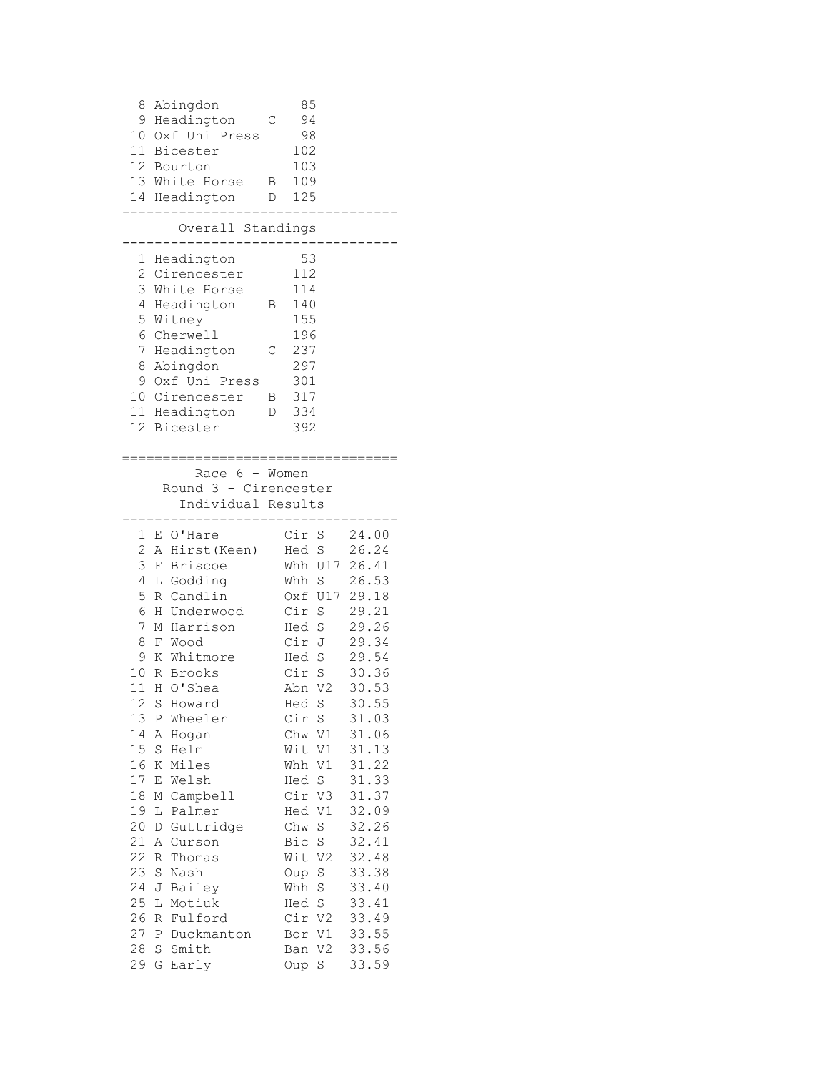8 Abingdon 85 9 Headington C 94 10 Oxf Uni Press 98 11 Bicester 102 12 Bourton 103 13 White Horse B 109 14 Headington D 125 ---------------------------------- Overall Standings ---------------------------------- 1 Headington 53 2 Cirencester 112 3 White Horse 114 4 Headington B 140 5 Witney 155 6 Cherwell 196 7 Headington C 237 8 Abingdon 297 9 Oxf Uni Press 301 10 Cirencester B 317 11 Headington D 334<br>12 Bicester 392 12 Bicester ================================== Race 6 - Women Round 3 - Cirencester Individual Results ---------------------------------- 1 E O'Hare Cir S 24.00<br>2 A Hirst (Keen) Hed S 26.24 2 A Hirst(Keen) Hed S 26.24 3 F Briscoe Whh U17 26.41 4 L Godding Whh S 26.53 5 R Candlin Oxf U17 29.18 6 H Underwood Cir S 29.21 7 M Harrison Hed S 29.26 8 F Wood Cir J 29.34 9 K Whitmore Hed S 29.54 10 R Brooks Cir S 30.36 11 H O'Shea Abn V2 30.53 12 S Howard Hed S 30.55 13 P Wheeler Cir S 31.03 14 A Hogan Chw V1 31.06 15 S Helm Wit V1 31.13 16 K Miles Whh V1 31.22 17 E Welsh Hed S 31.33 18 M Campbell Cir V3 31.37 19 L Palmer Hed V1 32.09 20 D Guttridge Chw S 32.26 21 A Curson Bic S 32.41 22 R Thomas Wit V2 32.48 23 S Nash Oup S 33.38 24 J Bailey Whh S 33.40 25 L Motiuk Hed S 33.41 26 R Fulford Cir V2 33.49 27 P Duckmanton Bor V1 33.55 28 S Smith Ban V2 33.56 29 G Early Oup S 33.59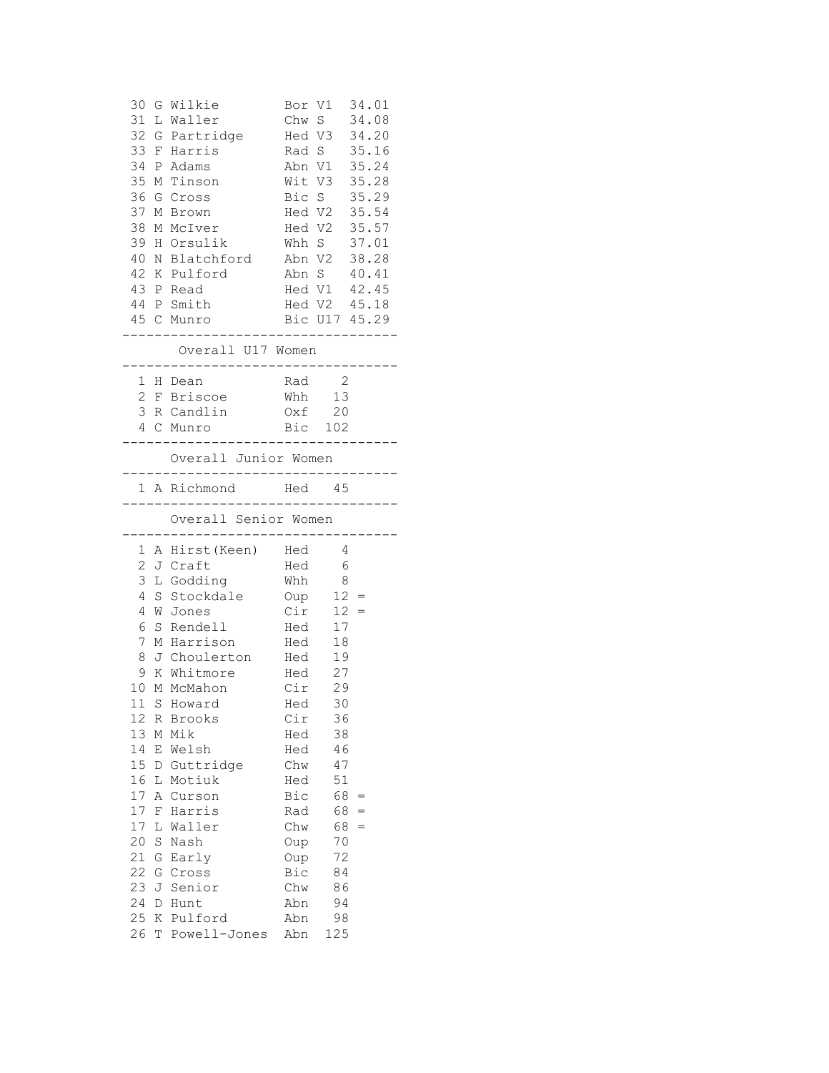|        |   | 30 G Wilkie                                                                                                      |                                             | Bor V1 34.01          |     |  |
|--------|---|------------------------------------------------------------------------------------------------------------------|---------------------------------------------|-----------------------|-----|--|
|        |   | 31 L Waller                                                                                                      |                                             | Chw S 34.08           |     |  |
|        |   | 32 G Partridge Hed V3 34.20                                                                                      |                                             |                       |     |  |
|        |   | 33 F Harris Rad S 35.16                                                                                          |                                             |                       |     |  |
|        |   | 34 P Adams                                                                                                       |                                             | Abn V1 35.24          |     |  |
|        |   | 35 M Tinson                                                                                                      |                                             | Wit V3 35.28          |     |  |
|        |   | 36 G Cross                                                                                                       |                                             | Bic S 35.29           |     |  |
|        |   | 37 M Brown                                                                                                       |                                             |                       |     |  |
|        |   | 38 M McIver                                                                                                      |                                             |                       |     |  |
|        |   | 39 H Orsulik                                                                                                     | Hed V2 35.54<br>Hed V2 35.57<br>Whh S 37.01 |                       |     |  |
|        |   | 40 N Blatchford Abn V2 38.28                                                                                     |                                             |                       |     |  |
|        |   | 42 K Pulford                                                                                                     | Abn S 40.41                                 |                       |     |  |
|        |   | 43 P Read                                                                                                        | Hed V1 42.45                                |                       |     |  |
|        |   | 44 P Smith Hed V2 45.18                                                                                          |                                             |                       |     |  |
|        |   | 45 C Munro                                                                                                       | Bic U17 45.29                               |                       |     |  |
|        |   | ___________<br>Overall U17 Women                                                                                 |                                             | . _ _ _ _ _ _ _ _ _ _ |     |  |
|        |   | ---------------------------------<br>1 H Dean                                                                    | Rad 2                                       |                       |     |  |
|        |   | 2 F Briscoe Mhh 13                                                                                               |                                             |                       |     |  |
|        |   | 3 R Candlin 0xf 20                                                                                               |                                             |                       |     |  |
|        |   | 4 C Munro Bic 102                                                                                                |                                             |                       |     |  |
|        |   | Overall Junior Women<br>---------------------------------                                                        |                                             |                       |     |  |
|        |   | 1 A Richmond Hed 45<br>----------------------------------                                                        |                                             |                       |     |  |
|        |   |                                                                                                                  |                                             |                       |     |  |
|        |   | Overall Senior Women                                                                                             |                                             |                       |     |  |
|        |   | --------------------------------<br>1 A Hirst (Keen) Hed 4                                                       |                                             |                       |     |  |
|        |   | 2 J Craft                                                                                                        | Hed 6                                       |                       |     |  |
|        |   | 3 L Godding Mhh 8                                                                                                |                                             |                       |     |  |
|        |   |                                                                                                                  |                                             |                       |     |  |
|        |   | 4 S Stockdale Oup 12 =<br>4 W Jones                                                                              |                                             |                       |     |  |
|        |   |                                                                                                                  | $Cir$ 12 =                                  |                       |     |  |
|        |   |                                                                                                                  |                                             |                       |     |  |
|        |   |                                                                                                                  |                                             |                       |     |  |
|        |   |                                                                                                                  |                                             |                       |     |  |
|        |   | 6 S Rendell Hed 17<br>7 M Harrison Hed 18<br>8 J Choulerton Hed 19<br>9 K Whitmore Hed 27<br>10 M McMahon Cir 29 |                                             |                       |     |  |
|        |   | 11 S Howard Hed 30                                                                                               |                                             |                       |     |  |
| 12     |   | R Brooks                                                                                                         | Cir                                         | 36                    |     |  |
| 13     | М | Mik                                                                                                              | Hed                                         | 38                    |     |  |
| 14     | Ε | Welsh                                                                                                            | Hed                                         | 46                    |     |  |
| 15     | D | Guttridge                                                                                                        | Chw                                         | 47                    |     |  |
| 16     | L | Motiuk                                                                                                           | Hed                                         | 51                    |     |  |
| 17     | Α | Curson                                                                                                           | Bic                                         | 68                    | $=$ |  |
| $17\,$ | F | Harris                                                                                                           | Rad                                         | 68                    | $=$ |  |
| $17\,$ | L | Waller                                                                                                           | Chw                                         | 68                    | $=$ |  |
| 20     | S | Nash                                                                                                             | Oup                                         | 70                    |     |  |
| 21     | G | Early                                                                                                            | Oup                                         | 72                    |     |  |
| 22     | G | Cross                                                                                                            | Bic                                         | 84                    |     |  |
| 23     | J | Senior                                                                                                           | Chw                                         | 86                    |     |  |
| 24     | D | Hunt                                                                                                             | Abn                                         | 94                    |     |  |
| 25     | Κ | Pulford                                                                                                          | Abn                                         | 98                    |     |  |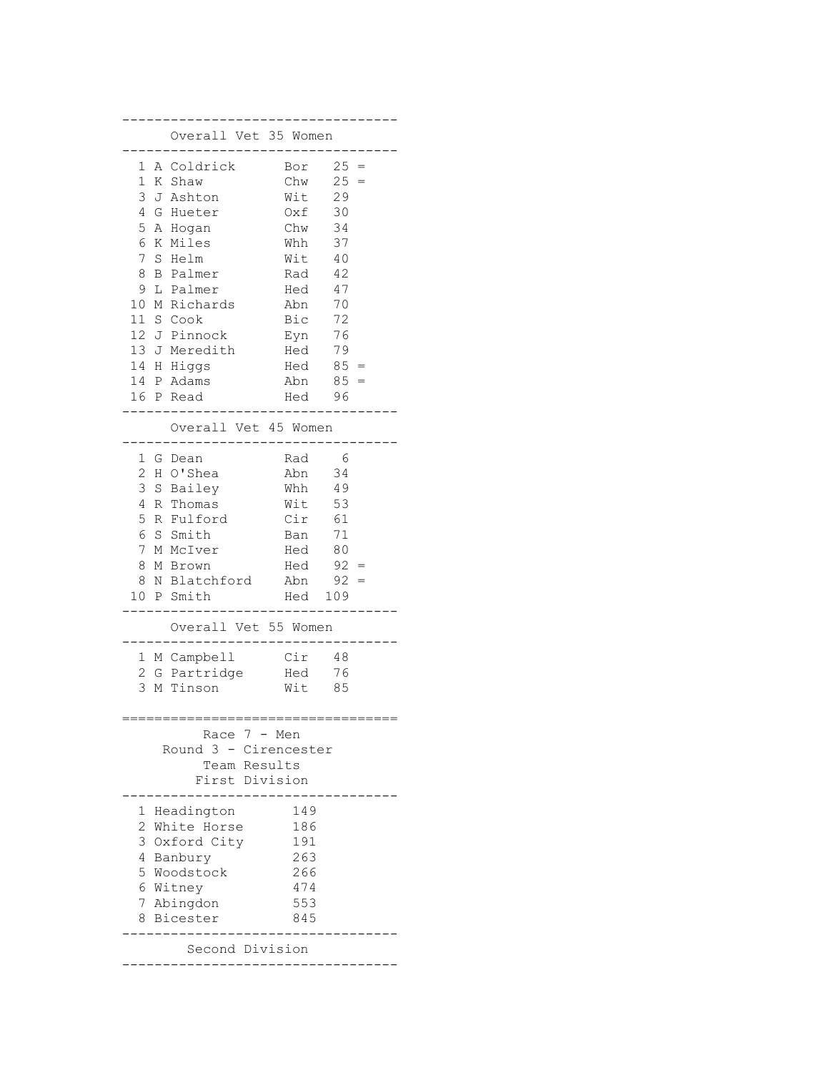|                | Overall Vet 35 Women      |                   |        |
|----------------|---------------------------|-------------------|--------|
|                |                           |                   |        |
| 1              | A Coldrick                | Bor               | $25 =$ |
| 1              | K Shaw                    | Chw               | $25 =$ |
| 3              | J Ashton                  | Wit               | 29     |
| 4              | G Hueter                  | Oxf               | 30     |
| 5              | A Hogan                   | Chw               | 34     |
| 6              | K Miles                   | Whh               | 37     |
| 7              | S Helm                    | Wit               | 40     |
| 8              | <b>B</b> Palmer           | Rad               | 42     |
| 9              | L Palmer                  | Hed               | 47     |
| 10             | M Richards                | Abn               | 70     |
|                | 11 S Cook                 | Bic               | 72     |
|                | 12 J Pinnock              | Eyn               | 76     |
|                | 13 J Meredith             | Hed               | 79     |
|                | 14 H Higgs                | Hed               | $85 =$ |
|                | 14 P Adams                | Abn               | 85     |
|                | 16 P Read                 | Hed               | 96     |
|                |                           |                   |        |
|                | Overall Vet 45 Women      |                   |        |
| 1              | G Dean                    | Rad               | - 6    |
| $\overline{c}$ | H O'Shea                  | Abn 34            |        |
|                | 3 S Bailey                | Whh               | 49     |
| 4              | R Thomas                  | Wit               | 53     |
| 5              | R Fulford                 | Cir               | 61     |
| 6              | S Smith                   | Ban               | 71     |
| 7              | M McIver                  |                   | 80     |
| 8              |                           | Hed               | $92 =$ |
|                | M Brown<br>8 N Blatchford | Hed<br>$Abn$ 92 = |        |
|                |                           |                   |        |
|                | 10 P Smith                | Hed 109           |        |
|                | Overall Vet 55 Women      |                   |        |
|                | 1 M Campbell              | Cir               | -48    |
| 2              | G Partridge               | Hed               | 76     |
| 3              | M Tinson                  | Wit               | 85     |
|                |                           |                   |        |
|                |                           |                   |        |
|                | Race 7 - Men              |                   |        |
|                | Round 3                   | - Cirencester     |        |
|                | Team Results              |                   |        |
|                | First Division            |                   |        |
|                |                           |                   |        |
| 1              | Headington                | 149               |        |
| 2              | White Horse               | 186               |        |
| 3              | Oxford City               | 191               |        |
| 4              | Banbury                   | 263               |        |
| 5              | Woodstock                 | 266               |        |
|                | 6 Witney                  | 474               |        |
| 7              | Abingdon                  | 553               |        |
| 8              | Bicester                  | 845               |        |
|                |                           |                   |        |
|                | Second Division           |                   |        |
|                |                           |                   |        |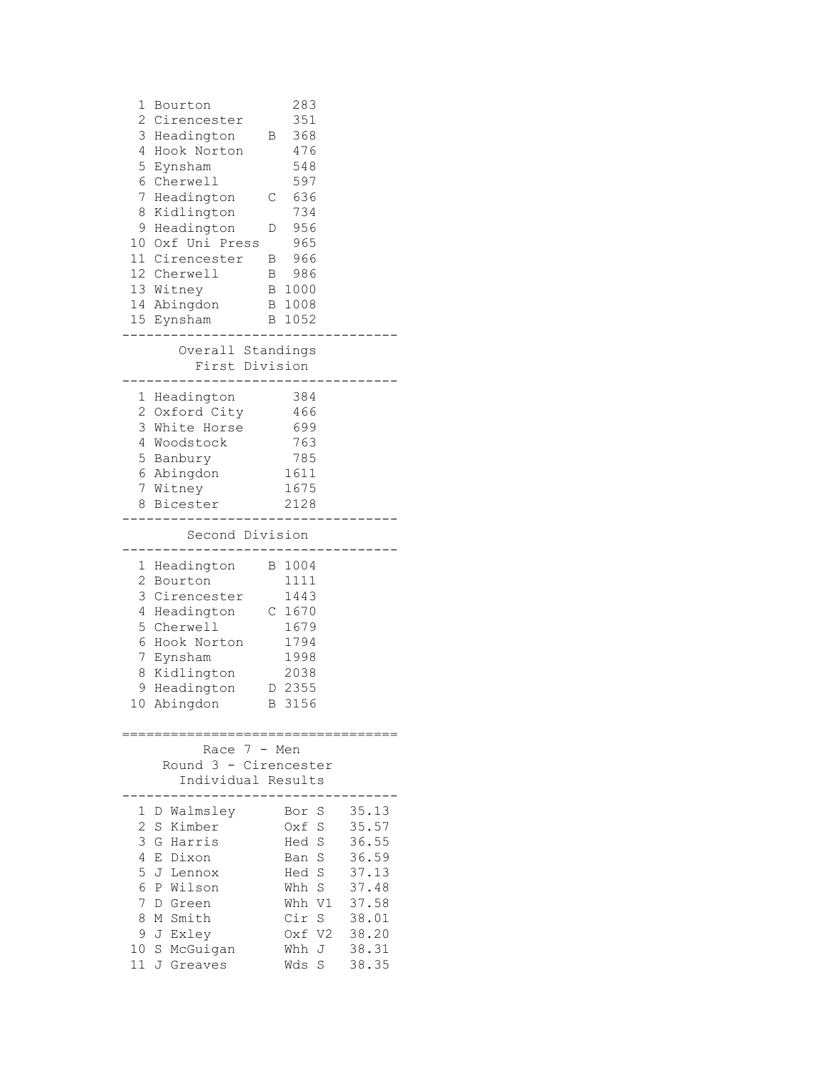| 1<br>Bourton<br>$\mathbf{2}$<br>Cirencester<br>3<br>Headington<br>4<br>Hook Norton<br>5<br>Eynsham<br>6<br>Cherwell<br>7<br>Headington<br>8<br>Kidlington<br>9<br>Headington<br>10 Oxf Uni Press<br>11 Cirencester<br>12 Cherwell<br>13 Witney<br>14 Abingdon<br>15<br>Eynsham<br>Overall Standings | 283<br>351<br>368<br>Β<br>476<br>548<br>597<br>636<br>С<br>734<br>956<br>D<br>965<br>966<br>Β<br>986<br>$\mathbf{B}$<br>B 1000<br>B 1008<br>1052<br>В |                                                                                                 |
|-----------------------------------------------------------------------------------------------------------------------------------------------------------------------------------------------------------------------------------------------------------------------------------------------------|-------------------------------------------------------------------------------------------------------------------------------------------------------|-------------------------------------------------------------------------------------------------|
| First Division                                                                                                                                                                                                                                                                                      |                                                                                                                                                       |                                                                                                 |
| Headington<br>1<br>2<br>Oxford City<br>3<br>White Horse<br>4<br>Woodstock<br>5 Banbury<br>6 Abingdon<br>7 Witney<br>8 Bicester                                                                                                                                                                      | 384<br>466<br>699<br>763<br>785<br>1611<br>1675<br>2128                                                                                               |                                                                                                 |
| Second Division                                                                                                                                                                                                                                                                                     |                                                                                                                                                       |                                                                                                 |
| 1<br>Headington<br>2<br>Bourton<br>3<br>Cirencester<br>4<br>Headington<br>5<br>Cherwell<br>Hook Norton<br>6<br>7<br>Eynsham<br>8<br>Kidlington<br>9<br>Headington<br>10<br>Abingdon<br>==============================                                                                               | 1004<br>В<br>1111<br>1443<br>$C$ 1670<br>1679<br>1794<br>1998<br>2038<br>2355<br>D<br>3156<br>В                                                       |                                                                                                 |
| Race $7 -$<br>Round 3 - Cirencester<br>Individual Results                                                                                                                                                                                                                                           | Men                                                                                                                                                   |                                                                                                 |
| Walmsley<br>1<br>D<br>2<br>Kimber<br>S<br>3<br>G Harris<br>4<br>E Dixon<br>5<br>J<br>Lennox<br>6<br>P Wilson<br>7<br>D<br>Green<br>8<br>M Smith<br>9<br>J Exley<br>10<br>S<br>McGuigan<br>11<br>J Greaves                                                                                           | S<br>Bor<br>Oxf<br>S<br>Hed<br>S<br>S<br>Ban<br>S<br>Hed<br>S<br>Whh<br>V1<br>Whh<br>Cir<br>S<br>V2<br>0xf<br>Whh<br>J<br>Wds<br>S                    | 35.13<br>35.57<br>36.55<br>36.59<br>37.13<br>37.48<br>37.58<br>38.01<br>38.20<br>38.31<br>38.35 |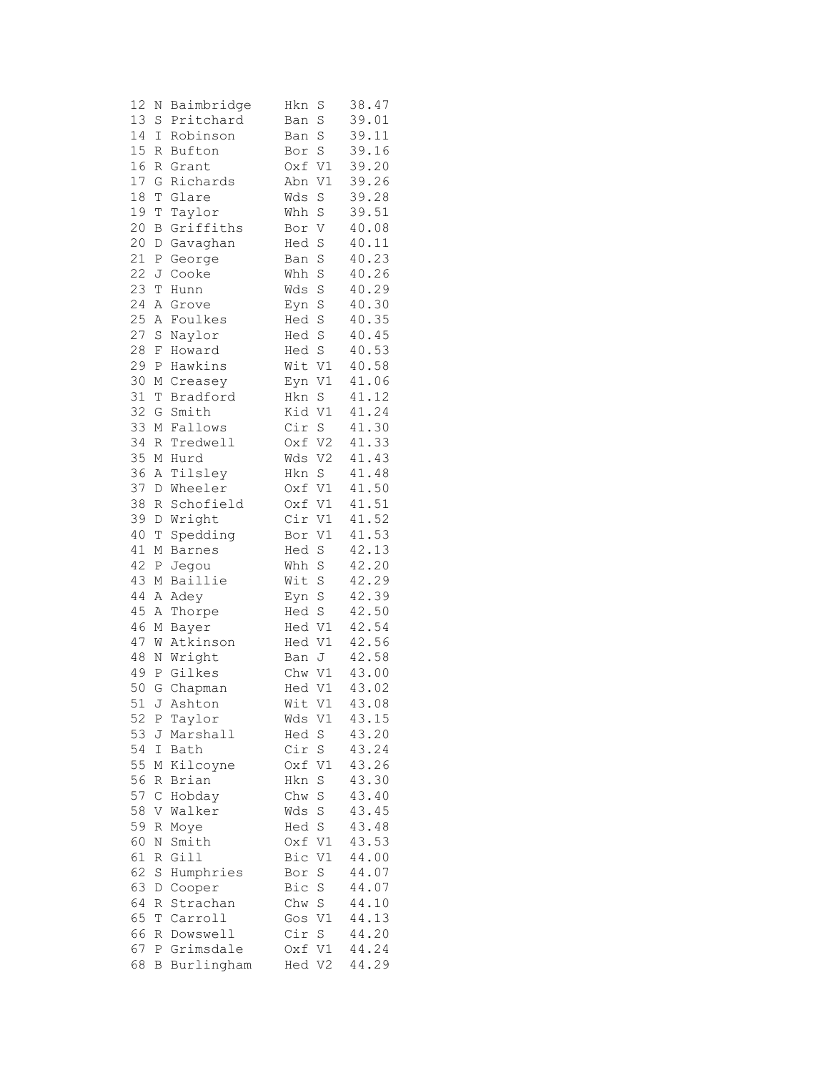| 12 | Ν           | Baimbridge    | Hkn            | S                 | 38.47 |
|----|-------------|---------------|----------------|-------------------|-------|
| 13 | S           | Pritchard     | Ban            | S                 | 39.01 |
| 14 | I           | Robinson      | Ban            | S                 | 39.11 |
| 15 | R           | Bufton        | Bor            | S                 | 39.16 |
| 16 | R           | Grant         | Oxf            | V1                | 39.20 |
| 17 | G           | Richards      | Abn            | V1                | 39.26 |
| 18 | T           | Glare         | Wds            | S                 | 39.28 |
| 19 | T           | Taylor        | Whh            | $\rm S$           | 39.51 |
| 20 | B           | Griffiths     | Bor            | V                 | 40.08 |
| 20 | D           | Gavaghan      | Hed            | S                 | 40.11 |
| 21 | Ρ           | George        | Ban            | S                 | 40.23 |
| 22 | J           | Cooke         | $\mathtt{Whh}$ | $\rm S$           | 40.26 |
| 23 | T           | Hunn          | Wds            | S                 | 40.29 |
| 24 | Α           | Grove         | Eyn            | $\rm S$           | 40.30 |
| 25 | Α           | Foulkes       | Hed            | S                 | 40.35 |
| 27 | S           | Naylor        | Hed            | S                 | 40.45 |
| 28 | F           | Howard        | Hed            | S                 | 40.53 |
| 29 | Ρ           | Hawkins       | Wit V1         |                   | 40.58 |
| 30 | М           | Creasey       | Eyn            | V1                | 41.06 |
| 31 | T           | Bradford      | Hkn            | S                 | 41.12 |
| 32 | G           | Smith         | Kid            | V1                | 41.24 |
| 33 | М           | Fallows       | Cir            | S                 | 41.30 |
| 34 | R           | Tredwell      | Oxf            | V2                | 41.33 |
| 35 | $\mathbb M$ | Hurd          | Wds            | V <sub>2</sub>    | 41.43 |
| 36 | Α           | Tilsley       | Hkn            | S                 | 41.48 |
| 37 | D           | Wheeler       | Oxf V1         |                   | 41.50 |
| 38 | R           | Schofield     | Oxf            | V1                | 41.51 |
| 39 | D           | Wright        | Cir            | V1                | 41.52 |
| 40 | $\mathbb T$ | Spedding      | Bor            | V1                | 41.53 |
| 41 | М           | <b>Barnes</b> | Hed            | $\rm S$           | 42.13 |
| 42 | Ρ           | Jegou         | Whh            | S                 | 42.20 |
| 43 | М           | Baillie       | Wit            | S                 | 42.29 |
| 44 | Α           | Adey          | Eyn            | $\rm S$           | 42.39 |
| 45 | Α           | Thorpe        | Hed            | S                 | 42.50 |
| 46 | М           | Bayer         | Hed V1         |                   | 42.54 |
| 47 | W           | Atkinson      | Hed            | V1                | 42.56 |
| 48 | Ν           | Wright        | Ban            | J                 | 42.58 |
| 49 | Ρ           | Gilkes        | Chw            | V1                | 43.00 |
| 50 | G           | Chapman       | Hed            | V1                | 43.02 |
|    |             | 51 J Ashton   | Wit            | V1                | 43.08 |
| 52 | P           | Taylor        | Wds V1         |                   | 43.15 |
| 53 | J           | Marshall      | Hed            | $S_{\parallel}$   | 43.20 |
| 54 | I           | Bath          | Cir            | $\rm S$           | 43.24 |
| 55 | М           | Kilcoyne      | Oxf            | V1                | 43.26 |
| 56 | R           | Brian         | Hkn            | $\rm S$           | 43.30 |
| 57 | $\mathsf C$ | Hobday        | Chw            | $\rm S$           | 43.40 |
| 58 | V           | Walker        | Wds            | $\rm S$           | 43.45 |
| 59 | R           | Moye          | Hed            | S                 | 43.48 |
| 60 | Ν           | Smith         | Oxf            | V1                | 43.53 |
| 61 | R           | Gill          | Bic            | V1                | 44.00 |
| 62 | S           | Humphries     | Bor            | S                 | 44.07 |
| 63 | D           | Cooper        | Bic            | S                 | 44.07 |
| 64 | R           | Strachan      | Chw            | $S_{\mathcal{C}}$ | 44.10 |
| 65 | Т           | Carroll       | Gos            | V1                | 44.13 |
| 66 | R           | Dowswell      | Cir            | $\rm S$           | 44.20 |
| 67 | Ρ           | Grimsdale     | Oxf            | V1                | 44.24 |
| 68 | В           | Burlingham    | Hed            | V2                | 44.29 |
|    |             |               |                |                   |       |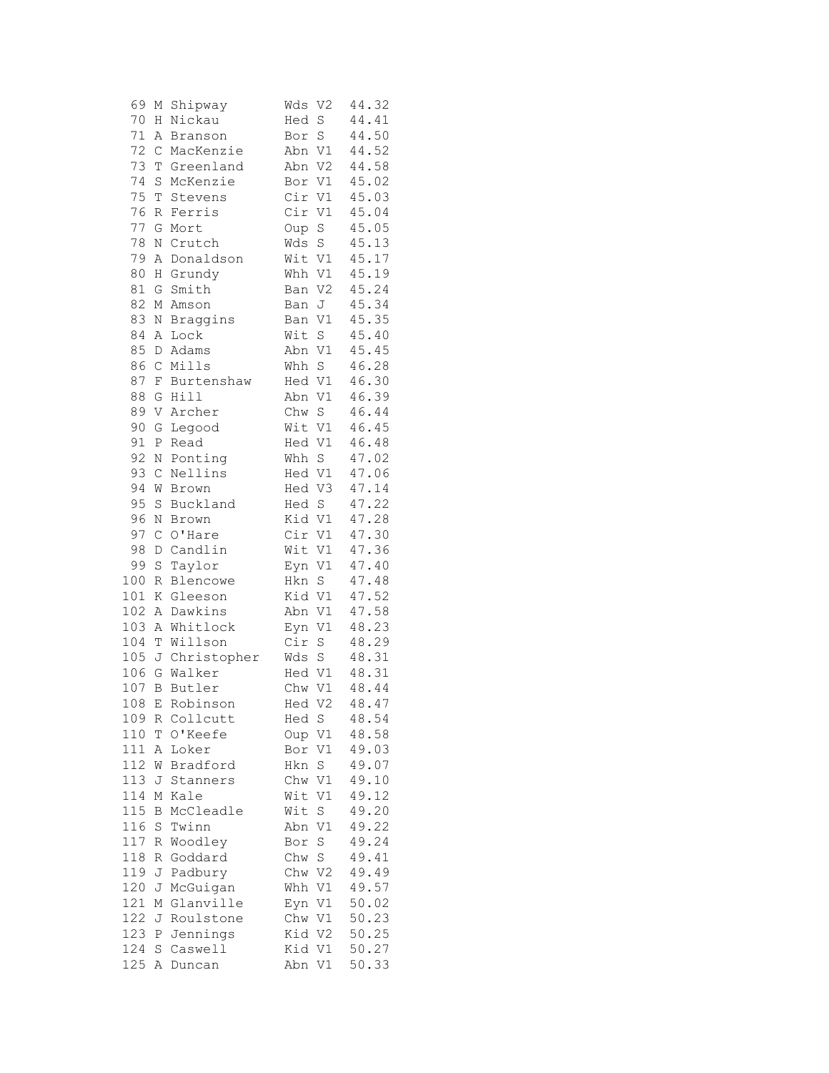| 69     | М            | Shipway        | Wds    | V <sub>2</sub>                    | 44.32 |
|--------|--------------|----------------|--------|-----------------------------------|-------|
| 70     | Η            | Nickau         | Hed    | S                                 | 44.41 |
| 71     | Α            | Branson        | Bor    | $\rm S$                           | 44.50 |
| 72     | $\mathsf{C}$ | MacKenzie      | Abn    | V1                                | 44.52 |
| 73     | T            | Greenland      | Abn    | V2                                | 44.58 |
| 74     | S            | McKenzie       | Bor    | V1                                | 45.02 |
| 75     | T            | Stevens        | Cir    | V1                                | 45.03 |
| 76     | R            | Ferris         | Cir    | $\mathtt{V1}$                     | 45.04 |
| 77     | G            | Mort           | Oup    | S                                 | 45.05 |
| 78     | $\rm N$      | Crutch         | Wds    | $\rm S$                           | 45.13 |
| 79     | Α            | Donaldson      | Wit V1 |                                   | 45.17 |
| 80     | Η            | Grundy         | Whh    | V1                                | 45.19 |
| $8\,1$ | G            | Smith          | Ban    | V2                                | 45.24 |
| 82     | М            | Amson          | Ban    | J                                 | 45.34 |
| 83     | N            | Braggins       | Ban    | V1                                | 45.35 |
| 84     | Α            | Lock           | Wit    | $\rm S$                           | 45.40 |
| 85     | D            | Adams          | Abn V1 |                                   | 45.45 |
| 86     | $\mathsf C$  | Mills          | Whh    | $\mathbf S$                       | 46.28 |
| 87     | $\rm F$      | Burtenshaw     | Hed V1 |                                   | 46.30 |
| 88     | G            | Hill           | Abn    | V1                                | 46.39 |
| 89     | V            | Archer         | Chw    | S                                 | 46.44 |
| 90     | G            | Legood         | Wit    | V1                                | 46.45 |
| 91     | Ρ            | Read           | Hed    | V1                                | 46.48 |
| 92     | N            | Ponting        | Whh S  |                                   | 47.02 |
| 93     | $\mathsf C$  | Nellins        | Hed V1 |                                   | 47.06 |
| 94     | W            | Brown          | Hed V3 |                                   | 47.14 |
| 95     | $\rm S$      | Buckland       | Hed S  |                                   | 47.22 |
| 96     | Ν            | Brown          | Kid V1 |                                   | 47.28 |
| 97     | $\mathsf C$  | O'Hare         | Cir V1 |                                   | 47.30 |
| 98     | D            | Candlin        | Wit    | V1                                | 47.36 |
| 99     | $\rm S$      | Taylor         | Eyn    | V1                                | 47.40 |
| 100    | R            | Blencowe       | Hkn    | $\mathbf S$                       | 47.48 |
| 101    | Κ            | Gleeson        | Kid    | V1                                | 47.52 |
| 102    | Α            | Dawkins        | Abn V1 |                                   | 47.58 |
| 103    | Α            | Whitlock       | Eyn    | $\mathtt{V1}$                     | 48.23 |
| 104    | $\mathbb T$  | Willson        | Cir    | $\rm S$                           | 48.29 |
| 105    |              | J Christopher  | Wds    | $\rm S$                           | 48.31 |
| 106    | G            | Walker         | Hed V1 |                                   | 48.31 |
| 107    | B            | Butler         | Chw    | V1                                | 48.44 |
|        |              | 108 E Robinson | Hed    | V2                                | 48.47 |
| 109    | R            | Collcutt       | Hed    | S                                 | 48.54 |
| 110    | Τ            | O'Keefe        | Oup    | V1                                | 48.58 |
| 111    | Α            | Loker          | Bor    | V1                                | 49.03 |
| 112    | W            | Bradford       | Hkn    | S                                 | 49.07 |
| 113    | J            | Stanners       | Chw    | V1                                | 49.10 |
| 114    | Μ            | Kale           | Wit    | V1                                | 49.12 |
| 115    | В            | McCleadle      | Wit    | S                                 | 49.20 |
| 116    | S            | Twinn          | Abn    | V1                                | 49.22 |
| 117    | R            | Woodley        | Bor    | S                                 | 49.24 |
| 118    | R            | Goddard        | Chw    | $S_{\scriptscriptstyle\parallel}$ | 49.41 |
| 119    | J            | Padbury        | Chw    | V2                                | 49.49 |
| 120    | J            | McGuigan       | Whh    | V1                                | 49.57 |
| 121    | Μ            | Glanville      | Eyn    | V1                                | 50.02 |
| 122    | J            | Roulstone      | Chw    | V1                                | 50.23 |
| 123    | Ρ            | Jennings       | Kid    | V2                                | 50.25 |
| 124    | S            | Caswell        | Kid    | V1                                | 50.27 |
| 125    | Α            | Duncan         | Abn    | V1                                | 50.33 |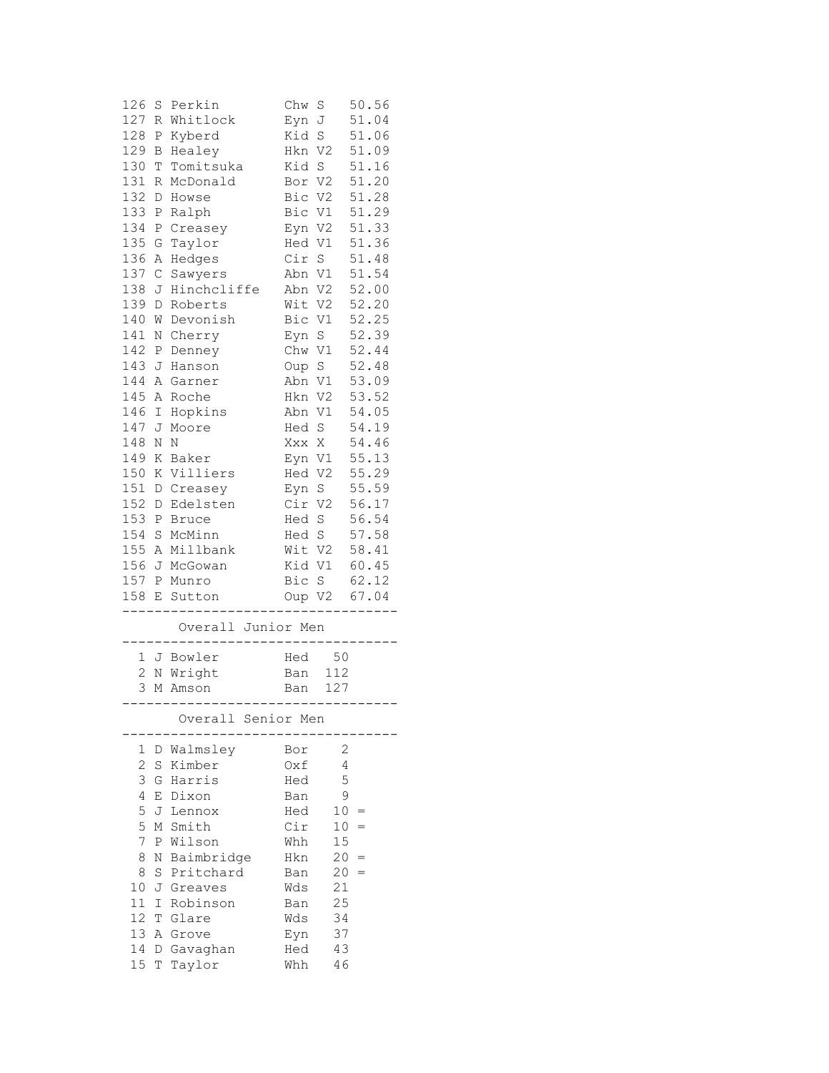| 126             | S | Perkin                           | Chw         | S               | 50.56 |
|-----------------|---|----------------------------------|-------------|-----------------|-------|
| 127             | R | Whitlock                         | Eyn         | J               | 51.04 |
| 128             | Ρ | Kyberd                           | Kid         | S               | 51.06 |
| 129             | В | Healey                           | Hkn         | V2              | 51.09 |
| 130             | Τ | Tomitsuka                        | Kid         | $\rm S$         | 51.16 |
| 131             | R | McDonald                         | Bor         | V2              | 51.20 |
| 132             | D | Howse                            | Bic         | V <sub>2</sub>  | 51.28 |
| 133             | Ρ | Ralph                            | Bic         | V1              | 51.29 |
| 134             | Ρ | Creasey                          | Eyn         | V <sub>2</sub>  | 51.33 |
| 135             | G | Taylor                           | Hed         | V1              | 51.36 |
| 136             | Α | Hedges                           | Cir         | S               | 51.48 |
| 137             | С | Sawyers                          | Abn         | V1              | 51.54 |
| 138             | J | Hinchcliffe                      | Abn         | V2              | 52.00 |
| 139             | D | Roberts                          | Wit         | V2              | 52.20 |
| 140             | W | Devonish                         | Bic         | V1              | 52.25 |
| 141             | Ν | Cherry                           | Eyn S       |                 | 52.39 |
| 142             | Ρ | Denney                           | Chw V1      |                 | 52.44 |
| 143             | J | Hanson                           | Oup         | S               | 52.48 |
| 144             | Α | Garner                           | Abn         | $\mathtt{V1}$   | 53.09 |
| 145             | Α | Roche                            | Hkn         | V2              | 53.52 |
| 146             | Ι | Hopkins                          | Abn         | V1              | 54.05 |
| 147             | J | Moore                            | Hed         | S               | 54.19 |
| 148             | N | Ν                                | Xxx         | Χ               | 54.46 |
| 149             | Κ | Baker                            | Eyn         | V1              | 55.13 |
| 150             | Κ | Villiers                         | Hed         | V <sub>2</sub>  | 55.29 |
| 151             | D | Creasey                          | Eyn         | $\mathbf S$     | 55.59 |
| 152             | D | Edelsten                         | Cir         | V <sub>2</sub>  | 56.17 |
| 153             | Ρ | <b>Bruce</b>                     | Hed         | $\rm S$         | 56.54 |
| 154             | S | McMinn                           | Hed S       |                 | 57.58 |
| 155             | Α | Millbank                         | Wit V2      |                 | 58.41 |
| 156             | J | McGowan                          | Kid         | V1              | 60.45 |
| 157             | Ρ | Munro                            | Bic         | S               | 62.12 |
| 158             | Ε | Sutton                           | Oup         | V2              | 67.04 |
|                 |   | Overall Junior Men               |             |                 |       |
|                 |   |                                  |             |                 |       |
|                 |   | 1 J Bowler                       | Hed         | 50              |       |
| 2               | N | Wright                           | Ban         | 112             |       |
| 3               | М | Amson                            | Ban         | 127             |       |
|                 |   | ----------<br>Overall Senior Men | . – – – – - | $--- - -$       |       |
|                 |   | D Walmsley                       | Bor         | 2               |       |
| 1<br>2          | S | Kimber                           | Oxf         | 4               |       |
| 3               | G | Harris                           | Hed         | 5               |       |
| 4               | E | Dixon                            | Ban         | 9               |       |
| 5               | J | Lennox                           | Hed         | 10 <sup>°</sup> | =     |
| 5               | М | Smith                            | Cir         | 10              | $=$   |
| 7               | Ρ | Wilson                           | Whh         | 15              |       |
| 8               | Ν | Baimbridge                       | Hkn         | 20              |       |
| 8               | S | Pritchard                        | Ban         | 20              | $=$   |
| 10              | J | Greaves                          | Wds         | 21              |       |
| 11              | I | Robinson                         | Ban         | 25              |       |
| 12 <sup>2</sup> | Т | Glare                            | Wds         | 34              |       |
| 13              | Α | Grove                            | Eyn         | 37              |       |
| 14              | D | Gavaghan                         | Hed         | 43              |       |
| 15 <sub>1</sub> | Т | Taylor                           | Whh         | 46              |       |
|                 |   |                                  |             |                 |       |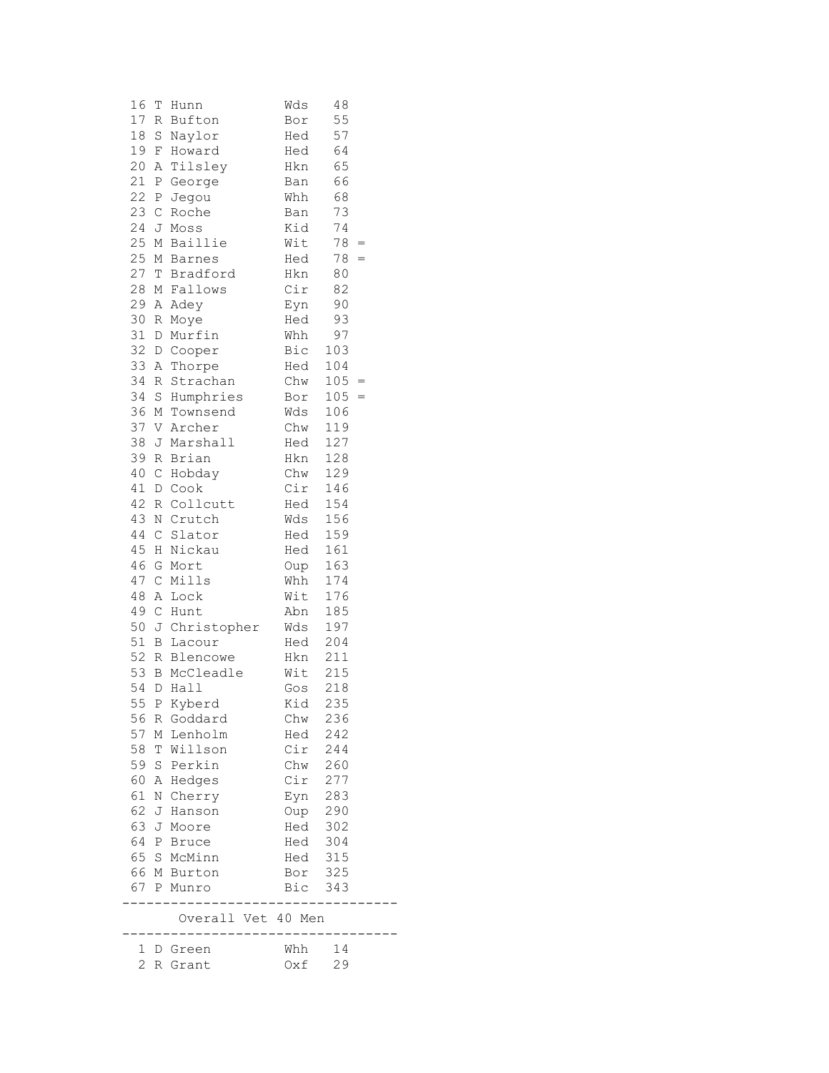| 16           | Т               | Hunn                       | Wds        | 48         |     |
|--------------|-----------------|----------------------------|------------|------------|-----|
| 17           |                 | R Bufton                   | Bor        | 55         |     |
| 18           |                 | S Naylor                   | Hed        | 57         |     |
|              |                 | 19 F Howard                | Hed        | 64         |     |
| 20           |                 | A Tilsley                  | Hkn        | 65         |     |
| 21           | $\mathbb{P}$    | George                     | Ban        | 66         |     |
|              |                 | 22 P Jegou                 | Whh        | 68         |     |
|              |                 | 23 C Roche                 | Ban        | 73         |     |
|              |                 | 24 J Moss                  | Kid        | 74         |     |
|              |                 | 25 M Baillie               | Wit        | 78         | $=$ |
|              |                 | 25 M Barnes                | Hed        | 78         | $=$ |
| 27           |                 | T Bradford                 | Hkn        | 80         |     |
| 28           |                 | M Fallows                  | Cir        | 82         |     |
| 29           |                 | A Adey                     | Eyn        | 90         |     |
| 30           |                 | R Moye                     | Hed        | 93         |     |
| 31           |                 | D Murfin                   | Whh        | 97         |     |
| 32           |                 | D Cooper                   | Bic        | 103        |     |
| 33           |                 | A Thorpe                   | Hed        | 104        |     |
| 34           | $R_{\parallel}$ | Strachan                   | Chw        | $105 =$    |     |
| 34           |                 | S Humphries                | Bor        | 105        | $=$ |
| 36           |                 | M Townsend                 | Wds        | 106        |     |
| 37<br>38     |                 | V Archer                   | Chw        | 119<br>127 |     |
|              |                 | J Marshall<br>39 R Brian   | Hed        |            |     |
|              |                 |                            | Hkn<br>Chw | 128        |     |
|              |                 | 40 C Hobday                | Cir        | 129        |     |
|              |                 | 41 D Cook<br>42 R Collcutt | Hed        | 146<br>154 |     |
|              |                 |                            |            | 156        |     |
| 44           |                 | 43 N Crutch                | Wds<br>Hed | 159        |     |
| 45           |                 | C Slator<br>H Nickau       | Hed        | 161        |     |
| 46           |                 | G Mort                     | Oup        | 163        |     |
| 47           |                 | C Mills                    | Whh        | 174        |     |
| 48           |                 | A Lock                     | Wit        | 176        |     |
| 49           |                 | C Hunt                     | Abn        | 185        |     |
| 50           |                 | J Christopher              | Wds        | 197        |     |
| 51           |                 | <b>B</b> Lacour            | Hed        | 204        |     |
| 52           |                 | R Blencowe                 | Hkn        | 211        |     |
| 53           |                 | <b>B</b> McCleadle         | Wit        | 215        |     |
| 54           |                 | D Hall                     | Gos        | 218        |     |
| 55 P         |                 | Kyberd                     | Kid        | 235        |     |
| 56           |                 | R Goddard                  | Chw        | 236        |     |
| 57           |                 | M Lenholm                  | Hed        | 242        |     |
| 58           |                 | T Willson                  | Cir        | 244        |     |
|              |                 | 59 S Perkin                | Chw        | 260        |     |
|              |                 | 60 A Hedges                | Cir        | 277        |     |
| 61           |                 | N Cherry                   | Eyn        | 283        |     |
| 62           |                 | J Hanson                   | Oup        | 290        |     |
|              |                 | 63 J Moore                 | Hed        | 302        |     |
|              |                 | 64 P Bruce                 | Hed        | 304        |     |
|              |                 | 65 S McMinn                | Hed        | 315        |     |
|              |                 | 66 M Burton                | Bor        | 325        |     |
|              |                 | 67 P Munro                 | Bic        | 343        |     |
|              |                 | Overall Vet 40 Men         |            |            |     |
| $\mathbf{1}$ |                 | D Green                    | Whh        | 14         |     |
| 2            |                 | R Grant                    | Oxf        | 29         |     |
|              |                 |                            |            |            |     |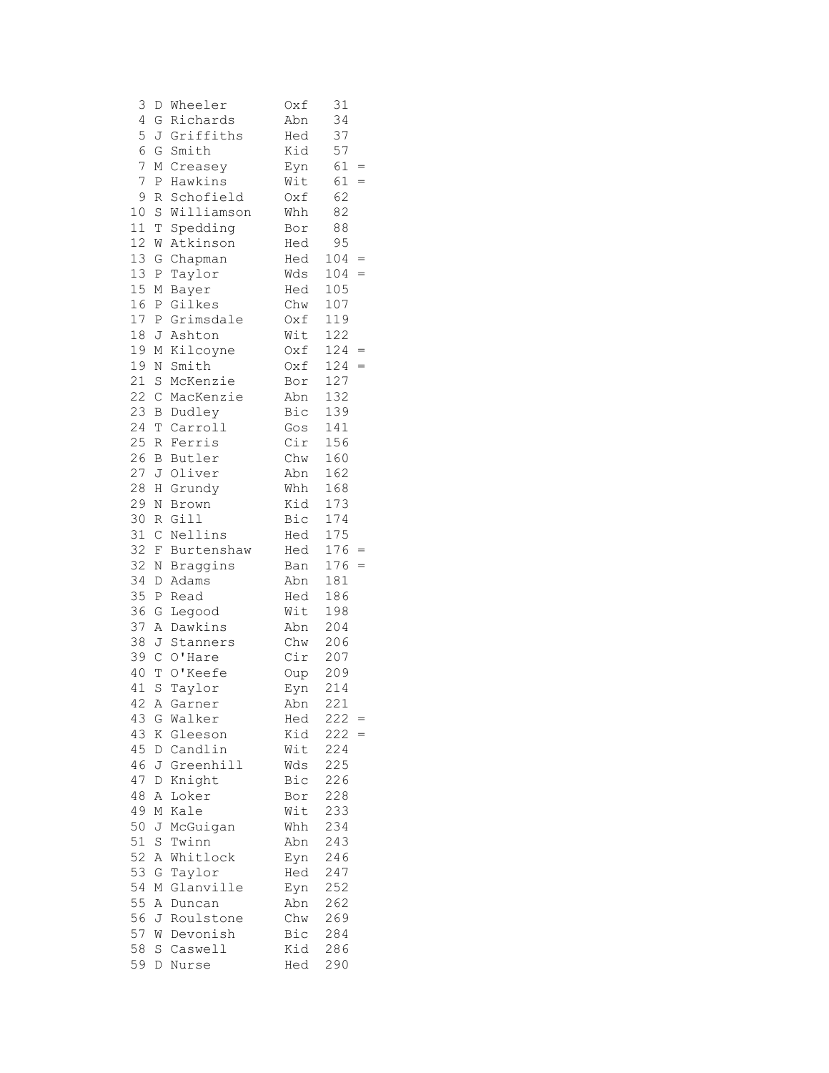| 3  | D            | Wheeler      | 0xf | 31         |  |
|----|--------------|--------------|-----|------------|--|
| 4  | G            | Richards     | Abn | 34         |  |
| 5  |              | J Griffiths  | Hed | 37         |  |
| 6  | G            | Smith        | Kid | 57         |  |
| 7  | М            | Creasey      | Eyn | 61<br>$=$  |  |
| 7  | P            | Hawkins      | Wit | 61<br>$=$  |  |
| 9  | R            | Schofield    | Oxf | 62         |  |
| 10 |              | S Williamson | Whh | 82         |  |
| 11 | T            | Spedding     | Bor | 88         |  |
| 12 | W            | Atkinson     | Hed | 95         |  |
| 13 | G            | Chapman      | Hed | 104<br>$=$ |  |
| 13 | $\, {\bf P}$ | Taylor       | Wds | 104<br>$=$ |  |
| 15 | М            | Bayer        | Hed | 105        |  |
| 16 | $\mathbb{P}$ | Gilkes       | Chw | 107        |  |
| 17 | P            | Grimsdale    | Oxf | 119        |  |
| 18 | J            | Ashton       | Wit | 122        |  |
| 19 | М            | Kilcoyne     | Oxf | 124<br>$=$ |  |
| 19 | N            | Smith        | Oxf | 124<br>$=$ |  |
| 21 | S            | McKenzie     | Bor | 127        |  |
| 22 | $\mathbb{C}$ | MacKenzie    | Abn | 132        |  |
| 23 | В            | Dudley       | Bic | 139        |  |
| 24 | $\mathbb T$  | Carroll      | Gos | 141        |  |
| 25 | R            | Ferris       | Cir | 156        |  |
| 26 | B            | Butler       | Chw | 160        |  |
| 27 | J            | Oliver       | Abn | 162        |  |
| 28 | Η            | Grundy       | Whh | 168        |  |
| 29 | N            | Brown        | Kid | 173        |  |
| 30 |              | R Gill       | Bic | 174        |  |
| 31 | $\mathsf C$  | Nellins      | Hed | 175        |  |
| 32 | F            | Burtenshaw   | Hed | 176        |  |
| 32 | Ν            | Braggins     | Ban | 176<br>$=$ |  |
| 34 | D            | Adams        | Abn | 181        |  |
| 35 | $\, {\bf P}$ | Read         | Hed | 186        |  |
| 36 | G            | Legood       | Wit | 198        |  |
| 37 |              | A Dawkins    | Abn | 204        |  |
| 38 |              | J Stanners   | Chw | 206        |  |
| 39 | $\mathbb{C}$ | O'Hare       | Cir | 207        |  |
| 40 | T            | O'Keefe      | Oup | 209        |  |
| 41 |              | S Taylor     | Eyn | 214        |  |
|    |              | 42 A Garner  | Abn | 221        |  |
| 43 | G            | Walker       | Hed | 222        |  |
| 43 | Κ            | Gleeson      | Kid | 222        |  |
| 45 |              | D Candlin    | Wit | 224        |  |
| 46 | J            | Greenhill    | Wds | 225        |  |
| 47 | $\mathbb D$  | Knight       | Bic | 226        |  |
| 48 | Α            | Loker        | Bor | 228        |  |
| 49 | М            | Kale         | Wit | 233        |  |
| 50 | J            | McGuigan     | Whh | 234        |  |
| 51 | S            | Twinn        | Abn | 243        |  |
| 52 | Α            | Whitlock     | Eyn | 246        |  |
| 53 | G            | Taylor       | Hed | 247        |  |
| 54 | М            | Glanville    | Eyn | 252        |  |
| 55 | Α            | Duncan       | Abn | 262        |  |
| 56 | J            | Roulstone    | Chw | 269        |  |
| 57 | W            | Devonish     | Bic | 284        |  |
| 58 | S            | Caswell      | Kid | 286        |  |
| 59 | D            | Nurse        | Hed | 290        |  |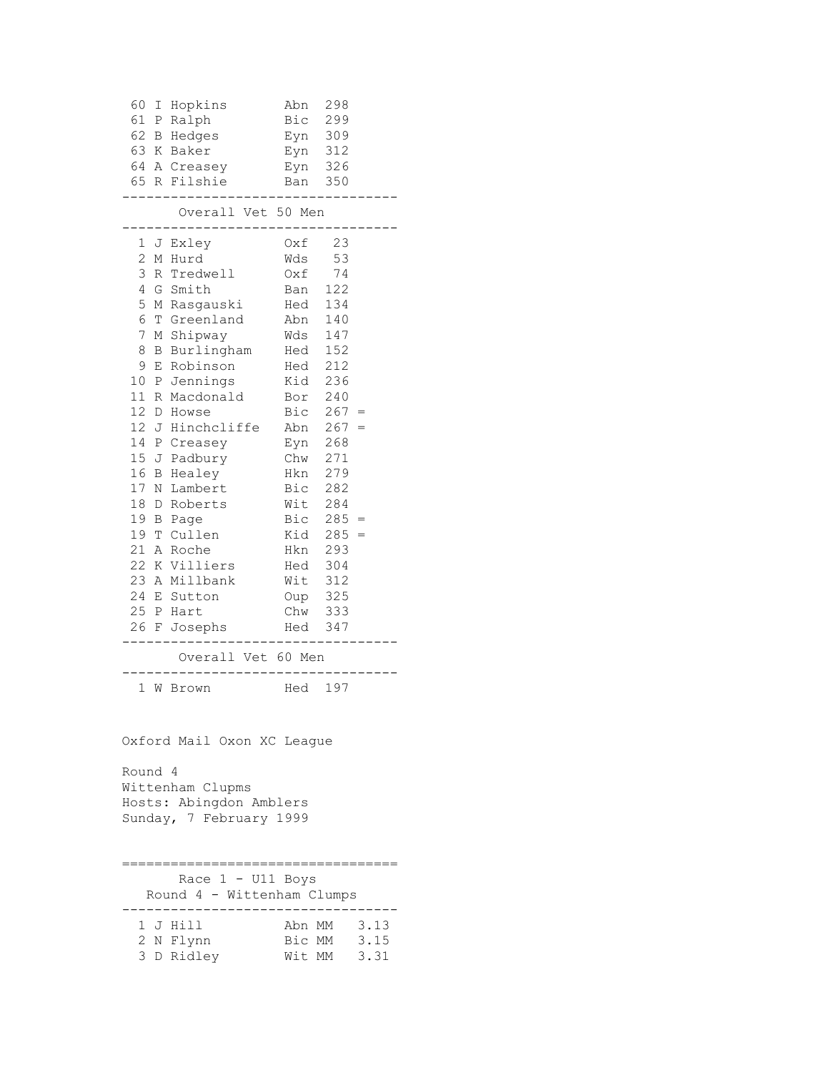| 60                                    |  | I Hopkins                      | Abn                | 298         |             |
|---------------------------------------|--|--------------------------------|--------------------|-------------|-------------|
|                                       |  | 61 P Ralph                     | Bic 299            |             |             |
|                                       |  | 62 B Hedges                    | Eyn 309            |             |             |
|                                       |  | 63 K Baker                     | Eyn 312            |             |             |
|                                       |  | 64 A Creasey                   | Eyn 326            |             |             |
|                                       |  | 65 R Filshie                   | Ban 350            |             |             |
|                                       |  | Overall Vet 50 Men             |                    |             |             |
|                                       |  | 1 J Exley                      | Oxf                | 23          |             |
| $\mathbf{2}$                          |  | M Hurd                         | Wds                | 53          |             |
| 3                                     |  | R Tredwell                     | Oxf                | 74          |             |
| 4                                     |  | G Smith                        | Ban 122            |             |             |
| 5                                     |  | M Rasgauski                    | Hed 134            |             |             |
| 6                                     |  | T Greenland                    | Abn 140            |             |             |
| 7                                     |  | M Shipway                      | Wds 147            |             |             |
| 8                                     |  | B Burlingham                   | Hed 152            |             |             |
| 9                                     |  | E Robinson                     | Hed 212            |             |             |
|                                       |  | 10 P Jennings                  | Kid                | 236         |             |
|                                       |  | 11 R Macdonald                 | Bor 240            |             |             |
| 12 <sub>1</sub>                       |  | D Howse                        |                    | Bic $267 =$ |             |
| 12J                                   |  | Hinchcliffe                    | Abn 267            |             |             |
|                                       |  | 14 P Creasey                   | Eyn 268            |             |             |
|                                       |  | 15 J Padbury                   | Chw 271            |             |             |
|                                       |  | 16 B Healey                    | Hkn                | 279         |             |
|                                       |  | 17 N Lambert                   | Bic 282            |             |             |
| 18                                    |  | D Roberts                      | Wit 284            |             |             |
|                                       |  | 19 B Page                      | Bic                | $285 =$     |             |
|                                       |  | 19 T Cullen                    | Kid<br>Hkn 293     | $285 =$     |             |
|                                       |  | 21 A Roche                     |                    |             |             |
|                                       |  | 22 K Villiers<br>23 A Millbank | Hed 304            |             |             |
|                                       |  | 24 E Sutton                    | Wit 312<br>Oup 325 |             |             |
|                                       |  | 25 P Hart                      | Chw 333            |             |             |
|                                       |  | 26 F Josephs                   | Hed                | 347         |             |
|                                       |  |                                |                    |             |             |
|                                       |  | Overall Vet 60 Men             |                    |             |             |
|                                       |  | 1 W Brown                      | Hed 197            |             |             |
| Oxford Mail Oxon XC League<br>Round 4 |  |                                |                    |             |             |
|                                       |  | Wittenham Clupms               |                    |             |             |
|                                       |  | Hosts: Abingdon Amblers        |                    |             |             |
|                                       |  | Sunday, 7 February 1999        |                    |             |             |
|                                       |  |                                |                    |             |             |
|                                       |  |                                |                    |             |             |
|                                       |  | Race 1 - U11 Boys              |                    |             |             |
|                                       |  | Round 4 - Wittenham Clumps     |                    |             |             |
|                                       |  |                                |                    |             |             |
|                                       |  | 1 J Hill                       | Bic MM 3.15        |             | Abn MM 3.13 |
|                                       |  | 2 N Flynn                      | Wit MM 3.31        |             |             |
|                                       |  | 3 D Ridley                     |                    |             |             |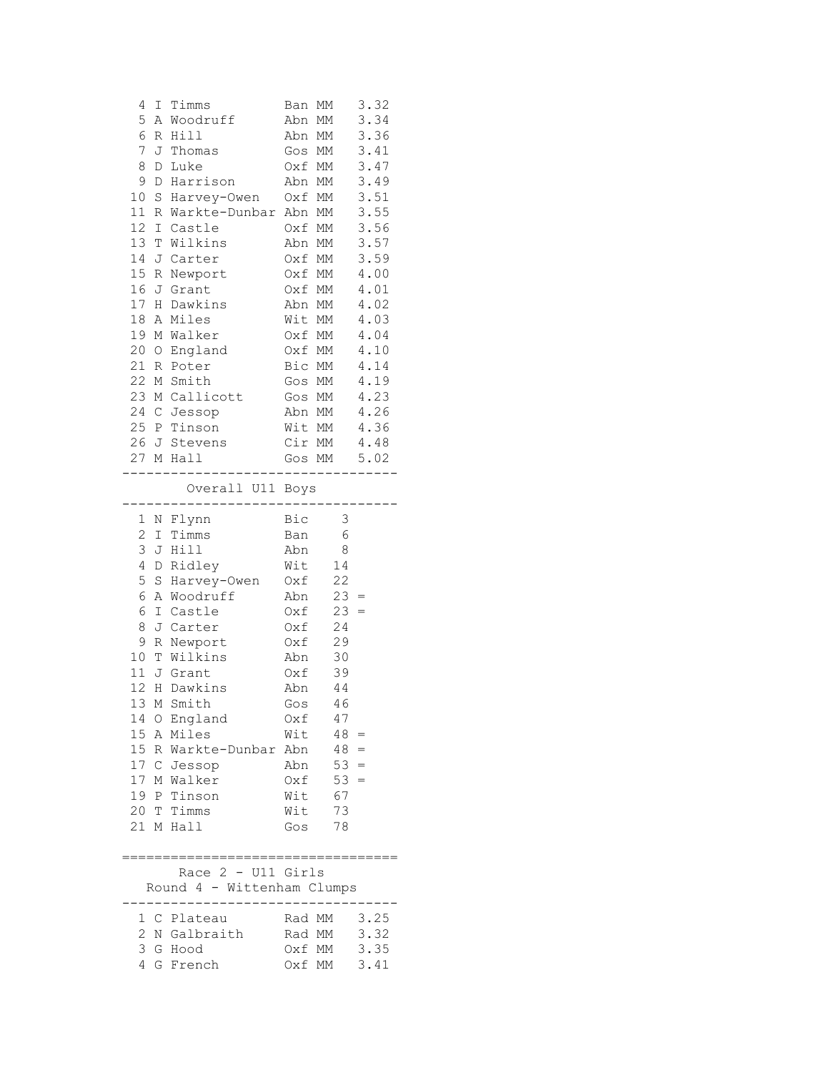| 4                   |              | I Timms                            | Ban MM           |        | 3.32         |
|---------------------|--------------|------------------------------------|------------------|--------|--------------|
| 5                   |              | A Woodruff                         | Abn MM           |        | 3.34         |
| 6                   |              | R Hill                             | Abn MM           |        | 3.36         |
| 7                   |              | J Thomas                           | Gos MM           |        | 3.41         |
| 8                   | D            | Luke                               | Oxf MM           |        | 3.47         |
| 9                   | D            | Harrison                           | Abn MM           |        | 3.49         |
| 10                  | S            | Harvey-Owen                        | Oxf MM           |        | 3.51         |
| 11                  |              | R Warkte-Dunbar                    | Abn MM           |        | 3.55         |
| 12 <sup>°</sup>     |              | I Castle                           | Oxf MM           |        | 3.56         |
| 13                  |              | T Wilkins                          | Abn MM           |        | 3.57         |
| 14                  |              | J Carter                           | Oxf MM           |        | 3.59         |
| 15 <sub>1</sub>     | R            | Newport                            | Oxf MM           |        | 4.00         |
| 16                  |              | J Grant                            | Oxf MM           |        | 4.01         |
|                     |              | 17 H Dawkins                       | Abn MM           |        | 4.02         |
| 18                  |              | A Miles                            | Wit MM           |        | 4.03         |
|                     |              | 19 M Walker                        | Oxf MM           |        | 4.04         |
|                     |              | 20 O England                       | Oxf MM           |        | 4.10         |
|                     |              | 21 R Poter                         | Bic MM           |        | 4.14         |
|                     |              | 22 M Smith                         | Gos MM           |        | 4.19         |
|                     |              | 23 M Callicott                     | Gos MM           |        | 4.23         |
|                     |              | 24 C Jessop                        | Abn MM           |        | 4.26         |
|                     |              | 25 P Tinson                        | Wit MM           |        | 4.36         |
|                     |              | 26 J Stevens                       | Cir MM           |        | 4.48         |
|                     |              | 27 M Hall                          |                  | Gos MM | 5.02         |
|                     |              | Overall U11 Boys                   |                  |        |              |
|                     |              | N Flynn                            | Bic              | 3      |              |
| 1<br>$\overline{c}$ | $\mathbb{I}$ | Timms                              | Ban              | 6      |              |
| 3                   |              | J Hill                             | Abn              | 8      |              |
| 4                   | D            | Ridley                             | Wit              | 14     |              |
| 5                   | S            | Harvey-Owen                        | Oxf              | 22     |              |
| 6                   | $\mathbb A$  | Woodruff                           | Abn              | 23     |              |
| 6                   |              | I Castle                           | Oxf              | 23     |              |
| 8                   |              | J Carter                           | Oxf              | 24     |              |
| 9                   |              | R Newport                          | Oxf              | 29     |              |
| 10                  |              | T Wilkins                          | Abn              | 30     |              |
| 11                  |              | J Grant                            | Oxf              | 39     |              |
| 12                  |              | H Dawkins                          | Abn              | 44     |              |
| 13                  | М            | Smith                              | Gos              | 46     |              |
| 14                  |              | O England                          | Oxf              | 47     |              |
|                     |              | 15 A Miles                         | Wit              | $48 =$ |              |
|                     |              | 15 R Warkte-Dunbar                 | Abn              | $48 =$ |              |
|                     |              | 17 C Jessop                        | Abn              | $53 =$ |              |
|                     |              | 17 M Walker                        | Oxf              | 53     | $=$          |
|                     |              | 19 P Tinson                        | Wit              | 67     |              |
|                     |              | 20 T Timms                         | Wit              | 73     |              |
|                     |              | 21 M Hall                          | Gos              | 78     |              |
|                     |              |                                    |                  |        |              |
|                     |              | :================================= |                  |        |              |
|                     |              | Race 2 - U11 Girls                 |                  |        |              |
|                     |              | Round 4 - Wittenham Clumps         |                  |        |              |
|                     |              |                                    |                  |        |              |
| 1                   |              | C Plateau                          | Rad MM           |        | 3.25         |
|                     |              |                                    |                  |        |              |
| 2<br>3              |              | N Galbraith<br>G Hood              | Rad MM<br>Oxf MM |        | 3.32<br>3.35 |

4 G French Oxf MM 3.41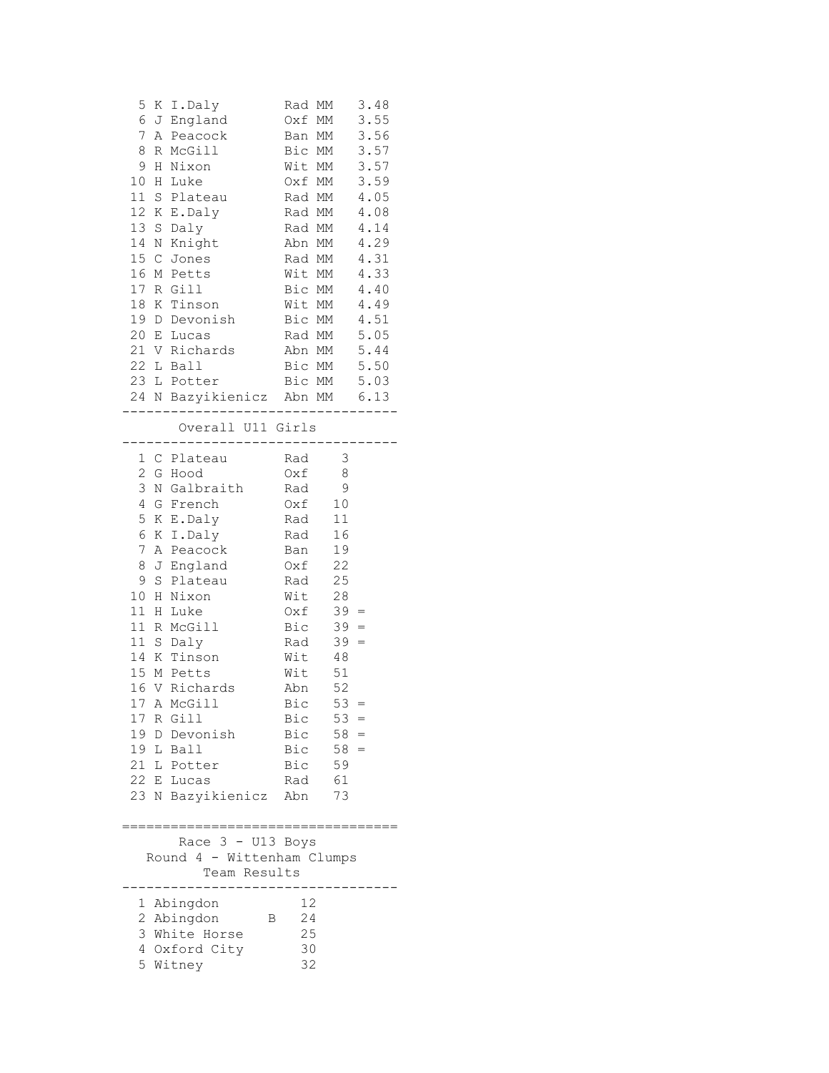| 5<br>6<br>7<br>Α<br>8<br>9<br>Η<br>10<br>Η<br>11<br>12 <sup>7</sup><br>Κ<br>13<br>$\rm S$<br>14<br>N<br>15<br>$\mathbb{C}$<br>16<br>17                       | K I.Daly<br>J England<br>Peacock<br>R McGill<br>Nixon<br>Luke<br>S Plateau<br>E.Daly<br>Daly<br>Knight<br>Jones<br>M Petts<br>R Gill                                                                                                                                           | Rad MM<br>Oxf MM<br>Ban MM<br>Bic MM<br>Wit MM<br>Oxf MM<br>Rad MM<br>Rad MM<br>Rad MM<br>Abn MM<br>Rad MM<br>Wit MM<br>Bic MM                                |                                                                                                                                                                                                     | 3.48<br>3.55<br>3.56<br>3.57<br>3.57<br>3.59<br>4.05<br>4.08<br>4.14<br>4.29<br>4.31<br>4.33<br>4.40 |
|--------------------------------------------------------------------------------------------------------------------------------------------------------------|--------------------------------------------------------------------------------------------------------------------------------------------------------------------------------------------------------------------------------------------------------------------------------|---------------------------------------------------------------------------------------------------------------------------------------------------------------|-----------------------------------------------------------------------------------------------------------------------------------------------------------------------------------------------------|------------------------------------------------------------------------------------------------------|
| 18<br>19<br>20<br>22                                                                                                                                         | K Tinson<br>D Devonish<br>E Lucas<br>21 V Richards<br>L Ball<br>23 L Potter<br>24 N Bazyikienicz Abn MM 6.13                                                                                                                                                                   | Wit MM<br>Bic MM<br>Rad MM<br>Abn MM<br>Bic MM<br>Bic MM                                                                                                      |                                                                                                                                                                                                     | 4.49<br>4.51<br>5.05<br>5.44<br>5.50<br>5.03                                                         |
|                                                                                                                                                              | Overall U11 Girls                                                                                                                                                                                                                                                              | ------------                                                                                                                                                  |                                                                                                                                                                                                     |                                                                                                      |
| 1<br>2<br>3<br>$\overline{4}$<br>5<br>6<br>$\boldsymbol{7}$<br>8<br>9<br>S<br>10<br>Η<br>11<br>Η<br>11<br>R<br>11<br>14<br>15<br>16<br>17<br>19 L Ball<br>21 | C Plateau<br>G Hood<br>N Galbraith<br>G French<br>K E.Daly<br>K I.Daly<br>A Peacock<br>J England<br>Plateau<br>Nixon<br>Luke<br>McGill<br>S Daly<br>K Tinson<br>M Petts<br>V Richards<br>17 A McGill<br>R Gill<br>19 D Devonish<br>L Potter<br>22 E Lucas<br>23 N Bazyikienicz | Rad<br>Oxf<br>Rad<br>Oxf<br>Rad<br>Rad<br>Ban<br>Oxf<br>Rad<br>Wit<br>Oxf<br>Bic<br>Rad<br>Wit<br>Wit<br>Abn<br>Bic<br>Bic<br>Bic<br>Bic<br>Bic<br>Rad<br>Abn | $\overline{\mathbf{3}}$<br>8<br>$\mathsf 9$<br>10<br>$11\,$<br>16<br>19<br>22<br>25<br>28<br>$39 =$<br>$39 =$<br>$39 =$<br>48<br>51<br>52<br>$53 =$<br>$53 =$<br>$58 =$<br>$58 =$<br>59<br>61<br>73 |                                                                                                      |
| Race 3 - U13 Boys<br>Round 4 - Wittenham Clumps<br>Team Results                                                                                              |                                                                                                                                                                                                                                                                                |                                                                                                                                                               |                                                                                                                                                                                                     |                                                                                                      |
| 1<br>2<br>3<br>4                                                                                                                                             | Abingdon<br>Abingdon<br>White Horse<br>Oxford City<br>5 Witney                                                                                                                                                                                                                 | 12<br>24<br>В<br>25<br>30<br>32                                                                                                                               |                                                                                                                                                                                                     |                                                                                                      |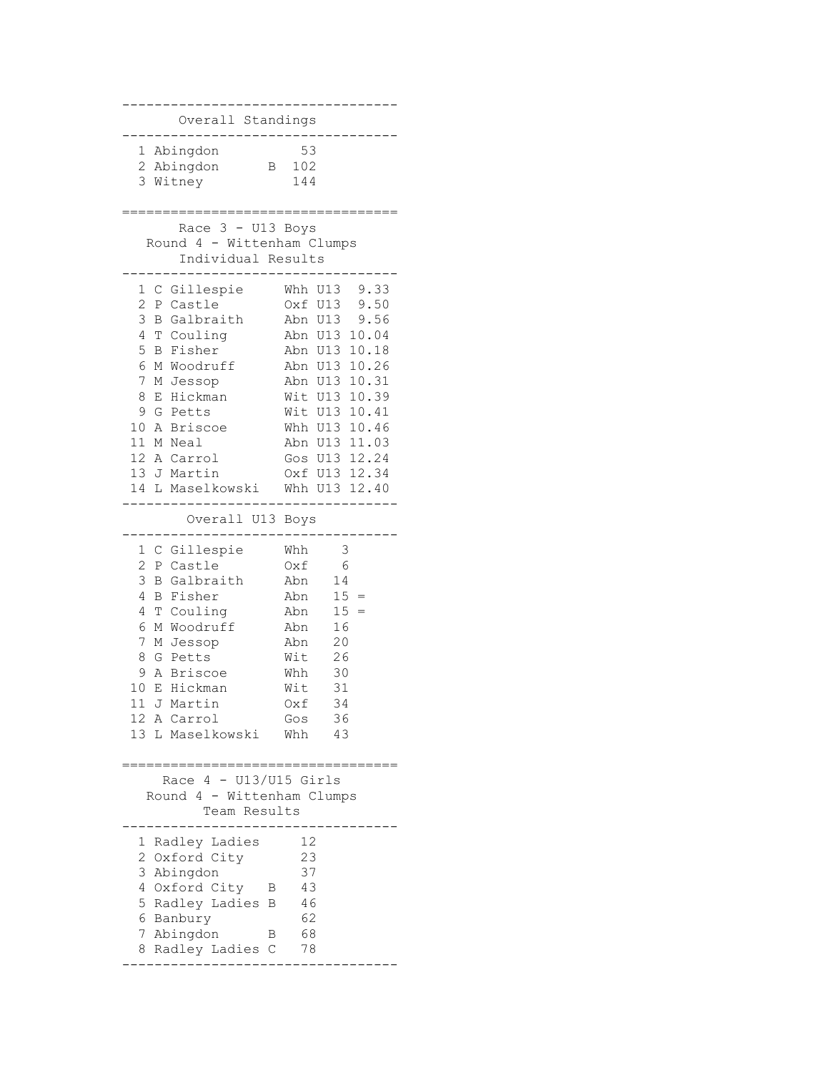---------------------------------- Overall Standings ---------------------------------- 1 Abingdon 53 2 Abingdon B 102 3 Witney 144 ================================== Race 3 - U13 Boys Round 4 - Wittenham Clumps Individual Results ---------------------------------- 1 C Gillespie Whh U13 9.33 2 P Castle Oxf U13 9.50 3 B Galbraith Abn U13 9.56 4 T Couling Abn U13 10.04 5 B Fisher Abn U13 10.18 6 M Woodruff Abn U13 10.26 7 M Jessop Abn U13 10.31 8 E Hickman Wit U13 10.39 9 G Petts Wit U13 10.41 10 A Briscoe Whh U13 10.46 11 M Neal Abn U13 11.03 12 A Carrol Gos U13 12.24 13 J Martin Oxf U13 12.34 14 L Maselkowski Whh U13 12.40 ---------------------------------- Overall U13 Boys ---------------------------------- 1 C Gillespie Whh 3 2 P Castle Oxf 6 3 B Galbraith Abn 14 4 B Fisher 4 B Fisher Abn 15 =<br>4 T Couling Abn 15 =<br>6 M Woodruff Abn 16 6 M Woodruff 7 M Jessop Abn 20 8 G Petts Mit 26<br>
9 A Briscoe Mhh 30 9 A Briscoe Mhh 30<br>0 E Hickman Mit 31 10 E Hickman Wit 11 J Martin Oxf 34 12 A Carrol Gos 36 13 L Maselkowski Whh 43 ================================== Race  $4 - U13/U15$  Girls Round 4 - Wittenham Clumps Team Results ---------------------------------- 1 Radley Ladies 12 2 Oxford City 23 3 Abingdon 37 4 Oxford City B 43 5 Radley Ladies B 46 6 Banbury 62 7 Abingdon B 68 8 Radley Ladies C 78 ----------------------------------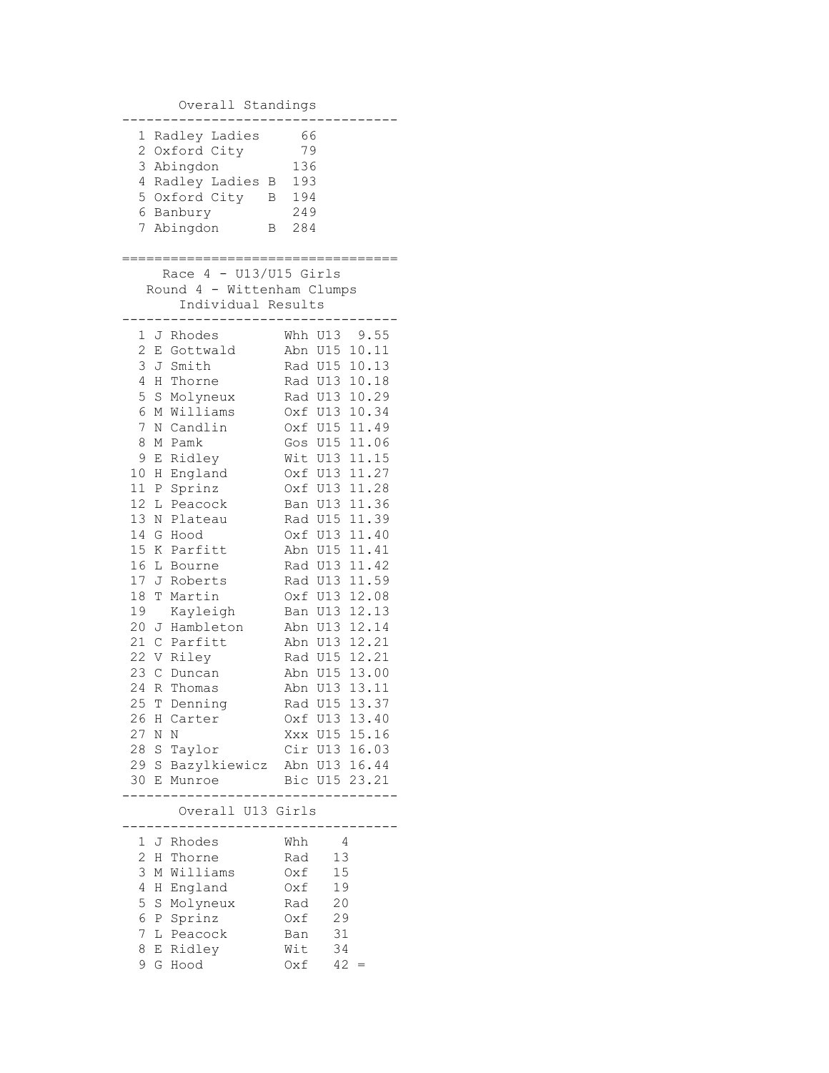Overall Standings

| 1              |        | Radley Ladies                                          | 66         |                       |
|----------------|--------|--------------------------------------------------------|------------|-----------------------|
| $\overline{c}$ |        | Oxford City                                            | 79         |                       |
| 3              |        | Abingdon                                               | 136        |                       |
| 4<br>5         |        | Radley Ladies<br>Β                                     | 193        |                       |
|                |        | Oxford City<br>В<br>6 Banbury                          | 194        |                       |
| 7              |        | Abingdon<br>В                                          | 249<br>284 |                       |
|                |        |                                                        |            |                       |
|                |        | ;==========================                            |            |                       |
|                |        | Race $4 - U13/U15$ Girls<br>Round 4 - Wittenham Clumps |            |                       |
|                |        | Individual Results                                     |            |                       |
|                |        |                                                        |            |                       |
| 1              | J      | Rhodes                                                 | Whh        | U13 9.55              |
| 2              | E      | Gottwald                                               | Abn        | U15<br>10.11          |
| 3              | J      | Smith                                                  |            | Rad U15<br>10.13      |
| 4              | Η      | Thorne                                                 |            | 10.18<br>Rad U13      |
| 5              | S      | Molyneux                                               |            | 10.29<br>Rad U13      |
| 6              | М      | Williams                                               |            | Oxf U13<br>10.34      |
| 7              | Ν      | Candlin                                                |            | 11.49<br>Oxf U15      |
| 8<br>9         | М      | Pamk                                                   | Gos<br>Wit | 11.06<br>U15<br>11.15 |
| 10             | Ε<br>Η | Ridley<br>England                                      | Oxf        | U13<br>11.27<br>U13   |
| 11             | Ρ      | Sprinz                                                 | 0xf        | U13<br>11.28          |
| 12             | L      | Peacock                                                | Ban        | 11.36<br>U13          |
| 13             | Ν      | Plateau                                                | Rad        | 11.39<br>U15          |
| 14             | G      | Hood                                                   | 0xf        | U13<br>11.40          |
| 15             | Κ      | Parfitt                                                | Abn        | 11.41<br>U15          |
| 16             | L      | Bourne                                                 |            | 11.42<br>Rad U13      |
| 17             | J      | Roberts                                                | Rad        | 11.59<br>U13          |
| 18             | T      | Martin                                                 | 0xf        | 12.08<br>U13          |
| 19             |        | Kayleigh                                               | Ban        | U13<br>12.13          |
| 20             | J      | Hambleton                                              | Abn        | U13<br>12.14          |
| 21             | C      | Parfitt                                                | Abn        | 12.21<br>U13          |
| 22             | V      | Riley                                                  |            | Rad U15<br>12.21      |
| 23             | С      | Duncan                                                 | Abn        | 13.00<br>U15          |
| 24             | R      | Thomas                                                 | Abn        | 13.11<br>U13          |
| 25             | Т      | Denning                                                | Rad        | 13.37<br>U15          |
| 26             |        | H Carter                                               |            | Oxf U13 13.40         |
| 27 N           |        | Ν                                                      |            | Xxx U15 15.16         |
| 28 S           |        | Taylor                                                 |            | Cir U13 16.03         |
|                |        | 29 S Bazylkiewicz                                      |            | Abn U13 16.44         |
| 30 E           |        | Munroe                                                 |            | Bic U15 23.21         |
|                |        | Overall U13 Girls                                      |            |                       |
|                |        | 1 J Rhodes                                             | Whh        | 4                     |
| 2              |        | H Thorne                                               | Rad        | 13                    |
| 3              | М      | Williams                                               | Oxf        | 15                    |
| 4              | H      | England                                                | Oxf        | 19                    |
| 5              | S      | Molyneux                                               | Rad        | 20                    |
| 6              |        | P Sprinz                                               | Oxf        | 29                    |
| 7              | L      | Peacock                                                | Ban        | 31                    |
| 8              |        | E Ridley                                               | Wit        | 34                    |
| 9              | G      | Hood                                                   | Oxf        | 42                    |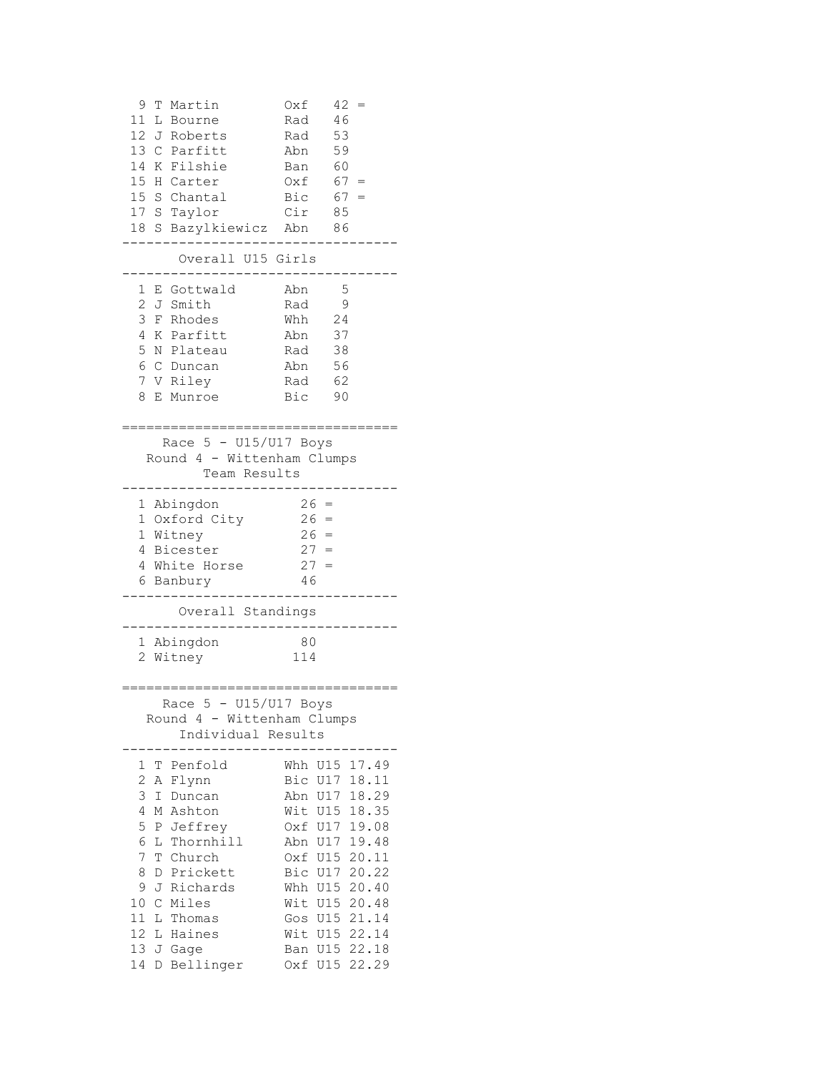```
 9 T Martin Oxf 42 =
 11 L Bourne Rad 46
11 Bourne<br>12 J Roberts Rad 53<br>13 C Parfitt Abn 59
13 C Parfitt Abn 59
14 K Filshie Ban 60
15 H Carter Oxf 67 =
15 S Chantal Bic 67 =17 S Taylor Cir 85
18 S Bazylkiewicz Abn 86
----------------------------------
     Overall U15 Girls
----------------------------------
 1 E Gottwald Abn 5
2 J Smith Rad 9
 3 F Rhodes Whh 24
 4 K Parfitt Abn 37
 5 N Plateau Rad 38
 6 C Duncan Abn 56
  7 V Riley Rad 62
  8 E Munroe Bic 90
=====================================
    Race 5 - U15/U17 Boys
   Round 4 - Wittenham Clumps
    Team Results
----------------------------------
 1 Abingdon 26 = 1 Oxford City 26 = 21 Oxford City
 1 Witney 26 =
 4 Bicester 27 =
 4 White Horse 27 =
 6 Banbury 46
----------------------------------
      Overall Standings
----------------------------------
  1 Abingdon 80
  2 Witney 114
==================================
    Race 5 - U15/U17 Boys
   Round 4 - Wittenham Clumps
      Individual Results
----------------------------------
 1 T Penfold Whh U15 17.49
 2 A Flynn Bic U17 18.11
 3 I Duncan Abn U17 18.29
 4 M Ashton Wit U15 18.35
 5 P Jeffrey Oxf U17 19.08
 6 L Thornhill Abn U17 19.48
 7 T Church Oxf U15 20.11
 8 D Prickett Bic U17 20.22
 9 J Richards Whh U15 20.40
 10 C Miles Wit U15 20.48
 11 L Thomas Gos U15 21.14
 12 L Haines Wit U15 22.14
 13 J Gage Ban U15 22.18
 14 D Bellinger Oxf U15 22.29
```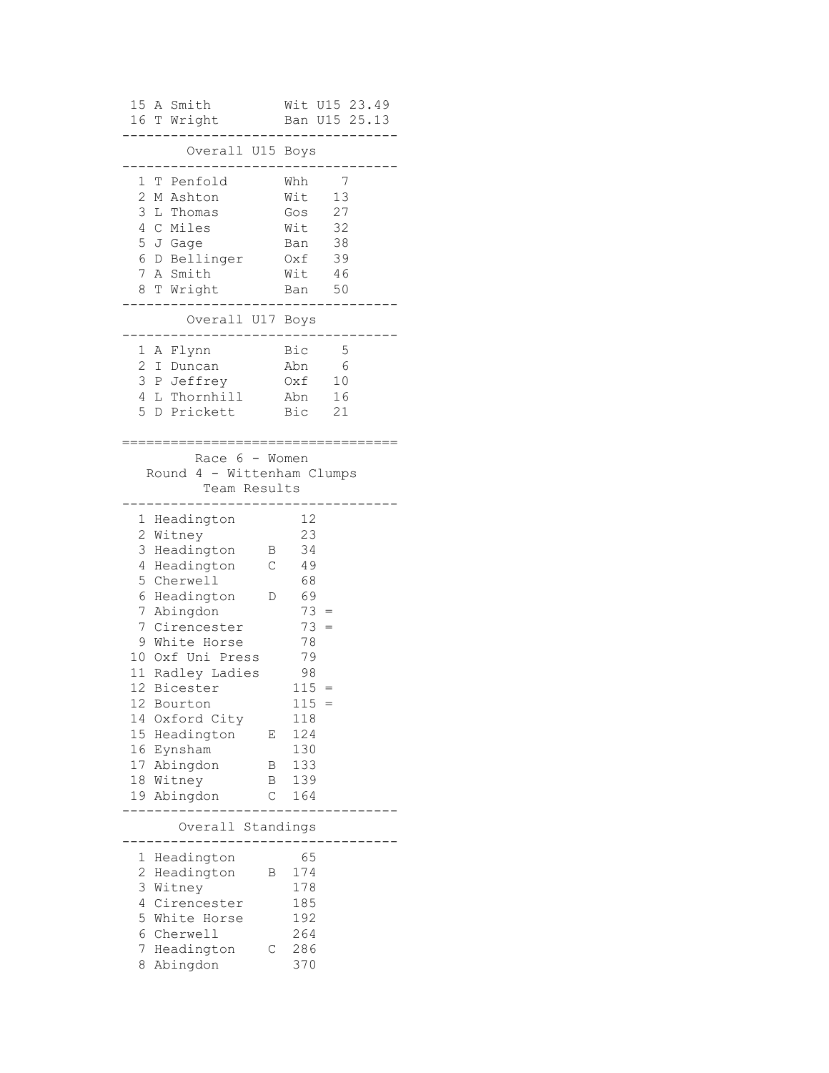| A Smith<br>15<br>16 T Wright                                                                                                                                                                                                                                                                                                                                       | Wit U15 23.49<br>Ban U15 25.13                                                                                                                                                                  |
|--------------------------------------------------------------------------------------------------------------------------------------------------------------------------------------------------------------------------------------------------------------------------------------------------------------------------------------------------------------------|-------------------------------------------------------------------------------------------------------------------------------------------------------------------------------------------------|
| Overall U15                                                                                                                                                                                                                                                                                                                                                        | Boys                                                                                                                                                                                            |
| 1<br>Penfold<br>Т<br>2<br>M Ashton<br>3<br>L Thomas<br>4<br>C Miles<br>5<br>J Gage<br>6<br>D Bellinger<br>7<br>A Smith<br>8<br>T Wright                                                                                                                                                                                                                            | Whh<br>7<br>Wit<br>13<br>27<br>Gos<br>32<br>Wit<br>38<br>Ban<br>Oxf<br>39<br>Wit<br>- 46<br>50<br>Ban                                                                                           |
| Overall U17 Boys                                                                                                                                                                                                                                                                                                                                                   |                                                                                                                                                                                                 |
| 1<br>A Flynn<br>2<br>I Duncan<br>3<br>P Jeffrey<br>L Thornhill<br>4<br>5<br>D Prickett                                                                                                                                                                                                                                                                             | Bic<br>5<br>Abn<br>6<br>Oxf<br>10<br>16<br>Abn<br>Bic<br>21                                                                                                                                     |
| Race 6 - Women<br>Round 4 - Wittenham Clumps<br>Team Results                                                                                                                                                                                                                                                                                                       |                                                                                                                                                                                                 |
| Headington<br>1<br>$\mathbf{2}$<br>Witney<br>3<br>Headington<br>4<br>Headington<br>5 Cherwell<br>6<br>Headington<br>7<br>Abingdon<br>7<br>Cirencester<br>White Horse<br>9<br>10 Oxf Uni Press<br>11 Radley Ladies<br>12<br>Bicester<br>12<br>Bourton<br>14<br>Oxford City<br>15<br>Headington<br>16<br>Eynsham<br>17<br>Abingdon<br>18<br>Witney<br>Abingdon<br>19 | 12<br>23<br>34<br>Β<br>$\mathsf C$<br>49<br>68<br>69<br>D<br>$73 =$<br>73<br>$=$<br>78<br>79<br>98<br>115<br>$=$<br>115<br>118<br>124<br>Ε<br>130<br>133<br>Β<br>139<br>Β<br>$\mathsf C$<br>164 |
| Overall Standings                                                                                                                                                                                                                                                                                                                                                  |                                                                                                                                                                                                 |
| 1<br>Headington<br>$\overline{c}$<br>Headington<br>3<br>Witney<br>4<br>Cirencester<br>5                                                                                                                                                                                                                                                                            | 65<br>174<br>Β<br>178<br>185<br>192                                                                                                                                                             |
| White Horse<br>6<br>Cherwell<br>7<br>Headington<br>Abingdon<br>8                                                                                                                                                                                                                                                                                                   | 264<br>286<br>С<br>370                                                                                                                                                                          |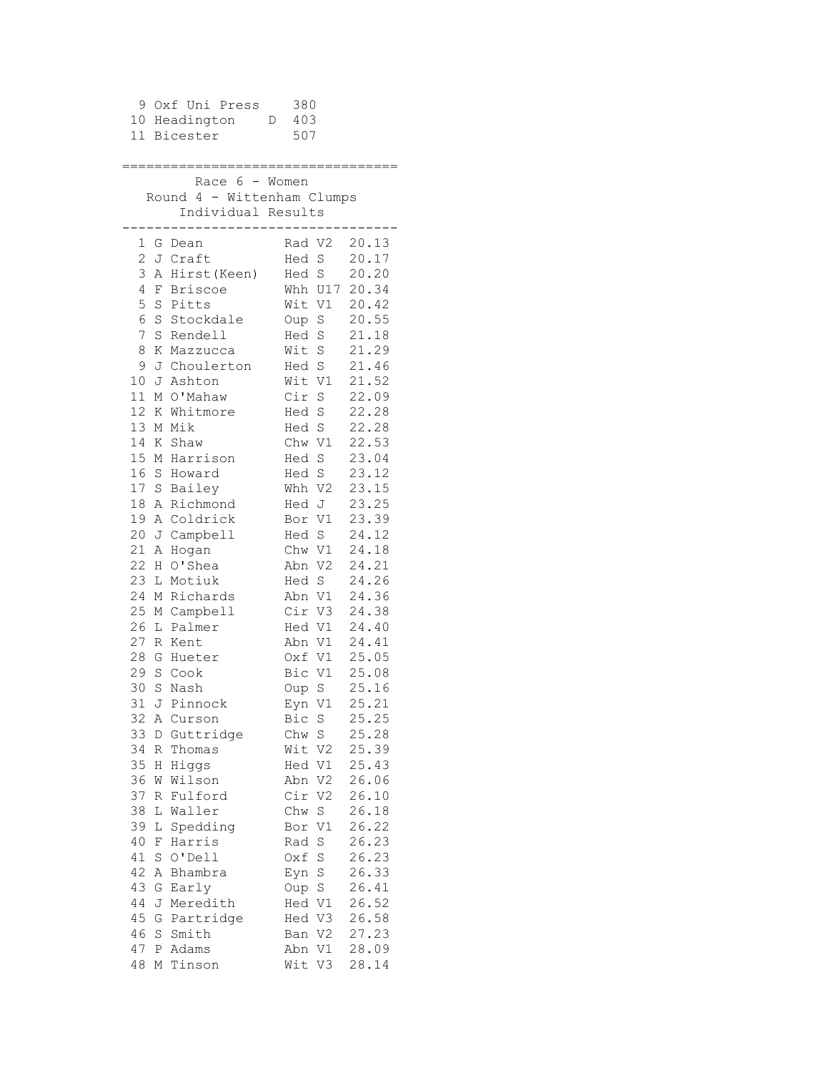|             |                                                  | 9 Oxf Uni Press 380<br>10 Headington D 403<br>11 Bicester | 507                          |                |  |  |
|-------------|--------------------------------------------------|-----------------------------------------------------------|------------------------------|----------------|--|--|
|             | Race $6 -$ Women                                 |                                                           |                              |                |  |  |
|             | Round 4 - Wittenham Clumps<br>Individual Results |                                                           |                              |                |  |  |
|             |                                                  | 1 G Dean                                                  | Rad V2 20.13                 |                |  |  |
|             |                                                  | 2 J Craft                                                 | Hed S                        | 20.17          |  |  |
|             |                                                  | 3 A Hirst (Keen)                                          | Hed S                        | 20.20          |  |  |
|             |                                                  | 4 F Briscoe                                               | Whh U17 20.34                |                |  |  |
|             |                                                  | 5 S Pitts                                                 | Wit V1 20.42                 |                |  |  |
| 6           |                                                  | S Stockdale                                               | Oup S 20.55                  |                |  |  |
| $7^{\circ}$ |                                                  | S Rendell                                                 | Hed S 21.18                  |                |  |  |
| 8           |                                                  | K Mazzucca<br>9 J Choulerton Hed S 21.46                  | Wit S 21.29                  |                |  |  |
|             |                                                  | 10 J Ashton                                               |                              |                |  |  |
|             |                                                  | 11 M O'Mahaw                                              | Wit V1 21.52                 |                |  |  |
|             |                                                  | 12 K Whitmore                                             | Cir S 22.09                  |                |  |  |
|             |                                                  | 13 M Mik                                                  | $Hed S$ 22.28<br>Hed S       | 22.28          |  |  |
|             |                                                  | 14 K Shaw                                                 | Chw V1 22.53                 |                |  |  |
|             |                                                  | 15 M Harrison                                             | Hed S 23.04                  |                |  |  |
|             |                                                  | 16 S Howard                                               | Hed S 23.12                  |                |  |  |
|             |                                                  | 17 S Bailey                                               | Whh V2 23.15                 |                |  |  |
|             |                                                  | 18 A Richmond                                             | Hed J 23.25                  |                |  |  |
|             |                                                  | 19 A Coldrick                                             | Bor V1 23.39                 |                |  |  |
|             |                                                  | 20 J Campbell                                             | Hed S 24.12                  |                |  |  |
|             |                                                  | 21 A Hogan                                                | Chw V1 24.18<br>Abn V2 24.21 |                |  |  |
|             |                                                  | 22 H O'Shea                                               | $Red S 24.26$                |                |  |  |
|             |                                                  | 23 L Motiuk                                               | Abn V1 24.36                 |                |  |  |
| 24          |                                                  | M Richards                                                | Cir V3 24.38                 |                |  |  |
| 26          |                                                  | 25 M Campbell<br>L Palmer                                 | Hed V1 24.40                 |                |  |  |
|             |                                                  | 27 R Kent                                                 | Abn V1 24.41                 |                |  |  |
|             |                                                  | 28 G Hueter                                               | Oxf V1 25.05                 |                |  |  |
|             |                                                  | 29 S Cook                                                 | Bic V1 25.08                 |                |  |  |
| 30          |                                                  | S Nash                                                    | Oup S                        | 25.16          |  |  |
| 31          |                                                  | J Pinnock                                                 | Eyn V1                       | 25.21          |  |  |
|             |                                                  | 32 A Curson                                               | Bic S                        | 25.25          |  |  |
| 33          |                                                  | D Guttridge                                               | Chw S                        | 25.28          |  |  |
| 34          |                                                  | R Thomas                                                  | Wit V2                       | 25.39          |  |  |
| 35          |                                                  | H Higgs                                                   | Hed V1                       | 25.43          |  |  |
| 36          |                                                  | W Wilson                                                  | Abn V2                       | 26.06          |  |  |
| 37          |                                                  | R Fulford                                                 | Cir V2                       | 26.10          |  |  |
| 38          |                                                  | L Waller                                                  | Chw S                        | 26.18          |  |  |
| 39<br>40    |                                                  | L Spedding<br>F Harris                                    | Bor V1<br>Rad S              | 26.22<br>26.23 |  |  |
| 41          |                                                  | S O'Dell                                                  | Oxf S                        | 26.23          |  |  |
| 42          |                                                  | A Bhambra                                                 | Eyn S                        | 26.33          |  |  |
| 43          |                                                  | G Early                                                   | Oup S                        | 26.41          |  |  |
| 44          |                                                  | J Meredith                                                | Hed V1                       | 26.52          |  |  |
| 45          |                                                  | G Partridge                                               | Hed V3                       | 26.58          |  |  |
| 46          |                                                  | S Smith                                                   | Ban V2                       | 27.23          |  |  |
| 47          | Ρ                                                | Adams                                                     | Abn V1                       | 28.09          |  |  |
| 48          |                                                  | M Tinson                                                  | Wit V3                       | 28.14          |  |  |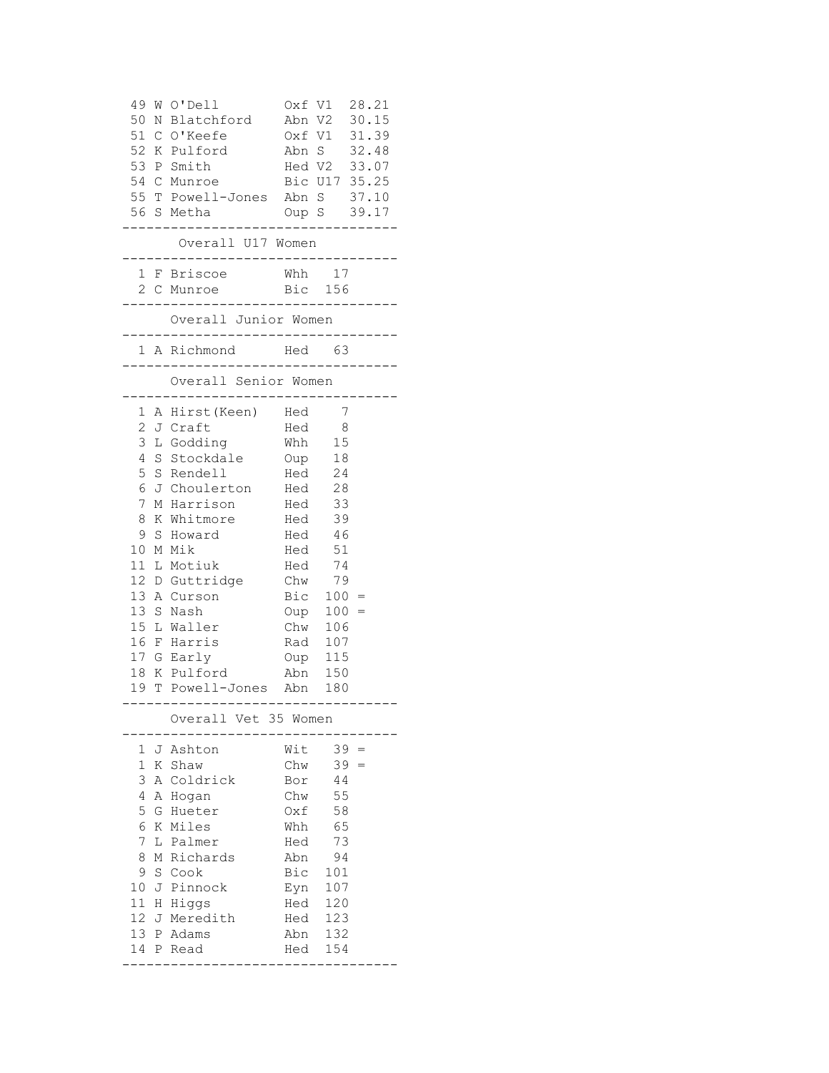| 49<br>50<br>Ν<br>51 C<br>52 K<br>53<br>54 C | W O'Dell<br>Blatchford<br>O'Keefe<br>Pulford<br>P Smith<br>Munroe<br>55 T Powell-Jones Abn S 37.10<br>56 S Metha<br>Overall U17 Women | Oxf V1<br>Abn V2<br>Oxf V1<br>Abn S<br>Oup S 39.17<br>. |                | 28.21<br>30.15<br>31.39<br>32.48<br>Hed V2 33.07<br>Bic U17 35.25 |
|---------------------------------------------|---------------------------------------------------------------------------------------------------------------------------------------|---------------------------------------------------------|----------------|-------------------------------------------------------------------|
|                                             | . _ _ _ _ _ _ _ _ _ _ _ _ _ _ _ _ _ _                                                                                                 |                                                         |                |                                                                   |
|                                             | 1 F Briscoe<br>2 C Munroe<br>-------------                                                                                            | Whh 17<br>Bic 156<br>. _ _ _ _ _ _ _                    |                |                                                                   |
|                                             | Overall Junior Women<br>---------------------                                                                                         |                                                         |                |                                                                   |
|                                             | 1 A Richmond                                                                                                                          | Hed 63                                                  |                |                                                                   |
|                                             | Overall Senior Women                                                                                                                  |                                                         |                |                                                                   |
| $\mathbf{1}$                                | A Hirst (Keen) Hed                                                                                                                    |                                                         | $\overline{7}$ |                                                                   |
| 2                                           | J Craft                                                                                                                               | Hed                                                     | $\overline{8}$ |                                                                   |
| 3                                           | L Godding                                                                                                                             | Whh                                                     | 15             |                                                                   |
| 4                                           | S Stockdale                                                                                                                           | Oup                                                     | 18             |                                                                   |
| 5                                           | S Rendell                                                                                                                             | Hed 24                                                  |                |                                                                   |
| 6                                           | J Choulerton Hed 28                                                                                                                   |                                                         |                |                                                                   |
| 7                                           | M Harrison Hed                                                                                                                        |                                                         | 33             |                                                                   |
| 8                                           | K Whitmore Hed                                                                                                                        |                                                         | 39             |                                                                   |
| 9                                           | S Howard                                                                                                                              | Hed<br>Hed                                              | 46             |                                                                   |
| 10<br>11                                    | M Mik<br>L Motiuk                                                                                                                     | Hed                                                     | 51<br>74       |                                                                   |
|                                             | 12 D Guttridge                                                                                                                        | $Chw$ 79                                                |                |                                                                   |
|                                             | 13 A Curson                                                                                                                           | Bic $100 =$                                             |                |                                                                   |
| 13 S                                        | Nash                                                                                                                                  | $Oup 100 =$                                             |                |                                                                   |
|                                             | 15 L Waller                                                                                                                           | Chw 106                                                 |                |                                                                   |
| 16                                          | F Harris                                                                                                                              | Rad 107                                                 |                |                                                                   |
|                                             | 17 G Early                                                                                                                            | Oup 115                                                 |                |                                                                   |
| 18                                          | K Pulford                                                                                                                             | Abn                                                     | 150            |                                                                   |
| $-$ -<br>---                                | 19 T Powell-Jones Abn<br>. _ _ _ _ _ _ _ _ _ _ _ _ _                                                                                  | .                                                       | 180<br>.       |                                                                   |
|                                             | Overall Vet 35 Women                                                                                                                  |                                                         |                |                                                                   |
| 1                                           | J Ashton                                                                                                                              | Wit                                                     | 39             |                                                                   |
| 1                                           | K Shaw                                                                                                                                | Chw                                                     | 39             |                                                                   |
| 3                                           | A Coldrick                                                                                                                            | Bor                                                     | 44             |                                                                   |
| 4                                           | A Hogan                                                                                                                               | Chw                                                     | 55             |                                                                   |
| 5                                           | G Hueter                                                                                                                              | Oxf                                                     | 58             |                                                                   |
| 6                                           | K Miles                                                                                                                               | Whh                                                     | 65             |                                                                   |
| 7<br>8                                      | L Palmer<br>M Richards                                                                                                                | Hed<br>Abn                                              | 73<br>94       |                                                                   |
| 9                                           | S Cook                                                                                                                                | Bic                                                     | 101            |                                                                   |
| 10                                          | J Pinnock                                                                                                                             | Eyn                                                     | 107            |                                                                   |
| 11                                          | H Higgs                                                                                                                               | Hed                                                     | 120            |                                                                   |
| 12<br>J                                     | Meredith                                                                                                                              | Hed                                                     | 123            |                                                                   |
|                                             | 13 P Adams                                                                                                                            | Abn                                                     | 132            |                                                                   |
| 14                                          | P Read                                                                                                                                | Hed                                                     | 154            |                                                                   |
|                                             |                                                                                                                                       |                                                         |                |                                                                   |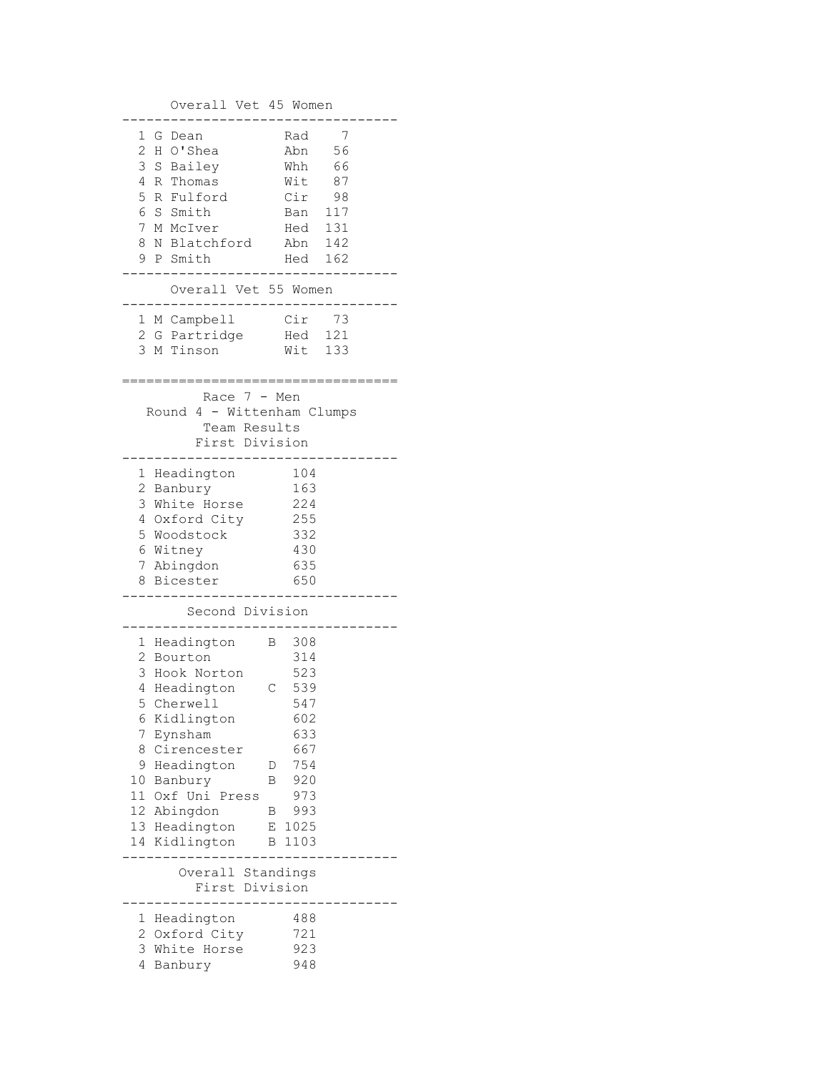Overall Vet 45 Women ---------------------------------- 1 G Dean Rad 7<br>
2 H O'Shea Abn 56<br>
3 S Bailey Whh 66 2 H O'Shea 3 S Bailey 4 R Thomas Wit 87 5 R Fulford Cir 98 6 S Smith Ban 117<br>7 M McIver Hed 131 7 M McIver 8 N Blatchford Abn 142 9 P Smith Hed 162 ---------------------------------- Overall Vet 55 Women ---------------------------------- 1 M Campbell Cir 73 2 G Partridge Hed 121 3 M Tinson Wit 133 ================================== Race 7 - Men Round 4 - Wittenham Clumps Team Results First Division ---------------------------------- 1 Headington 2 Banbury 163 3 White Horse 224<br>4 Oxford City 255 4 Oxford City 5 Woodstock 332 6 Witney 430<br>7 Abingdon 635<br>8 Bicester 7 Abingdon 8 Bicester ---------------------------------- Second Division ---------------------------------- 1 Headington B 308 2 Bourton 314 3 Hook Norton 523 4 Headington C 539 5 Cherwell 547 6 Kidlington 602 7 Eynsham 633 8 Cirencester 667 9 Headington D 754 10 Banbury B 920 11 Oxf Uni Press 973 12 Abingdon B 993 13 Headington E 1025 14 Kidlington B 1103 ---------------------------------- Overall Standings First Division ---------------------------------- 1 Headington 488 2 Oxford City 721 3 White Horse 923 4 Banbury 948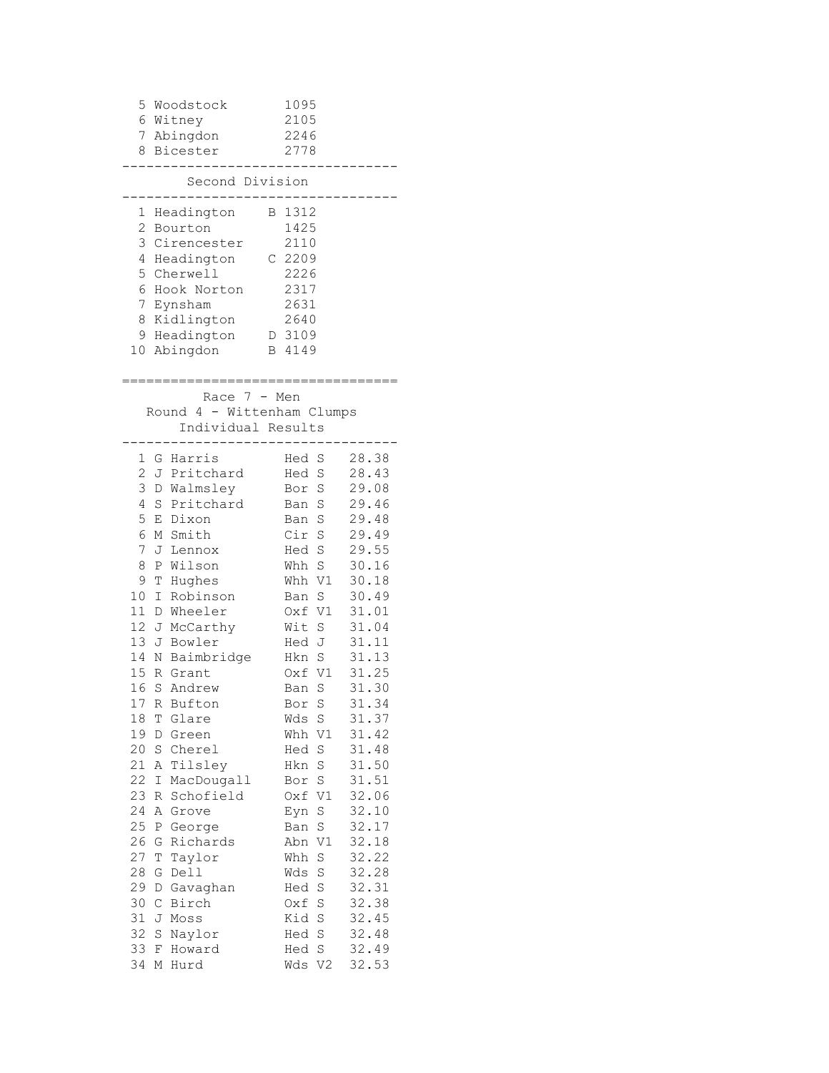| 5                                                                                                                                                                                                     | Woodstock<br>6 Witney<br>7 Abingdon<br>8 Bicester                                                                                                                                                                                                                                                                                                                                                                                                                                     | 1095<br>2105<br>2246<br>2778                                                                                                                                                                                                                                                                                                                                                                                                  |                                                                                                                                                                                                                                                                                              |
|-------------------------------------------------------------------------------------------------------------------------------------------------------------------------------------------------------|---------------------------------------------------------------------------------------------------------------------------------------------------------------------------------------------------------------------------------------------------------------------------------------------------------------------------------------------------------------------------------------------------------------------------------------------------------------------------------------|-------------------------------------------------------------------------------------------------------------------------------------------------------------------------------------------------------------------------------------------------------------------------------------------------------------------------------------------------------------------------------------------------------------------------------|----------------------------------------------------------------------------------------------------------------------------------------------------------------------------------------------------------------------------------------------------------------------------------------------|
|                                                                                                                                                                                                       | Second Division                                                                                                                                                                                                                                                                                                                                                                                                                                                                       |                                                                                                                                                                                                                                                                                                                                                                                                                               |                                                                                                                                                                                                                                                                                              |
| 1<br>2<br>3<br>4<br>5<br>6<br>7<br>10                                                                                                                                                                 | Headington<br>Bourton<br>Cirencester<br>Headington<br>Cherwell<br>Hook Norton<br>Eynsham<br>8 Kidlington<br>9 Headington<br>Abingdon                                                                                                                                                                                                                                                                                                                                                  | 1312<br>В<br>1425<br>2110<br>C 2209<br>2226<br>2317<br>2631<br>2640<br>D 3109<br>B 4149                                                                                                                                                                                                                                                                                                                                       |                                                                                                                                                                                                                                                                                              |
|                                                                                                                                                                                                       | Race $7 - Men$<br>Round 4 - Wittenham Clumps<br>Individual Results                                                                                                                                                                                                                                                                                                                                                                                                                    |                                                                                                                                                                                                                                                                                                                                                                                                                               |                                                                                                                                                                                                                                                                                              |
| 1<br>2<br>J<br>3<br>4<br>5<br>6<br>7<br>8<br>9<br>10<br>11<br>12 <sup>7</sup><br>13<br>14<br>15<br>16<br>17<br>18<br>19<br>20<br>21<br>22<br>23<br>24<br>25<br>26<br>27<br>28<br>29<br>30<br>31<br>32 | G Harris<br>Pritchard<br>D Walmsley<br>S Pritchard<br>E Dixon<br>M Smith<br>J<br>Lennox<br>Wilson<br>Ρ<br>Hughes<br>Т<br>Ι<br>Robinson<br>D Wheeler<br>J McCarthy<br>J Bowler<br>N Baimbridge<br>R Grant<br>S<br>Andrew<br>Bufton<br>R<br>Τ<br>Glare<br>D<br>Green<br>S<br>Cherel<br>Tilsley<br>Α<br>Ι<br>MacDougall<br>Schofield<br>R<br>Α<br>Grove<br>George<br>Ρ<br>Richards<br>G<br>Τ<br>Taylor<br>Dell<br>G<br>D<br>Gavaghan<br>$\mathsf C$<br>Birch<br>J<br>Moss<br>S<br>Naylor | Hed<br>S<br>S<br>Hed<br>$\rm S$<br>Bor<br>S<br>Ban<br>S<br>Ban<br>Cir<br>S<br>S<br>Hed<br>S<br>Whh<br>V1<br>Whh<br>S<br>Ban<br>Oxf V1<br>Wit S<br>Hed J<br>Hkn S<br>V1<br>0xf<br>S<br>Ban<br>Bor<br>S<br>$\rm S$<br>Wds<br>V1<br>Whh<br>S<br>Hed<br>S<br>Hkn<br>$\rm S$<br>Bor<br>Oxf V1<br>$\rm S$<br>Eyn<br>S<br>Ban<br>Abn<br>V1<br>Whh<br>S<br>Wds<br>S<br>S<br>Hed<br>$\rm S$<br>Oxf<br>Kid<br>$\rm S$<br>$\rm S$<br>Hed | 28.38<br>28.43<br>29.08<br>29.46<br>29.48<br>29.49<br>29.55<br>30.16<br>30.18<br>30.49<br>31.01<br>31.04<br>31.11<br>31.13<br>31.25<br>31.30<br>31.34<br>31.37<br>31.42<br>31.48<br>31.50<br>31.51<br>32.06<br>32.10<br>32.17<br>32.18<br>32.22<br>32.28<br>32.31<br>32.38<br>32.45<br>32.48 |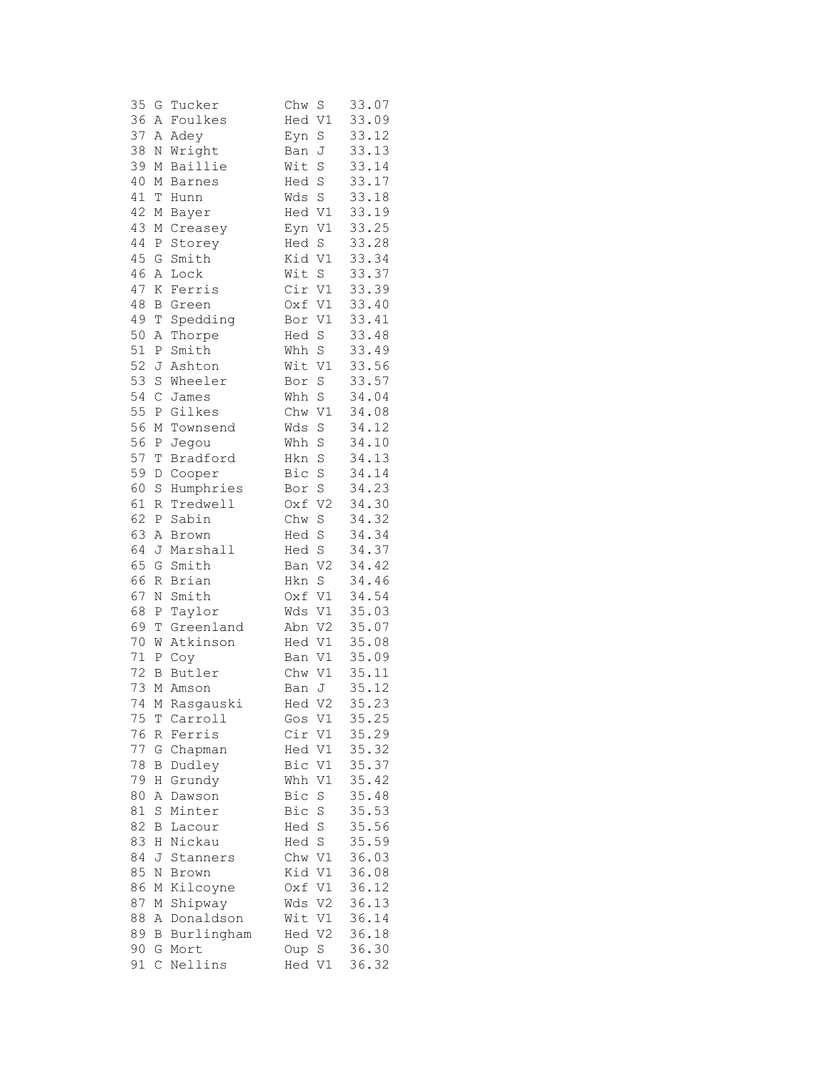| 35 | G           | Tucker      | Chw    | S              | 33.07 |
|----|-------------|-------------|--------|----------------|-------|
| 36 | Α           | Foulkes     | Hed    | $\mathtt{V1}$  | 33.09 |
| 37 | Α           | Adey        | Eyn    | $\rm S$        | 33.12 |
| 38 | Ν           | Wright      | Ban    | J              | 33.13 |
| 39 | М           | Baillie     | Wit    | S              | 33.14 |
| 40 | М           | Barnes      | Hed    | $\rm S$        | 33.17 |
| 41 | T           | Hunn        | Wds    | $\mathbf S$    | 33.18 |
| 42 | М           | Bayer       | Hed    | V1             | 33.19 |
| 43 | М           | Creasey     | Eyn    | V1             | 33.25 |
| 44 | Ρ           | Storey      | Hed    | $\rm S$        | 33.28 |
| 45 | G           | Smith       | Kid    | $\mathtt{V1}$  | 33.34 |
| 46 | Α           | Lock        | Wit    | S              | 33.37 |
| 47 | Κ           | Ferris      | Cir    | $\mathtt{V1}$  | 33.39 |
| 48 | В           | Green       | Oxf V1 |                | 33.40 |
| 49 | $\mathbb T$ | Spedding    | Bor V1 |                | 33.41 |
| 50 | Α           | Thorpe      | Hed S  |                | 33.48 |
| 51 | Ρ           | Smith       | Whh    | S              | 33.49 |
| 52 | J           | Ashton      | Wit    | $\mathtt{V1}$  | 33.56 |
| 53 | $\rm S$     | Wheeler     | Bor    | $\rm S$        | 33.57 |
| 54 | $\mathsf C$ | James       | Whh    | S              | 34.04 |
| 55 | Ρ           | Gilkes      | Chw    | V1             | 34.08 |
| 56 | М           | Townsend    | Wds    | $\rm S$        | 34.12 |
| 56 | Ρ           | Jegou       | Whh    | S              | 34.10 |
| 57 | T           | Bradford    | Hkn    | $\rm S$        | 34.13 |
| 59 | D           | Cooper      | Bic    | $\rm S$        | 34.14 |
| 60 | $\rm S$     | Humphries   | Bor    | $\rm S$        | 34.23 |
| 61 | R           | Tredwell    | Oxf    | V <sub>2</sub> | 34.30 |
| 62 | Ρ           | Sabin       | Chw    | $\rm S$        | 34.32 |
| 63 | Α           | Brown       | Hed    | $\rm S$        | 34.34 |
| 64 | J           | Marshall    | Hed    | $\rm S$        | 34.37 |
| 65 | G           | Smith       | Ban    | V <sub>2</sub> | 34.42 |
| 66 | R           | Brian       | Hkn    | $\mathbf S$    | 34.46 |
| 67 | Ν           | Smith       | Oxf    | V1             | 34.54 |
| 68 | Ρ           | Taylor      | Wds    | V1             | 35.03 |
| 69 | T           | Greenland   | Abn    | V <sub>2</sub> | 35.07 |
| 70 | W           | Atkinson    | Hed    | V1             | 35.08 |
| 71 | Ρ           | Coy         | Ban V1 |                | 35.09 |
| 72 | В           | Butler      | Chw    | V1             | 35.11 |
| 73 | М           | Amson       | Ban    | J              | 35.12 |
| 74 |             | M Rasgauski | Hed    | V <sub>2</sub> | 35.23 |
| 75 | Τ           | Carroll     | Gos    | V1             | 35.25 |
| 76 | R           | Ferris      | Cir    | V1             | 35.29 |
| 77 | G           | Chapman     | Hed    | V1             | 35.32 |
| 78 | В           | Dudley      | Bic    | V1             | 35.37 |
| 79 | Η           | Grundy      | Whh    | $\rm V1$       | 35.42 |
| 80 | Α           | Dawson      | Bic    | S              | 35.48 |
| 81 | $\rm S$     | Minter      | Bic    | $\rm S$        | 35.53 |
| 82 | В           | Lacour      | Hed    | S              | 35.56 |
| 83 | Η           | Nickau      | Hed    | S              | 35.59 |
| 84 | J           | Stanners    | Chw    | $\mathtt{V}1$  | 36.03 |
| 85 | N           | Brown       | Kid    | V1             | 36.08 |
| 86 | Μ           | Kilcoyne    | Oxf    | V1             | 36.12 |
| 87 | М           | Shipway     | Wds    | V <sub>2</sub> | 36.13 |
| 88 | Α           | Donaldson   | Wit    | V1             | 36.14 |
| 89 | В           | Burlingham  | Hed    | V <sub>2</sub> | 36.18 |
| 90 | G           | Mort        | Oup    | $\rm S$        | 36.30 |
| 91 | $\mathsf C$ | Nellins     | Hed    | V1             | 36.32 |
|    |             |             |        |                |       |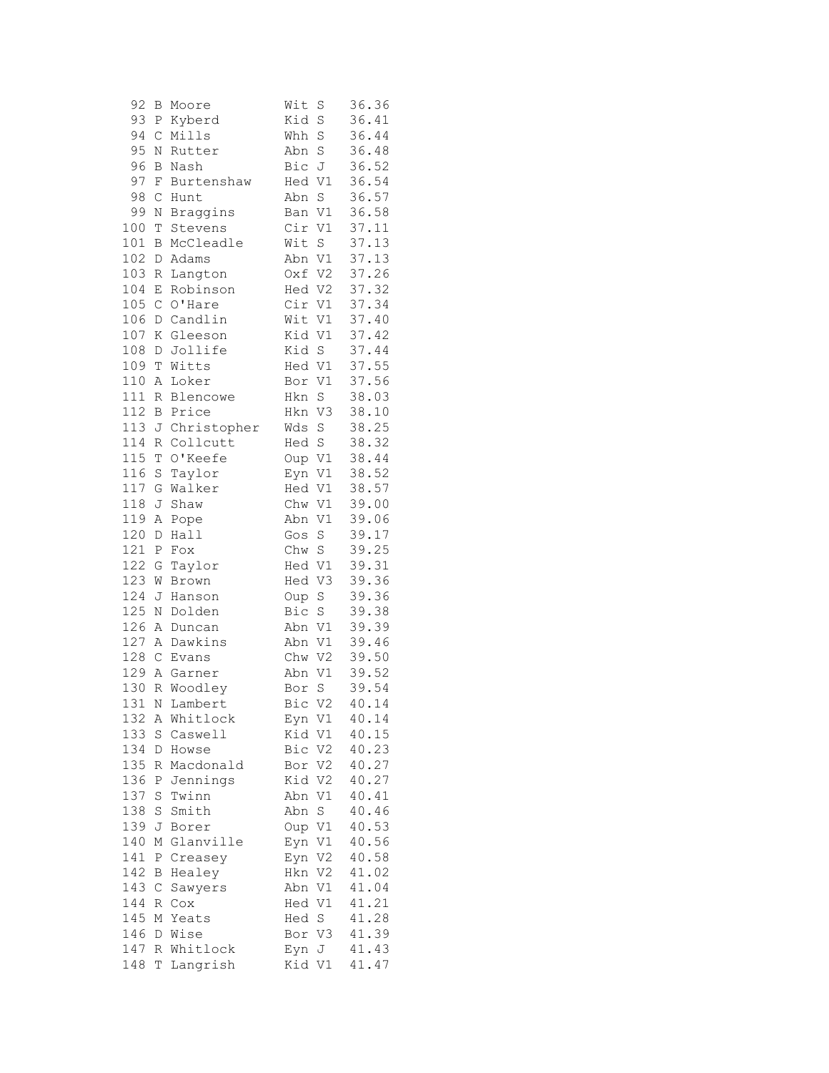| 92  | В            | Moore       | Wit<br>S           | 36.36 |
|-----|--------------|-------------|--------------------|-------|
| 93  | Ρ            | Kyberd      | Kid<br>S           | 36.41 |
| 94  | $\mathsf C$  | Mills       | Whh<br>S           | 36.44 |
| 95  | Ν            | Rutter      | Abn<br>$\rm S$     | 36.48 |
| 96  | B            | Nash        | Bic J              | 36.52 |
| 97  | F            | Burtenshaw  | V1<br>Hed          | 36.54 |
| 98  | $\mathsf C$  | Hunt        | $\rm S$<br>Abn     | 36.57 |
| 99  | Ν            | Braggins    | Ban V1             | 36.58 |
| 100 | T            | Stevens     | Cir V1             | 37.11 |
| 101 | В            | McCleadle   | $\mathbf S$<br>Wit | 37.13 |
| 102 | $\mathbb D$  | Adams       | Abn V1             | 37.13 |
| 103 | R            | Langton     | Oxf V2             | 37.26 |
| 104 | E            | Robinson    | Hed V2             | 37.32 |
| 105 | $\mathsf C$  | O'Hare      | Cir V1             | 37.34 |
| 106 | $\mathbb D$  | Candlin     | Wit<br>V1          | 37.40 |
| 107 | Κ            | Gleeson     | Kid V1             | 37.42 |
| 108 | D            | Jollife     | Kid<br>S           | 37.44 |
| 109 | T            | Witts       | Hed V1             | 37.55 |
| 110 | Α            | Loker       | V1<br>Bor          | 37.56 |
| 111 | $\mathbb R$  | Blencowe    | S<br>Hkn           | 38.03 |
| 112 | B            | Price       | V3<br>Hkn          | 38.10 |
| 113 | J            | Christopher | Wds<br>$\rm S$     | 38.25 |
| 114 | R            | Collcutt    | Hed S              | 38.32 |
| 115 |              | O'Keefe     |                    |       |
|     | $\mathbb T$  |             | Oup<br>V1          | 38.44 |
| 116 | $\rm S$      | Taylor      | Eyn<br>V1          | 38.52 |
| 117 | G            | Walker      | Hed V1             | 38.57 |
| 118 | J            | Shaw        | Chw V1             | 39.00 |
| 119 | Α            | Pope        | Abn V1             | 39.06 |
| 120 | $\mathbb D$  | Hall        | S<br>Gos           | 39.17 |
| 121 | Ρ            | Fox         | Chw S              | 39.25 |
| 122 | G            | Taylor      | Hed V1             | 39.31 |
| 123 | W            | Brown       | Hed V3             | 39.36 |
| 124 | J            | Hanson      | $\mathbf S$<br>Oup | 39.36 |
| 125 | $\rm N$      | Dolden      | Bic<br>S           | 39.38 |
| 126 | Α            | Duncan      | Abn<br>V1          | 39.39 |
| 127 | $\, {\tt A}$ | Dawkins     | V1<br>Abn          | 39.46 |
| 128 | $\mathsf C$  | Evans       | Chw V2             | 39.50 |
| 129 | A            | Garner      | V1<br>Abn          | 39.52 |
| 130 | R            | Woodley     | S<br>Bor           | 39.54 |
| 131 | N            | Lambert     | Bic V2             | 40.14 |
| 132 | Α            | Whitlock    | Eyn V1             | 40.14 |
| 133 | S            | Caswell     | Kid V1             | 40.15 |
| 134 | D            | Howse       | Bic V2             | 40.23 |
| 135 | R            | Macdonald   | Bor V2             | 40.27 |
| 136 | Ρ            | Jennings    | Kid V2             | 40.27 |
| 137 | $\rm S$      | Twinn       | V1<br>Abn          | 40.41 |
| 138 | S            | Smith       | S<br>Abn           | 40.46 |
| 139 | J            | Borer       | Oup V1             | 40.53 |
| 140 | Μ            | Glanville   | Eyn<br>V1          | 40.56 |
| 141 | Ρ            | Creasey     | V2<br>Eyn          | 40.58 |
| 142 | B            | Healey      | Hkn V2             | 41.02 |
| 143 | $\mathsf C$  | Sawyers     | Abn V1             | 41.04 |
| 144 | R            | Cox         | Hed V1             | 41.21 |
| 145 | Μ            | Yeats       | Hed S              | 41.28 |
| 146 | D            | Wise        | Bor V3             | 41.39 |
| 147 | R            | Whitlock    | Eyn J              | 41.43 |
| 148 | Т            | Langrish    | Kid V1             | 41.47 |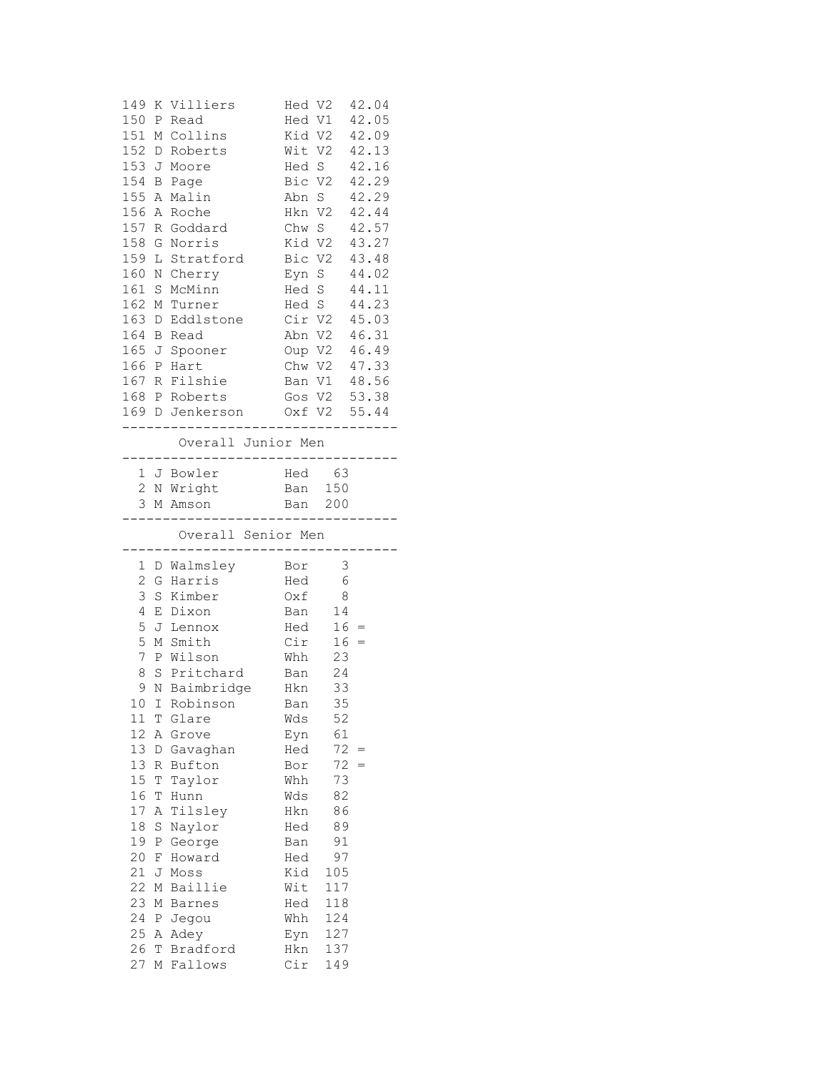| 149<br>150<br>151<br>152<br>153<br>154<br>155<br>156 | Ρ<br>М<br>D<br>J<br>B<br>Α | K Villiers<br>Read<br>Collins<br>Roberts<br>Moore<br>Page<br>Malin | Hed V2<br>Hed V1<br>Hed S<br>Bic V2<br>Abn S | Kid V2<br>Wit V2 | 42.04<br>42.05<br>42.09<br>42.13<br>42.16<br>42.29<br>42.29<br>42.44 |  |
|------------------------------------------------------|----------------------------|--------------------------------------------------------------------|----------------------------------------------|------------------|----------------------------------------------------------------------|--|
| 157                                                  | Α                          | Roche<br>R Goddard                                                 | Hkn V2<br>Chw S                              |                  | 42.57                                                                |  |
| 158                                                  | G                          | Norris                                                             | Kid V2                                       |                  | 43.27                                                                |  |
| 159                                                  | L                          | Stratford                                                          | Bic V2                                       |                  | 43.48                                                                |  |
| 160                                                  | N                          | Cherry                                                             | Eyn S                                        |                  | 44.02                                                                |  |
| 161                                                  | S                          | McMinn                                                             | Hed S                                        |                  | 44.11                                                                |  |
| 162                                                  | Μ                          | Turner                                                             | Hed S                                        |                  | 44.23                                                                |  |
| 163                                                  | D                          | Eddlstone                                                          | Cir V2                                       |                  | 45.03                                                                |  |
| 164                                                  | B                          | Read                                                               | Abn V2                                       |                  | 46.31                                                                |  |
| 165 J                                                |                            | Spooner                                                            | Oup V2                                       |                  | 46.49                                                                |  |
| 166                                                  | P                          | Hart                                                               | Chw V2                                       |                  | 47.33                                                                |  |
| 167 R                                                |                            | Filshie                                                            | Ban V1                                       |                  | 48.56                                                                |  |
|                                                      |                            | 168 P Roberts                                                      |                                              | Gos V2 53.38     |                                                                      |  |
|                                                      |                            | 169 D Jenkerson                                                    |                                              | Oxf V2           | 55.44                                                                |  |
|                                                      |                            | ---------------<br>Overall Junior Men<br>-----------------------   |                                              | -------------    |                                                                      |  |
|                                                      |                            | 1 J Bowler                                                         |                                              | Hed 63           |                                                                      |  |
|                                                      |                            | 2 N Wright                                                         | Ban                                          | 150              |                                                                      |  |
|                                                      |                            | 3 M Amson                                                          | Ban 200                                      |                  |                                                                      |  |
|                                                      |                            | ----------------------<br>Overall Senior Men                       |                                              |                  |                                                                      |  |
| 1                                                    |                            | D Walmsley                                                         | Bor                                          | 3                |                                                                      |  |
| $\mathbf{2}$                                         | G                          | Harris                                                             | Hed                                          | 6                |                                                                      |  |
| 3                                                    | $\rm S$                    | Kimber                                                             | Oxf                                          | 8                |                                                                      |  |
| 4                                                    | Ε                          | Dixon                                                              | Ban                                          | 14               |                                                                      |  |
| 5                                                    | J                          | Lennox                                                             | Hed                                          | 16               | $=$                                                                  |  |
| 5                                                    | М                          | Smith                                                              | Cir                                          | 16               | $=$                                                                  |  |
| 7                                                    |                            | P Wilson                                                           | Whh                                          | 23               |                                                                      |  |
| 8                                                    | S                          | Pritchard                                                          | Ban                                          | 24               |                                                                      |  |
| 9                                                    |                            | N Baimbridge                                                       | Hkn                                          | 33               |                                                                      |  |
|                                                      |                            | 10 I Robinson                                                      | Ban                                          | 35               |                                                                      |  |
| 11                                                   | Τ                          | Glare                                                              | Wds                                          | 52               |                                                                      |  |
| 12<br>13                                             | Α                          | Grove                                                              | Eyn                                          | 61<br>72         |                                                                      |  |
| 13                                                   | D<br>R                     | Gavaghan<br>Bufton                                                 | Hed<br>Bor                                   | 72               | $=$<br>$=$                                                           |  |
| 15                                                   | T                          | Taylor                                                             | Whh                                          | 73               |                                                                      |  |
| 16                                                   | T                          | Hunn                                                               | Wds                                          | 82               |                                                                      |  |
| 17                                                   | Α                          | Tilsley                                                            | Hkn                                          | 86               |                                                                      |  |
| 18                                                   | S                          | Naylor                                                             | Hed                                          | 89               |                                                                      |  |
| 19                                                   | Ρ                          | George                                                             | Ban                                          | 91               |                                                                      |  |
| 20                                                   | F                          | Howard                                                             | Hed                                          | 97               |                                                                      |  |
| 21                                                   | J                          | Moss                                                               | Kid                                          | 105              |                                                                      |  |
| 22                                                   | $\mathbb M$                | Baillie                                                            | Wit                                          | 117              |                                                                      |  |
| 23                                                   | М                          | <b>Barnes</b>                                                      | Hed                                          | 118              |                                                                      |  |
| 24                                                   | Ρ                          | Jegou                                                              | Whh                                          | 124              |                                                                      |  |
| 25                                                   | Α                          | Adey                                                               | Eyn                                          | 127              |                                                                      |  |
| 26                                                   | Т                          | Bradford                                                           | Hkn                                          | 137              |                                                                      |  |
| 27                                                   | М                          | Fallows                                                            | Cir                                          | 149              |                                                                      |  |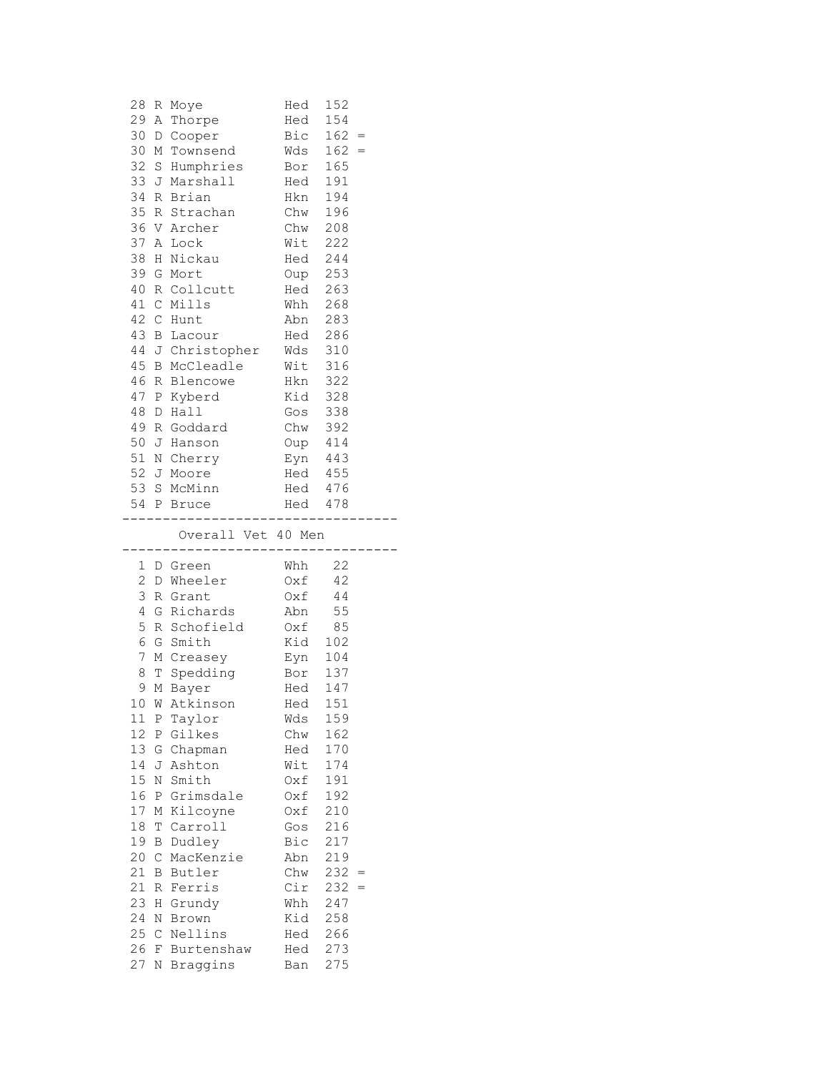| 28           |         | R Moye                                     | Hed                | 152        |     |  |
|--------------|---------|--------------------------------------------|--------------------|------------|-----|--|
| 29           |         | A Thorpe                                   | Hed                | 154        |     |  |
| 30           |         | D Cooper                                   | Bic                | $162 =$    |     |  |
| 30           | Μ       | Townsend                                   | $Wds$ 162 =        |            |     |  |
| 32           |         | S Humphries Bor 165                        |                    |            |     |  |
| 33           |         | J Marshall                                 | Hed                | 191        |     |  |
| 34           |         | R Brian                                    | Hkn 194            |            |     |  |
| 35           |         | R Strachan                                 |                    |            |     |  |
|              |         | 36 V Archer                                | Chw 196<br>Chw 208 |            |     |  |
| 37           |         | A Lock                                     | Wit 222            |            |     |  |
| 38           |         | H Nickau                                   | Hed 244            |            |     |  |
| 39           |         | G Mort                                     | Oup 253            |            |     |  |
| 40           |         | R Collcutt                                 | Hed 263            |            |     |  |
| 41           |         | C Mills                                    | Whh 268            |            |     |  |
| 42           |         | C Hunt                                     |                    |            |     |  |
| 43           |         |                                            | Abn 283            |            |     |  |
|              |         | B Lacour                                   | Hed 286            |            |     |  |
|              |         | 44 J Christopher Wds<br>45 B McCleadle Wit |                    | 310        |     |  |
|              |         |                                            |                    | 316        |     |  |
| 46           |         | R Blencowe                                 | Hkn                | 322        |     |  |
| 47           |         | P Kyberd                                   | Kid 328            |            |     |  |
| 48           | D       | Hall                                       | Gos 338            |            |     |  |
| 49           |         | R Goddard                                  | Chw 392            |            |     |  |
| 50           | J       | Hanson                                     | Oup 414            |            |     |  |
| 51           |         | N Cherry                                   | Eyn 443            |            |     |  |
|              |         | 52 J Moore                                 | Hed 455            |            |     |  |
|              |         | 53 S McMinn                                | Hed 476<br>Hed 478 |            |     |  |
|              |         | 54 P Bruce                                 |                    |            |     |  |
|              |         | -------------------------------            |                    |            |     |  |
|              |         |                                            |                    |            |     |  |
|              |         | Overall Vet 40 Men                         |                    |            |     |  |
|              |         |                                            | ------------       |            |     |  |
|              |         | 1 D Green                                  | Whh                | 22         |     |  |
| $\mathbf{2}$ |         | D Wheeler                                  | $Oxf$ 42           |            |     |  |
| 3            |         | R Grant                                    | $Oxf$ 44           |            |     |  |
| 4            |         | G Richards                                 | Abn                | 55         |     |  |
| 5            |         | R Schofield                                |                    |            |     |  |
| 6            |         | G Smith                                    | 0xf 85<br>Kid 102  |            |     |  |
| 7            |         | M Creasey                                  | Eyn 104            |            |     |  |
| 8            |         | T Spedding                                 | Bor 137            |            |     |  |
| 9            |         | M Bayer                                    | Hed                | 147        |     |  |
|              |         | 10 W Atkinson                              | Hed                | 151        |     |  |
| 11           | Ρ       | Taylor                                     | Wds                | 159        |     |  |
| 12           | Ρ       | Gilkes                                     | Chw                | 162        |     |  |
| 13           | G       | Chapman                                    | Hed                | 170        |     |  |
| 14           | J       | Ashton                                     | Wit                | 174        |     |  |
| 15           | N       | Smith                                      | Oxf                | 191        |     |  |
| 16           | Ρ       | Grimsdale                                  | Oxf                | 192        |     |  |
| 17           | Μ       | Kilcoyne                                   | Oxf                | 210        |     |  |
| 18           | Т       | Carroll                                    | Gos                | 216        |     |  |
| 19           | В       | Dudley                                     | Bic                | 217        |     |  |
| 20           | С       | MacKenzie                                  | Abn                |            |     |  |
|              | В       | Butler                                     |                    | 219        |     |  |
| 21           |         |                                            | Chw                | 232        | $=$ |  |
| 21           | R       | Ferris                                     | Cir                | 232        |     |  |
| 23           | Η       | Grundy                                     | Whh                | 247        |     |  |
| 24           | $\rm N$ | Brown                                      | Kid                | 258        |     |  |
| 25           | С       | Nellins                                    | Hed                | 266        |     |  |
| 26<br>27     | F<br>Ν  | Burtenshaw<br>Braggins                     | Hed<br>Ban         | 273<br>275 |     |  |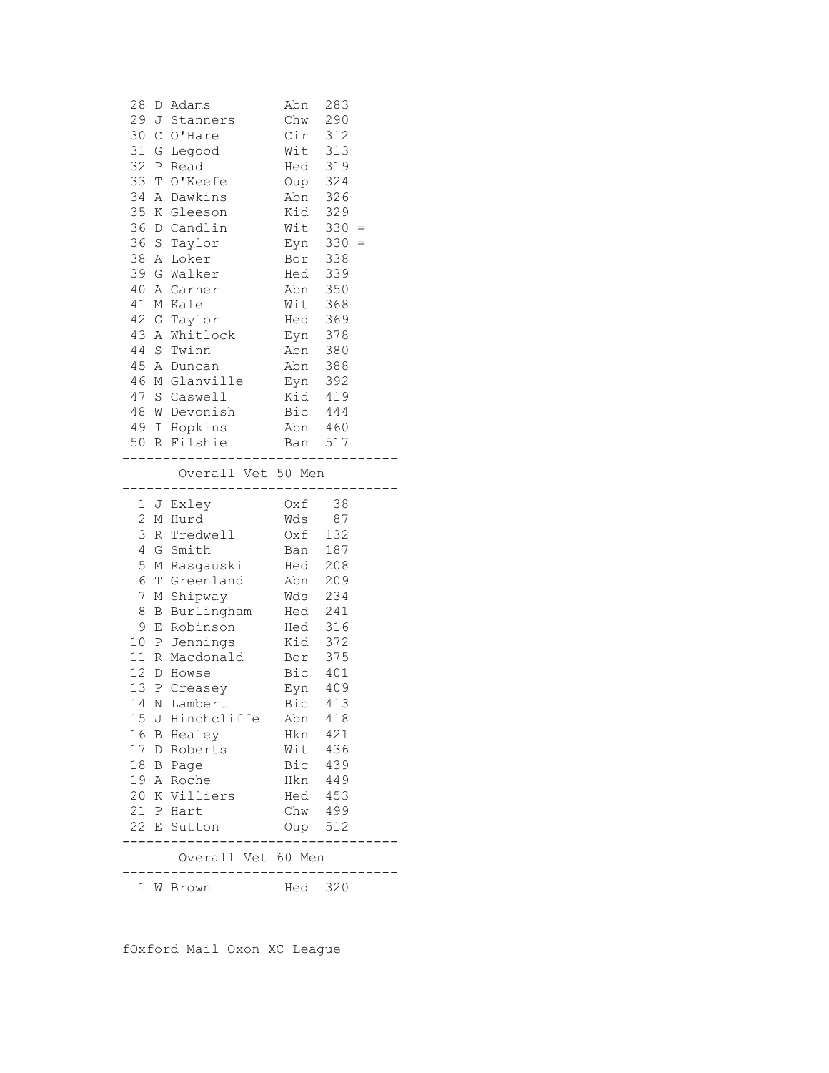| 28<br>33 T<br>34<br>35<br>38<br>42 G                                                        | $\mathbb{A}$ | D Adams<br>29 J Stanners<br>30 C O'Hare<br>31 G Legood<br>32 P Read<br>O'Keefe<br>Dawkins<br>K Gleeson<br>36 D Candlin<br>36 S Taylor<br>A Loker<br>39 G Walker<br>40 A Garner<br>41 M Kale<br>Taylor<br>43 A Whitlock<br>44 S Twinn<br>45 A Duncan<br>46 M Glanville<br>47 S Caswell<br>48 W Devonish<br>49 I Hopkins<br>50 R Filshie | Abn<br>Chw<br>$Cir$ 312<br>Wit 313<br>Hed 319<br>Oup<br>Abn<br>Kid<br>Wit<br>Eyn<br>Bor<br>Hed<br>Abn 350<br>Wit<br>Hed<br>Eyn<br>Eyn 378<br>Abn 380<br>Abn 388<br>Eyn 392<br>Kid 419<br>Bic 444<br>Abn 460<br>Ban 517 | 283<br>290<br>324<br>326<br>329<br>330<br>330<br>338<br>339<br>368<br>369<br>378 | $=$<br>$=$ |
|---------------------------------------------------------------------------------------------|--------------|----------------------------------------------------------------------------------------------------------------------------------------------------------------------------------------------------------------------------------------------------------------------------------------------------------------------------------------|------------------------------------------------------------------------------------------------------------------------------------------------------------------------------------------------------------------------|----------------------------------------------------------------------------------|------------|
|                                                                                             |              | Overall Vet 50 Men<br>.                                                                                                                                                                                                                                                                                                                |                                                                                                                                                                                                                        |                                                                                  |            |
| $\mathbf{2}$<br>3<br>$\overline{4}$<br>5<br>6<br>7<br>8<br>9<br>11 <sup>1</sup><br>13<br>14 | E<br>P       | 1 J Exley<br>M Hurd<br>R Tredwell<br>G Smith<br>M Rasgauski<br>T Greenland<br>M Shipway<br>B Burlingham<br>Robinson<br>10 P Jennings<br>R Macdonald<br>12 D Howse<br>Creasey                                                                                                                                                           | $Oxf$ 38<br>Wds 87<br>Oxf 132<br>Ban<br>Hed 208<br>Abn 209<br>Wds 234<br>Hed 241<br>$\begin{array}{cc}\n\text{Head} & \text{316} \\ \text{Head} & \text{316}\n\end{array}$<br>Kid<br>Bor<br>Bic 401<br>Eyn             | 187<br>372<br>375<br>409                                                         |            |
| 15 <sub>1</sub><br>17 D                                                                     |              | N Lambert<br>J Hinchcliffe<br>16 B Healey<br>Roberts<br>18 B Page<br>19 A Roche<br>20 K Villiers<br>21 P Hart<br>22 E Sutton<br>Overall Vet 60 Men                                                                                                                                                                                     | Bic<br>Abn<br>Hkn<br>Wit<br>Bic<br>Hkn<br>Hed 453<br>Chw 499<br>Oup 512                                                                                                                                                | 413<br>418<br>421<br>436<br>439<br>449                                           |            |

fOxford Mail Oxon XC League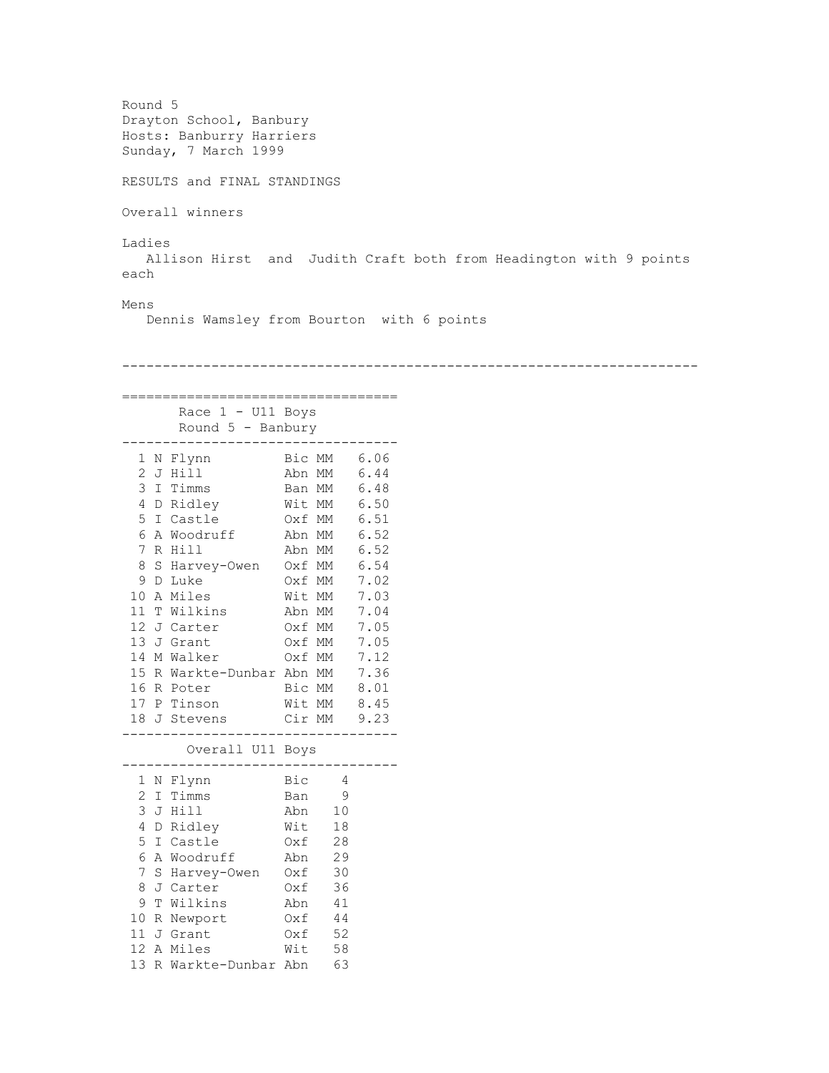```
Round 5
Drayton School, Banbury
Hosts: Banburry Harriers
Sunday, 7 March 1999
RESULTS and FINAL STANDINGS
Overall winners
Ladies 
   Allison Hirst and Judith Craft both from Headington with 9 points 
each
Mens
   Dennis Wamsley from Bourton with 6 points 
-----------------------------------------------------------------------
==================================
     Race 1 - U11 Boys
      Round 5 - Banbury
----------------------------------
 1 N Flynn Bic MM 6.06
 2 J Hill Abn MM 6.44
 3 I Timms Ban MM 6.48
 4 D Ridley Wit MM 6.50
 5 I Castle Oxf MM 6.51
 6 A Woodruff Abn MM 6.52
 7 R Hill Abn MM 6.52
  8 S Harvey-Owen Oxf MM 6.54
 9 D Luke Oxf MM 7.02
 10 A Miles Wit MM 7.03
 11 T Wilkins Abn MM 7.04
12 J Carter Oxf MM 7.05
                0xf MM 7.05
14 M Walker Oxf MM 7.12<br>15 R Warkte-Dunbar Abn MM 7.36
15 R Warkte-Dunbar Abn MM
16 R Poter Bic MM 8.01
17 P Tinson Wit MM 8.45
17 1 11115611 112 111 1115611<br>18 J Stevens Cir MM 9.23
----------------------------------
       Overall U11 Boys
----------------------------------
 1 N Flynn Bic 4
  2 I Timms Ban 9
  3 J Hill Abn 10
  4 D Ridley Wit 18
  5 I Castle Oxf 28
  6 A Woodruff Abn 29
  7 S Harvey-Owen Oxf 30
 8 J Carter Oxf 36
 9 T Wilkins Abn 41
 10 R Newport Oxf 44
11 J Grant 0xf 52
11 Schule Miles Wit 58
13 R Warkte-Dunbar Abn 63
```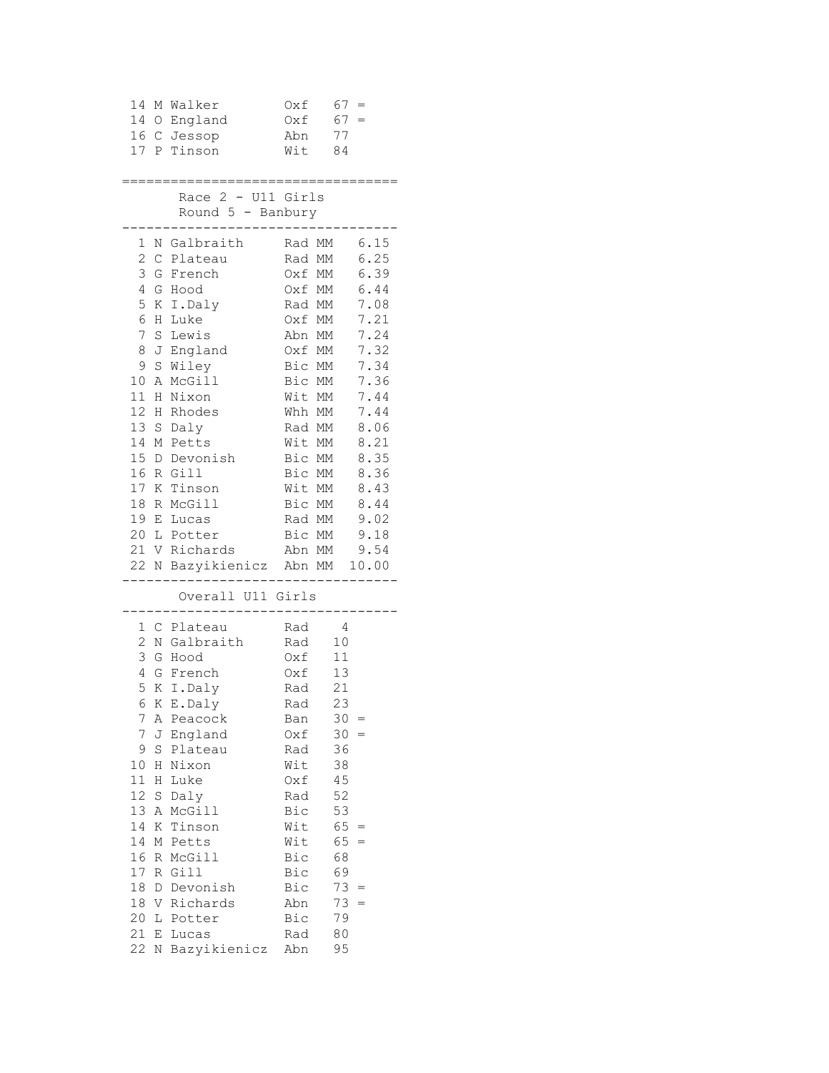|    |   | 14 M Walker                                              |                                      |        |  |
|----|---|----------------------------------------------------------|--------------------------------------|--------|--|
|    |   | 14 O England                                             | $0xf = 67 =$<br>$0xf = 67 =$         |        |  |
|    |   | 16 C Jessop                                              | Abn                                  | 77     |  |
|    |   | 17 P Tinson                                              | Wit 84                               |        |  |
|    |   |                                                          |                                      |        |  |
|    |   | -----------------------                                  |                                      |        |  |
|    |   | Race 2 - U11 Girls                                       |                                      |        |  |
|    |   | Round $5$ - Banbury<br>. _ _ _ _ _ _ _ _ _ _ _ _ _ _ _ _ |                                      |        |  |
|    |   |                                                          |                                      |        |  |
|    |   | 1 N Galbraith Rad MM 6.15<br>2 C Plateau                 |                                      |        |  |
|    |   | 3 G French                                               | Rad MM      6.25<br>Oxf MM      6.39 |        |  |
|    |   | 4 G Hood                                                 | Oxf MM 6.44                          |        |  |
|    |   | 5 K I.Daly Rad MM 7.08                                   |                                      |        |  |
|    |   | 6 H Luke                                                 | Oxf MM 7.21                          |        |  |
|    |   | 7 S Lewis                                                | Abn MM 7.24                          |        |  |
|    |   | 8 J England Oxf MM 7.32                                  |                                      |        |  |
|    |   | 9 S Wiley                                                |                                      |        |  |
|    |   | 10 A McGill                                              | Bic MM 7.34                          |        |  |
|    |   | 11 H Nixon                                               | Bic MM 7.36<br>Wit MM 7.44           |        |  |
|    |   |                                                          | $Whh$ MM $7.44$                      |        |  |
|    |   | 12 H Rhodes<br>13 S Daly                                 | Rad MM 8.06                          |        |  |
|    |   | 14 M Petts                                               | Wit MM 8.21                          |        |  |
|    |   | 15 D Devonish Bic MM 8.35                                |                                      |        |  |
|    |   | 16 R Gill                                                | Bic MM 8.36                          |        |  |
|    |   | 17 K Tinson                                              | Wit MM 8.43                          |        |  |
|    |   | 18 R McGill                                              | Bic MM 8.44                          |        |  |
|    |   | 19 E Lucas                                               |                                      |        |  |
|    |   | 20 L Potter                                              | Rad MM 9.02<br>Bic MM 9.18           |        |  |
|    |   | 21 V Richards Abn MM 9.54                                |                                      |        |  |
|    |   | 22 N Bazyikienicz Abn MM 10.00                           |                                      |        |  |
|    |   | -------------                                            | __________________                   |        |  |
|    |   | Overall U11 Girls                                        |                                      |        |  |
|    |   | 1 C Plateau                                              | Rad 4                                |        |  |
|    |   | 2 N Galbraith                                            | Rad 10                               |        |  |
| 3  |   | G Hood                                                   |                                      |        |  |
|    |   | 4 G French                                               | 0xf 11<br>0xf 13                     |        |  |
|    |   | 5 K I.Daly                                               | Rad 21                               |        |  |
|    |   | 6 K E.Daly                                               | Rad                                  | 23     |  |
| 7  |   | A Peacock                                                | Ban                                  | $30 =$ |  |
|    |   | J England                                                | Oxf                                  | $30 =$ |  |
| 7  |   |                                                          |                                      |        |  |
| 9  |   | S Plateau                                                | Rad                                  | 36     |  |
| 10 | H | Nixon                                                    | Wit                                  | 38     |  |
| 11 | Н | Luke                                                     | Oxf                                  | 45     |  |
| 12 | S | Daly                                                     | Rad                                  | 52     |  |
| 13 |   | A McGill                                                 | Bic                                  | 53     |  |
| 14 |   | K Tinson                                                 | Wit                                  | $65 =$ |  |
| 14 |   | M Petts                                                  | Wit                                  | $65 =$ |  |
| 16 |   | R McGill                                                 | Bic                                  | 68     |  |
| 17 |   | R Gill                                                   | Bic                                  | 69     |  |
| 18 |   | D Devonish                                               | Bic                                  | $73 =$ |  |
| 18 |   | V Richards                                               | Abn                                  | $73 =$ |  |
| 20 |   | L Potter                                                 | Bic                                  | 79     |  |
| 21 | Е | Lucas                                                    | Rad                                  | 80     |  |
| 22 |   | N Bazyikienicz                                           | Abn                                  | 95     |  |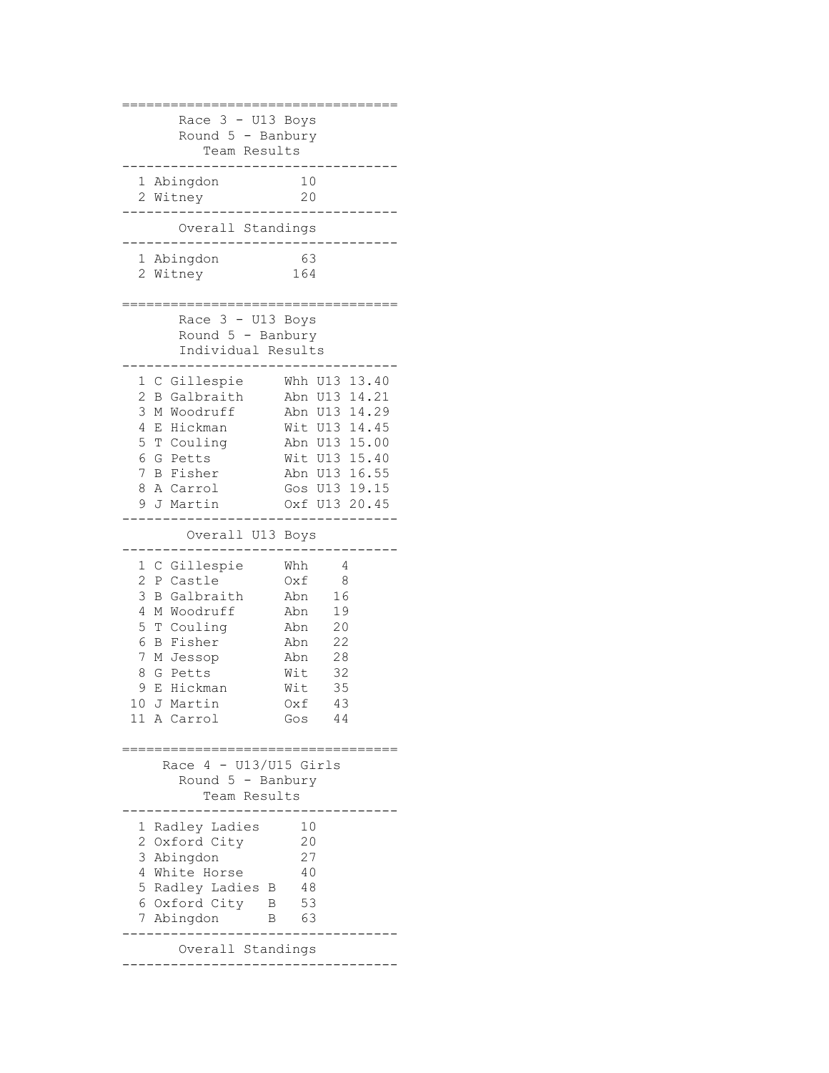```
==================================
     Race 3 - U13 Boys
     Round 5 - Banbury
        Team Results
----------------------------------
 1 Abingdon 10<br>20 <sup>10</sup> Vitney 10
 2 Witney
----------------------------------
      Overall Standings
----------------------------------
  1 Abingdon 63
  2 Witney 164
==================================
      Race 3 - U13 Boys
      Round 5 - Banbury
      Individual Results
----------------------------------
 1 C Gillespie Whh U13 13.40
 2 B Galbraith Abn U13 14.21
  3 M Woodruff Abn U13 14.29
 4 E Hickman Wit U13 14.45
 5 T Couling Abn U13 15.00
 6 G Petts Wit U13 15.40
 7 B Fisher Abn U13 16.55
 8 A Carrol Gos U13 19.15
  9 J Martin Oxf U13 20.45
----------------------------------
       Overall U13 Boys
----------------------------------
  1 C Gillespie Whh 4
 2 P Castle Oxf 8
  3 B Galbraith Abn 16
  4 M Woodruff Abn 19
  5 T Couling Abn 20
  6 B Fisher Abn 22
  7 M Jessop Abn 28
 8 G Petts Mit 32<br>9 E Hickman Mit 35
 9 E Hickman
10 J Martin Oxf 43
11 A Carrol Gos 44
==================================
    Race 4 - U13/U15 Girls
      Round 5 - Banbury
        Team Results
----------------------------------
  1 Radley Ladies 10
  2 Oxford City 20
  3 Abingdon 27
 4 White Horse 40
  5 Radley Ladies B 48
  6 Oxford City B 53
  7 Abingdon B 63
----------------------------------
     Overall Standings
----------------------------------
```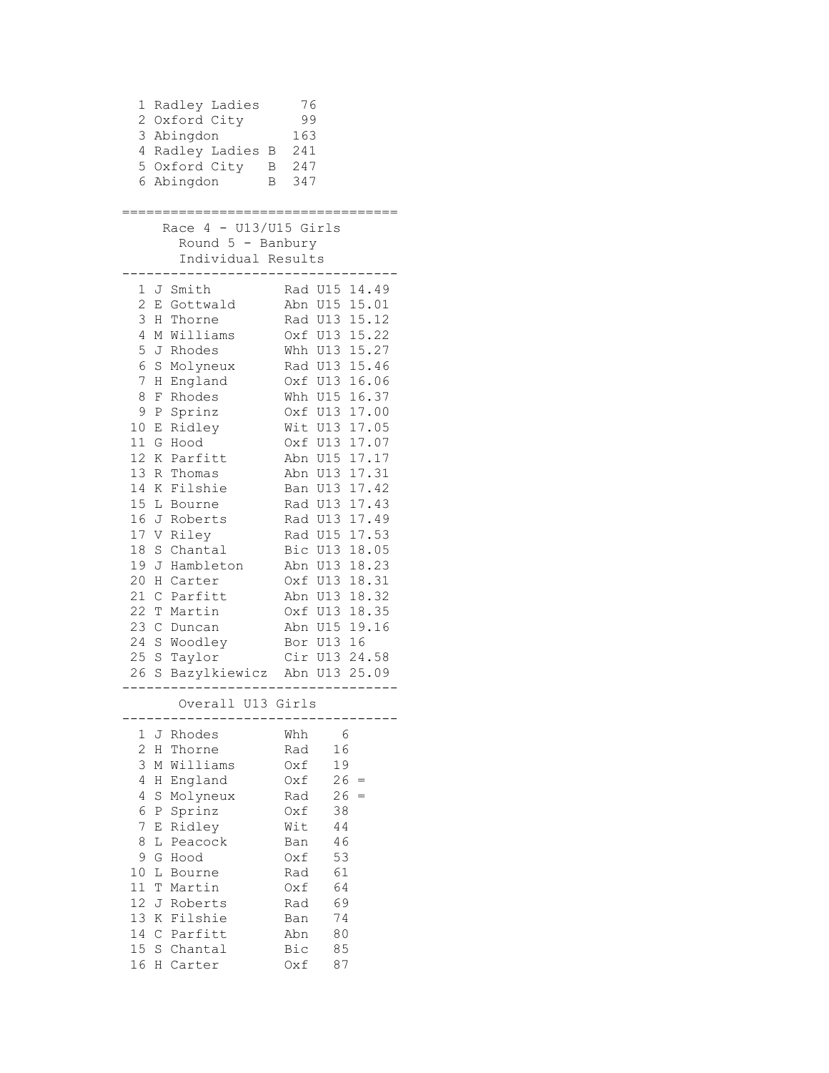|                                                                                                                | 1 Radley Ladies<br>2 Oxford City<br>3 Abingdon<br>4 Radley Ladies B 241<br>5 Oxford City B 247<br>6 Abingdon                                                                                                                                                                                                             | 76<br>99<br>163<br>B 347<br>================                                                                                                                                                                                                                                                                                                                                                                      |
|----------------------------------------------------------------------------------------------------------------|--------------------------------------------------------------------------------------------------------------------------------------------------------------------------------------------------------------------------------------------------------------------------------------------------------------------------|-------------------------------------------------------------------------------------------------------------------------------------------------------------------------------------------------------------------------------------------------------------------------------------------------------------------------------------------------------------------------------------------------------------------|
|                                                                                                                | Race $4 - U13/U15$ Girls<br>Round $5$ - Banbury<br>Individual Results                                                                                                                                                                                                                                                    | . _ _ _ _ _ _ _ _ _ _ _ _                                                                                                                                                                                                                                                                                                                                                                                         |
| 3<br>4<br>5<br>6<br>$7\phantom{.}$<br>8<br>9<br>12<br>13<br>14<br>16<br>18<br>19<br>20<br>21<br>22<br>23<br>24 | 1 J Smith<br>2 E Gottwald<br>H Thorne<br>M Williams<br>J Rhodes<br>S Molyneux<br>H England<br>F Rhodes<br>P Sprinz<br>10 E Ridley<br>11 G Hood<br>K Parfitt<br>R Thomas<br>K Filshie<br>15 L Bourne<br>J Roberts<br>17 V Riley<br>S Chantal<br>J Hambleton<br>H Carter<br>C Parfitt<br>T Martin<br>C Duncan<br>S Woodley | Rad U15 14.49<br>Abn U15 15.01<br>Rad U13 15.12<br>Oxf U13 15.22<br>Whh U13 15.27<br>Rad U13 15.46<br>Oxf U13 16.06<br>Whh U15 16.37<br>Oxf U13 17.00<br>Wit U13 17.05<br>Oxf U13 17.07<br>Abn U15 17.17<br>Abn U13 17.31<br>Ban U13 17.42<br>Rad U13 17.43<br>Rad U13 17.49<br>Rad U15 17.53<br>Bic U13 18.05<br>Abn U13 18.23<br>Oxf U13 18.31<br>Abn U13 18.32<br>Oxf U13 18.35<br>Abn U15 19.16<br>Bor U13 16 |
| 25<br>26                                                                                                       | S Taylor<br>S Bazylkiewicz Abn U13 25.09                                                                                                                                                                                                                                                                                 | Cir U13 24.58<br>__________                                                                                                                                                                                                                                                                                                                                                                                       |
|                                                                                                                | Overall U13 Girls                                                                                                                                                                                                                                                                                                        |                                                                                                                                                                                                                                                                                                                                                                                                                   |
| 1<br>2<br>3<br>4<br>4<br>6<br>$\overline{7}$<br>8<br>9<br>10<br>11<br>12<br>13<br>14<br>15<br>16               | J Rhodes<br>H Thorne<br>M Williams<br>England<br>Η<br>S Molyneux<br>P Sprinz<br>Ridley<br>Ε<br>Peacock<br>L<br>G<br>Hood<br>L Bourne<br>Τ<br>Martin<br>J<br>Roberts<br>K Filshie<br>C Parfitt<br>S Chantal<br>H Carter                                                                                                   | Whh<br>- 6<br>16<br>Rad<br>19<br>Oxf<br>$26 =$<br>Oxf<br>$26 =$<br>Rad<br>38<br>Oxf<br>Wit<br>44<br>46<br>Ban<br>53<br>Oxf<br>61<br>Rad<br>64<br>Oxf<br>69<br>Rad<br>74<br>Ban<br>Abn<br>80<br>85<br>Bic<br>Oxf<br>87                                                                                                                                                                                             |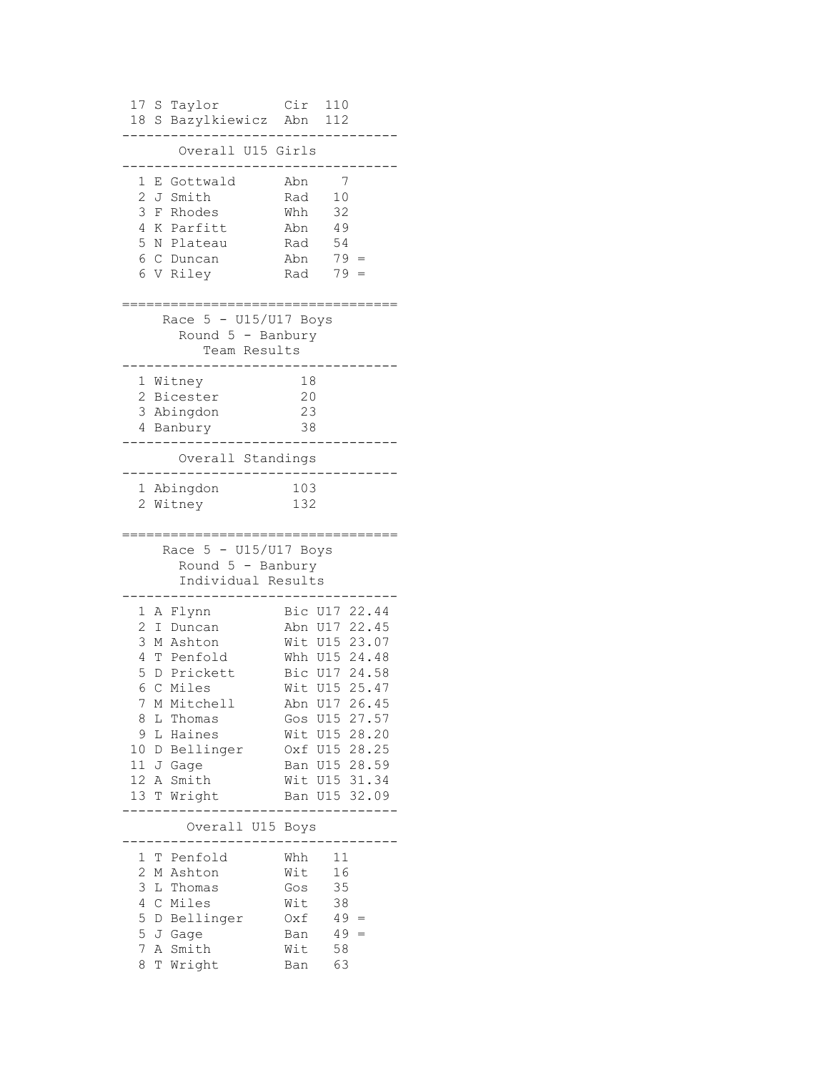| 17<br>S<br>Taylor<br>Bazylkiewicz Abn<br>18<br>S                                                                                             | Cir                                           | 110<br>112                      |                                |
|----------------------------------------------------------------------------------------------------------------------------------------------|-----------------------------------------------|---------------------------------|--------------------------------|
| Overall U15 Girls                                                                                                                            |                                               |                                 |                                |
| Gottwald<br>1<br>Ε<br>$\mathbf{2}$<br>Smith<br>J<br>3<br>Rhodes<br>F<br>4<br>K Parfitt<br>5<br>N Plateau<br>6<br>Duncan<br>C<br>V Riley<br>6 | Abn<br>Rad<br>Whh<br>Abn<br>Rad<br>Abn<br>Rad | 7<br>10<br>32<br>49<br>54<br>79 | $79 =$                         |
| $5 - U15/U17$ Boys<br>Race<br>Round $5$ - Banbury<br>Team Results                                                                            |                                               |                                 |                                |
| Witney<br>1                                                                                                                                  | 18                                            |                                 |                                |
| 2 Bicester                                                                                                                                   | 20<br>23                                      |                                 |                                |
| 3 Abingdon<br>4 Banbury                                                                                                                      | 38                                            |                                 |                                |
| Overall Standings                                                                                                                            |                                               |                                 |                                |
| Abingdon<br>1<br>2<br>Witney                                                                                                                 | 103<br>132                                    |                                 |                                |
|                                                                                                                                              |                                               |                                 |                                |
| Race 5 - U15/U17 Boys<br>Round $5$ - Banbury<br>Individual Results                                                                           |                                               |                                 |                                |
| 1                                                                                                                                            | Bic                                           | U17                             | 22.44                          |
| A Flynn<br>2<br>Duncan<br>Ι                                                                                                                  | Abn                                           | U17                             | 22.45                          |
| 3<br>M Ashton                                                                                                                                | Wit U15                                       |                                 | 23.07                          |
| 4<br>T Penfold                                                                                                                               |                                               |                                 | Whh U15 24.48                  |
| 5<br>D Prickett<br>6<br>$\mathcal{C}$<br>Miles                                                                                               | Wit U15                                       |                                 | Bic U17 24.58<br>25.47         |
| 7<br>М<br>Mitchell                                                                                                                           |                                               |                                 | Abn U17 26.45                  |
| 8<br>L<br>Thomas                                                                                                                             |                                               |                                 | Gos U15 27.57                  |
| 9<br>L<br>Haines                                                                                                                             |                                               |                                 | Wit U15 28.20                  |
| 10<br>D Bellinger<br>11<br>J Gage                                                                                                            |                                               |                                 | Oxf U15 28.25<br>Ban U15 28.59 |
| 12 <sub>1</sub><br>A Smith                                                                                                                   |                                               |                                 | Wit U15 31.34                  |
| 13<br>T Wright                                                                                                                               |                                               |                                 | Ban U15 32.09                  |
| Overall U15 Boys                                                                                                                             |                                               |                                 |                                |
| Penfold<br>1<br>Т                                                                                                                            | Whh                                           | 11                              |                                |
| $\overline{c}$<br>Ashton<br>Μ                                                                                                                | Wit                                           | 16                              |                                |
| 3<br>L<br>Thomas                                                                                                                             | Gos                                           | 35                              |                                |
| 4<br>C Miles                                                                                                                                 | Wit                                           | 38                              |                                |
| 5<br>D Bellinger<br>5<br>J Gage                                                                                                              | Oxf<br>Ban                                    |                                 | $49 =$<br>$49 =$               |
| 7<br>A Smith<br>8<br>T<br>Wright                                                                                                             | Wit<br>Ban                                    | 58<br>63                        |                                |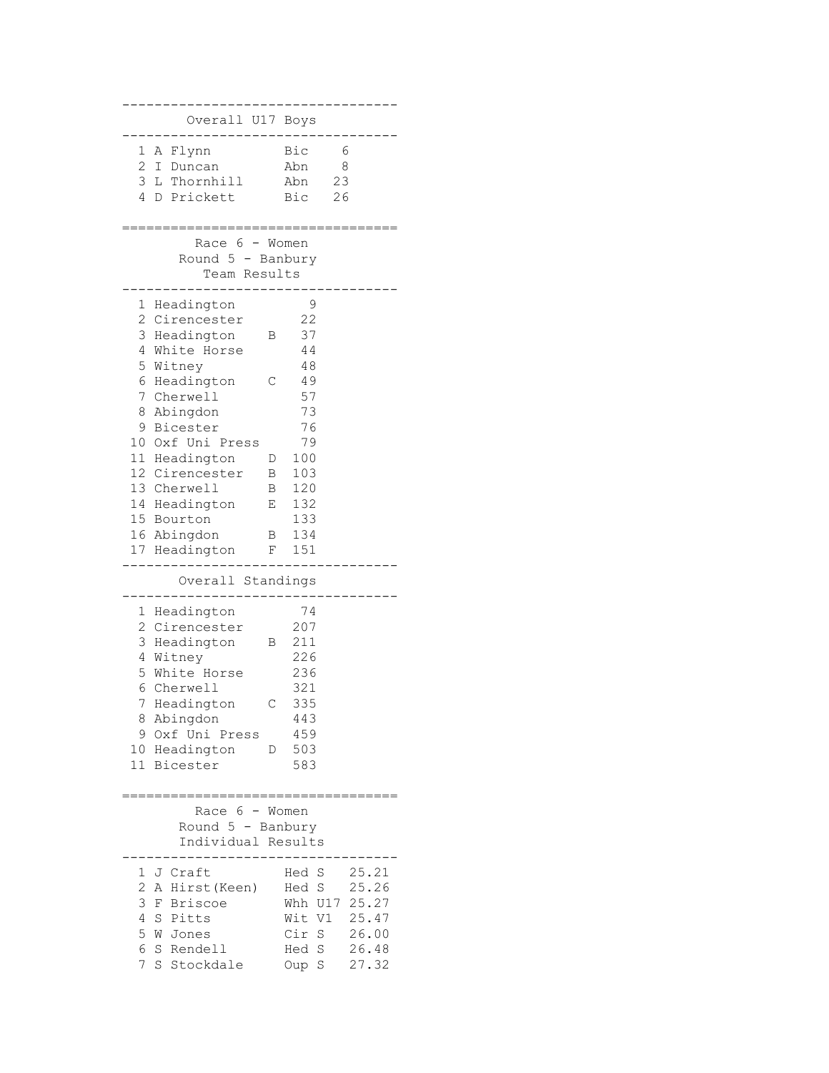| Overall U17 Boys                          |                             |
|-------------------------------------------|-----------------------------|
| 1<br>A Flynn                              | Bic<br>6                    |
| 2 I Duncan                                | 8<br>Abn                    |
| 3 L Thornhill                             | 23<br>Abn                   |
| 4<br>Prickett<br>D                        | Bic<br>26                   |
|                                           |                             |
| Race 6 - Women                            |                             |
| Round 5 - Banbury                         |                             |
| Team Results                              |                             |
| 1<br>Headington                           | 9                           |
| 2<br>Cirencester                          | 22                          |
| 3<br>Headington<br>В                      | 37                          |
| 4<br>White Horse                          | 44                          |
| 5<br>Witney                               | 48                          |
| 6<br>Headington<br>С                      | 49                          |
| 7<br>Cherwell                             | 57                          |
| 8<br>Abingdon                             | 73                          |
| 9<br>Bicester                             | 76                          |
| 10<br>Oxf Uni Press                       | 79                          |
| 11 Headington<br>D<br>12 Cirencester<br>Β | 100<br>103                  |
| 13 Cherwell<br>Β                          | 120                         |
| 14 Headington<br>Ε                        | 132                         |
| 15 Bourton                                | 133                         |
| 16 Abingdon<br>Β                          | 134                         |
| 17 Headington<br>F                        | 151                         |
| Overall Standings                         |                             |
|                                           |                             |
| Headington<br>1                           | 74                          |
| 2<br>Cirencester                          | 207                         |
| 3<br>Headington<br>В                      | 211                         |
| 4<br>Witney<br>5<br>White Horse           | 226<br>236                  |
| 6<br>Cherwell                             | 321                         |
| 7<br>Headington<br>С                      | 335                         |
| 8<br>Abingdon                             | 443                         |
| 9<br>Oxf Uni Press                        | 459                         |
| 10 Headington<br>D                        | 503                         |
| 11 Bicester                               | 583                         |
|                                           |                             |
| Race $6 -$ Women                          |                             |
| Round 5 - Banbury                         |                             |
| Individual Results                        |                             |
| J Craft<br>1                              | Hed S<br>25.21              |
| 2<br>A Hirst (Keen)                       | Hed S<br>25.26              |
| 3<br>Briscoe<br>F                         | 25.27<br>Whh U17            |
| 4<br>S<br>Pitts                           | 25.47<br>Wit V1             |
| 5<br>W<br>Jones                           | Cir S<br>26.00              |
| 6<br>S Rendell                            | $\mathbf S$<br>26.48<br>Hed |
| 7<br>S<br>Stockdale                       | 27.32<br>S<br>Oup           |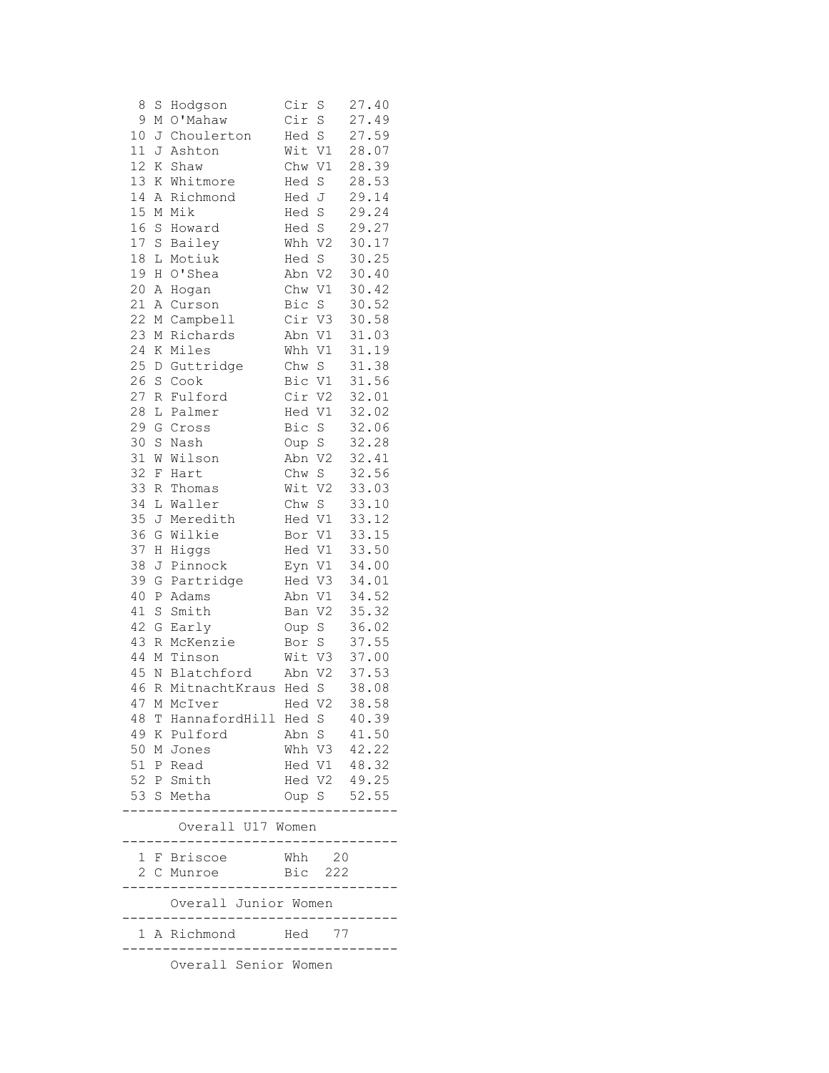| 8  | S           | Hodgson                                              | Cir    | S               | 27.40                       |
|----|-------------|------------------------------------------------------|--------|-----------------|-----------------------------|
| 9  | Μ           | O'Mahaw                                              | Cir    | S               | 27.49                       |
| 10 | J           | Choulerton                                           | Hed    | S               | 27.59                       |
| 11 | J           | Ashton                                               | Wit    | V1              | 28.07                       |
| 12 | Κ           | Shaw                                                 | Chw    | V1              | 28.39                       |
| 13 | Κ           | Whitmore                                             | Hed    | S               | 28.53                       |
| 14 | Α           | Richmond                                             | Hed J  |                 | 29.14                       |
| 15 | М           | Mik                                                  | Hed    | $\rm S$         | 29.24                       |
| 16 | S           | Howard                                               | Hed S  |                 | 29.27                       |
| 17 | $\rm S$     | Bailey                                               | Whh V2 |                 | 30.17                       |
| 18 | L           | Motiuk                                               | Hed    | S               | 30.25                       |
| 19 | Η           | O'Shea                                               | Abn V2 |                 | 30.40                       |
| 20 | Α           | Hogan                                                | Chw    | V1              | 30.42                       |
| 21 | Α           | Curson                                               | Bic S  |                 | 30.52                       |
| 22 | М           | Campbell                                             | Cir V3 |                 | 30.58                       |
| 23 | Μ           | Richards                                             | Abn    | V1              | 31.03                       |
| 24 | Κ           | Miles                                                | Whh    | V1              | 31.19                       |
| 25 | D           | Guttridge                                            | Chw    | S               | 31.38                       |
| 26 | $\mathbf S$ | Cook                                                 | Bic V1 |                 | 31.56                       |
| 27 | $\mathbb R$ | Fulford                                              | Cir V2 |                 | 32.01                       |
| 28 | L           | Palmer                                               | Hed    | V1              | 32.02                       |
| 29 | G           | Cross                                                | Bic    | S               | 32.06                       |
| 30 | S           | Nash                                                 | Oup S  |                 | 32.28                       |
| 31 | W           | Wilson                                               | Abn    | V <sub>2</sub>  | 32.41                       |
| 32 | F           | Hart                                                 | Chw    | $\mathbb S$     | 32.56                       |
| 33 | R           | Thomas                                               | Wit V2 |                 | 33.03                       |
| 34 | L           | Waller                                               | Chw S  |                 | 33.10                       |
| 35 | J           | Meredith                                             | Hed V1 |                 | 33.12                       |
| 36 | G           | Wilkie                                               | Bor V1 |                 | 33.15                       |
| 37 | Η           | Higgs                                                | Hed V1 |                 | 33.50                       |
| 38 | J           | Pinnock                                              | Eyn    | V1              | 34.00                       |
| 39 | G           | Partridge                                            | Hed    | V3              | 34.01                       |
| 40 | P           | Adams                                                | Abn    | V1              | 34.52                       |
| 41 | $\rm S$     | Smith                                                | Ban    | V2              | 35.32                       |
| 42 | G           | Early                                                | Oup    | $S_{\parallel}$ | 36.02                       |
| 43 | R           | McKenzie                                             | Bor    | S               | 37.55                       |
| 44 | М           | Tinson                                               | Wit V3 |                 | 37.00                       |
| 45 |             | N Blatchford                                         | Abn    | V <sub>2</sub>  | 37.53                       |
| 46 | $\mathbb R$ | MitnachtKraus Hed                                    |        | S               | 38.08                       |
|    |             | 47 M McIver                                          | Hed V2 |                 | 38.58                       |
|    |             | 48 T HannafordHill Hed S 40.39                       |        |                 |                             |
|    |             | 49 K Pulford                                         |        |                 | Abn S 41.50                 |
|    |             | 50 M Jones                                           |        |                 | Whh V3 42.22                |
|    |             | 51 P Read                                            |        |                 | Hed V1 48.32                |
|    |             | 52 P Smith                                           |        |                 |                             |
|    |             | 53 S Metha                                           |        |                 | Hed V2 49.25<br>Oup S 52.55 |
|    |             | Overall U17 Women                                    |        |                 |                             |
|    |             | . _ _ _ _ _ _ _ _ _ _ _<br>1 F Briscoe               |        | Whh 20          |                             |
|    |             | 2 C Munroe                                           |        | Bic 222         |                             |
|    |             |                                                      |        |                 |                             |
|    |             | Overall Junior Women<br>---------------------        |        |                 |                             |
|    |             | 1 A Richmond Hed 77<br>----------------------------- |        |                 |                             |
|    |             | Overall Senior Women                                 |        |                 |                             |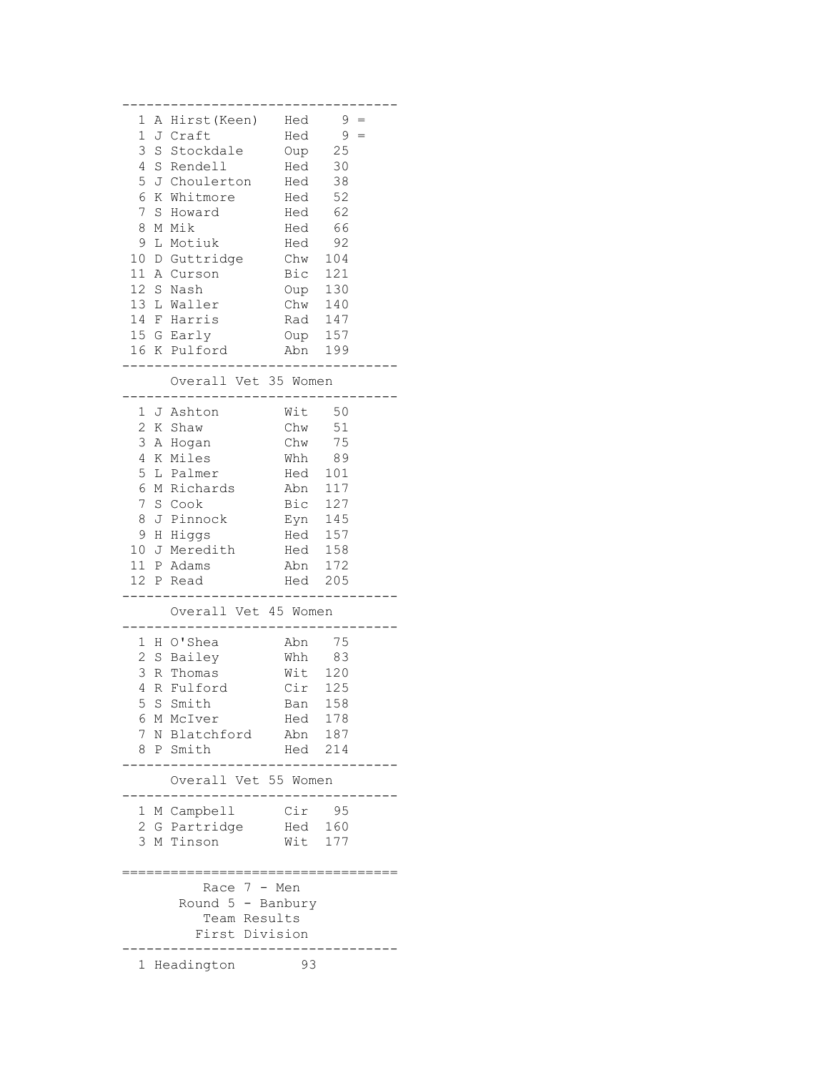|              |   | 1 A Hirst (Keen) Hed |                    | $9 =$ |     |  |
|--------------|---|----------------------|--------------------|-------|-----|--|
| $\mathbf 1$  |   |                      | Hed                | 9     | $=$ |  |
|              |   | J Craft              |                    |       |     |  |
| 3            | S | Stockdale            | Oup                | 25    |     |  |
| 4            |   | S Rendell            | Hed                | 30    |     |  |
| 5            |   | J Choulerton         | Hed                | 38    |     |  |
| 6            |   | K Whitmore           | Hed                | 52    |     |  |
| 7            | S | Howard               | Hed                | 62    |     |  |
| 8            |   | M Mik                | Hed                | 66    |     |  |
|              |   |                      |                    |       |     |  |
| 9            |   | L Motiuk             | Hed                | 92    |     |  |
|              |   | 10 D Guttridge       | Chw                | 104   |     |  |
|              |   | 11 A Curson          | Bic                | 121   |     |  |
| 12 S         |   | Nash                 | Oup                | 130   |     |  |
|              |   | 13 L Waller          | Chw 140            |       |     |  |
|              |   | 14 F Harris          | Rad 147            |       |     |  |
|              |   | 15 G Early           | Oup 157            |       |     |  |
|              |   | 16 K Pulford         | Abn                |       |     |  |
|              |   |                      |                    | 199   |     |  |
|              |   |                      |                    |       |     |  |
|              |   | Overall Vet 35 Women |                    |       |     |  |
|              |   |                      |                    |       |     |  |
|              |   | 1 J Ashton           | Wit                | 50    |     |  |
| 2            |   | K Shaw               | Chw                | 51    |     |  |
| 3            |   | A Hogan              | Chw                | 75    |     |  |
| 4            | K | Miles                | Whh                | 89    |     |  |
|              |   |                      |                    |       |     |  |
| 5            |   | L Palmer             | Hed                | 101   |     |  |
| 6            |   | M Richards           | Abn 117<br>Bic 127 | 117   |     |  |
| 7            |   | S Cook               |                    |       |     |  |
| 8            |   | J Pinnock            | $Eyn$ 145          |       |     |  |
| 9            |   | H Higgs              | Hed                | 157   |     |  |
| 10           | J | Meredith             | Hed                | 158   |     |  |
|              |   | 11 P Adams           | Abn                | 172   |     |  |
|              |   | 12 P Read            | Hed                | 205   |     |  |
|              |   |                      |                    |       |     |  |
|              |   | Overall Vet 45 Women |                    |       |     |  |
|              |   |                      |                    |       |     |  |
|              |   |                      |                    |       |     |  |
|              |   | 1 H O'Shea           | Abn                | 75    |     |  |
| 2            |   | S Bailey             | Whh                | 83    |     |  |
| 3            |   | R Thomas             | Wit                | 120   |     |  |
| 4            | R | Fulford              | Cir                | 125   |     |  |
|              |   | 5 S Smith            | Ban                | 158   |     |  |
| 6            | М | McIver               | Hed                | 178   |     |  |
| 7            | Ν | Blatchford           | Abn                | 187   |     |  |
|              |   |                      |                    |       |     |  |
| 8            | Ρ | Smith                | Hed                | 214   |     |  |
|              |   |                      |                    |       |     |  |
|              |   | Overall Vet 55 Women |                    |       |     |  |
|              |   |                      |                    |       |     |  |
| 1            |   | M Campbell           | Cir                | 95    |     |  |
| 2            | G | Partridge            | Hed                | 160   |     |  |
| 3            |   | M Tinson             | Wit                | 177   |     |  |
|              |   |                      |                    |       |     |  |
|              |   |                      |                    |       |     |  |
|              |   | Race 7 -             | Men                |       |     |  |
|              |   | Round 5 - Banbury    |                    |       |     |  |
|              |   |                      |                    |       |     |  |
|              |   | Team Results         |                    |       |     |  |
|              |   | First Division       |                    |       |     |  |
|              |   |                      |                    |       |     |  |
| $\mathbf{1}$ |   | Headington           | 93                 |       |     |  |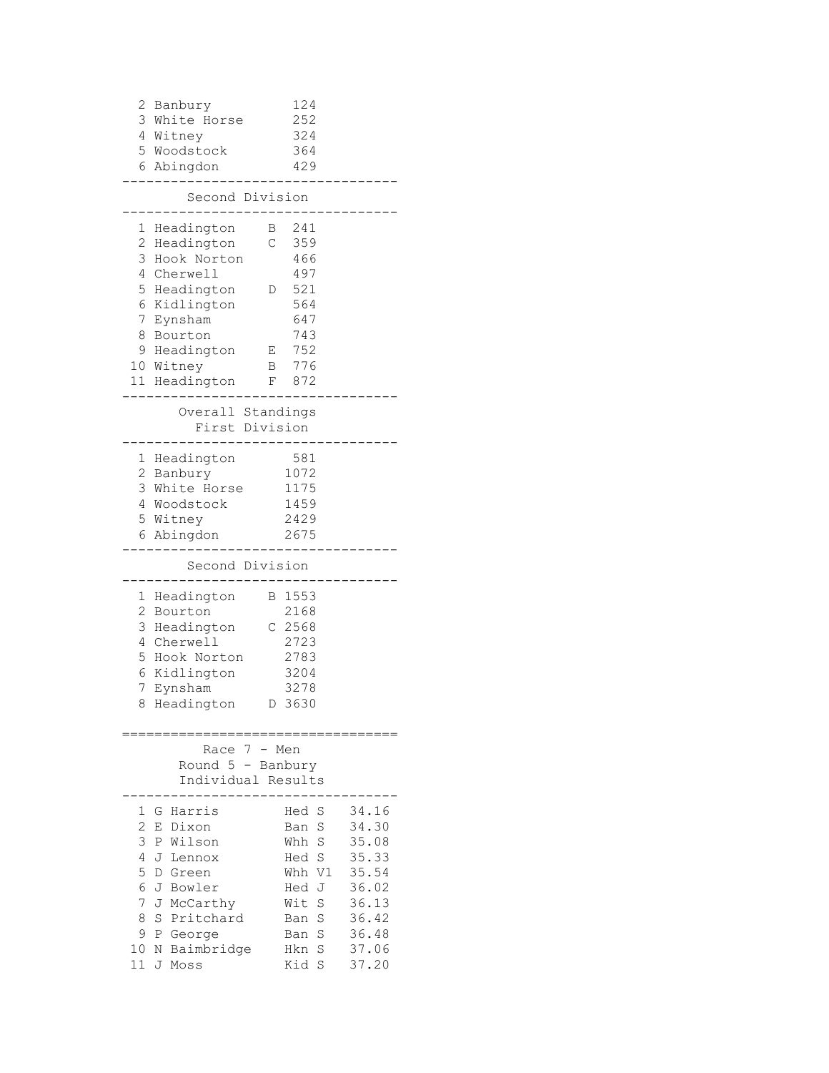| 2                                                     | Banbury<br>3 White Horse<br>4 Witney<br>5 Woodstock<br>6 Abingdon                                                                                                      | 124<br>252<br>324<br>364<br>429                                                                                                      |                                                                                                 |
|-------------------------------------------------------|------------------------------------------------------------------------------------------------------------------------------------------------------------------------|--------------------------------------------------------------------------------------------------------------------------------------|-------------------------------------------------------------------------------------------------|
|                                                       | Second Division                                                                                                                                                        |                                                                                                                                      |                                                                                                 |
| 1<br>2<br>3<br>4<br>5<br>6<br>7<br>8                  | Headington<br>Headington<br>Hook Norton<br>Cherwell<br>Headington<br>Kidlington<br>Eynsham<br>Bourton<br>9 Headington<br>10 Witney<br>11 Headington                    | 241<br>Β<br>C<br>359<br>466<br>497<br>521<br>D<br>564<br>647<br>743<br>752<br>Е<br>776<br>Β<br>872<br>F                              |                                                                                                 |
|                                                       | Overall Standings                                                                                                                                                      |                                                                                                                                      |                                                                                                 |
|                                                       |                                                                                                                                                                        | First Division                                                                                                                       |                                                                                                 |
|                                                       | 1 Headington<br>2 Banbury<br>3 White Horse<br>4 Woodstock<br>5 Witney<br>6 Abingdon                                                                                    | 581<br>1072<br>1175<br>1459<br>2429<br>2675                                                                                          |                                                                                                 |
|                                                       | Second Division                                                                                                                                                        |                                                                                                                                      |                                                                                                 |
| 2<br>3<br>4<br>5<br>6<br>7<br>8                       | 1 Headington<br>Bourton<br>Headington<br>Cherwell<br>Hook Norton<br>Kidlington<br>Eynsham<br>Headington                                                                | B 1553<br>2168<br>$C$ 2568<br>2723<br>2783<br>3204<br>3278<br>D 3630                                                                 |                                                                                                 |
|                                                       | 7<br>Race<br>Round 5<br><sup>-</sup>                                                                                                                                   | Men<br>$\overline{\phantom{a}}$<br>Banbury<br>Individual Results                                                                     |                                                                                                 |
| 1<br>2<br>3<br>4<br>5<br>6<br>7<br>8<br>9<br>10<br>11 | Harris<br>G<br>Dixon<br>Ε<br>Wilson<br>Ρ<br>J<br>Lennox<br>D<br>Green<br>J<br>Bowler<br>J<br>McCarthy<br>S<br>Pritchard<br>Ρ<br>George<br>Ν<br>Baimbridge<br>J<br>Moss | S<br>Hed<br>S<br>Ban<br>S<br>Whh<br>$\rm S$<br>Hed<br>Whh V1<br>Hed<br>J<br>Wit<br>S<br>S<br>Ban<br>S<br>Ban<br>S<br>Hkn<br>Kid<br>S | 34.16<br>34.30<br>35.08<br>35.33<br>35.54<br>36.02<br>36.13<br>36.42<br>36.48<br>37.06<br>37.20 |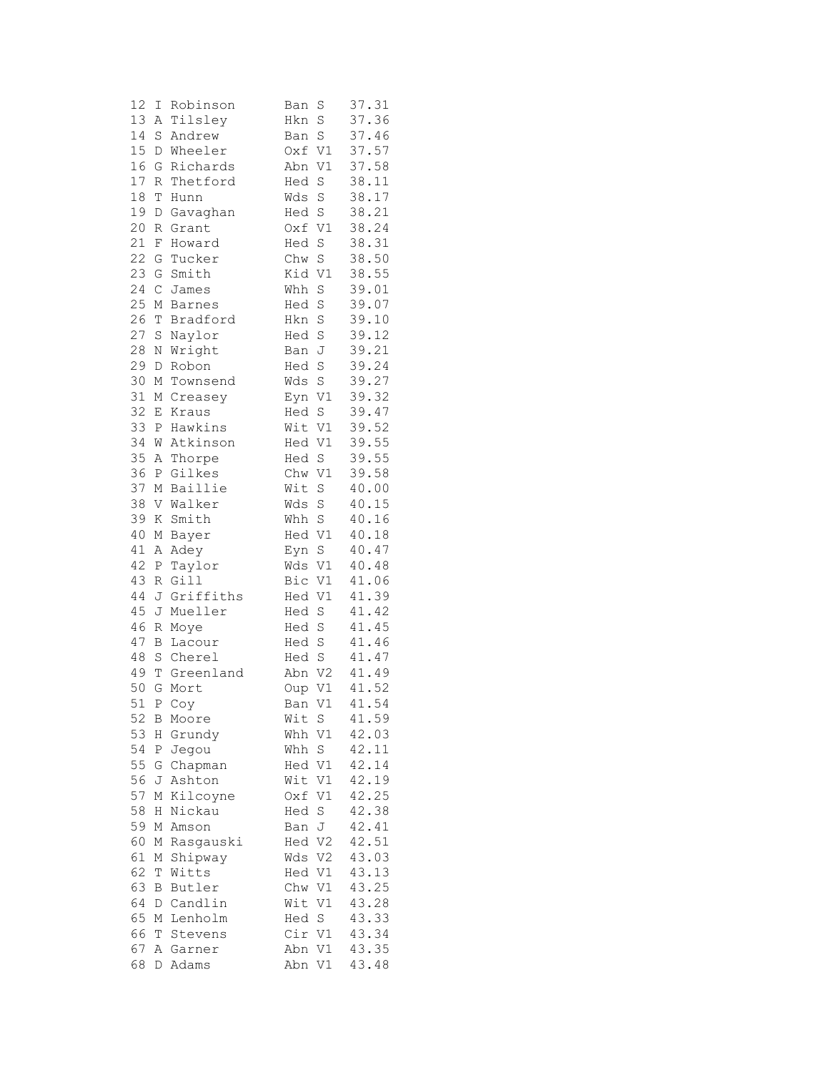| 12     | Ι                         | Robinson  | Ban    | S              | 37.31 |
|--------|---------------------------|-----------|--------|----------------|-------|
| 13     | Α                         | Tilsley   | Hkn    | $\rm S$        | 37.36 |
| 14     | S                         | Andrew    | Ban    | $\rm S$        | 37.46 |
| 15     | D                         | Wheeler   | Oxf    | V1             | 37.57 |
| 16     | G                         | Richards  | Abn    | V1             | 37.58 |
| $17\,$ | R                         | Thetford  | Hed    | $\rm S$        | 38.11 |
| 18     | Т                         | Hunn      | Wds    | S              | 38.17 |
| 19     | D                         | Gavaghan  | Hed    | $\rm S$        | 38.21 |
| 20     | R                         | Grant     | Oxf    | V1             | 38.24 |
| 21     | F                         | Howard    | Hed    | S              | 38.31 |
| 22     | G                         | Tucker    | Chw    | $\rm S$        | 38.50 |
| 23     | G                         | Smith     | Kid    | V1             | 38.55 |
| 24     | $\mathsf C$               | James     | Whh    | $\rm S$        | 39.01 |
| 25     | М                         | Barnes    | Hed    | S              | 39.07 |
| 26     | Т                         | Bradford  | Hkn    | S              | 39.10 |
| 27     | S                         | Naylor    | Hed    | S              | 39.12 |
| 28     |                           |           |        |                | 39.21 |
| 29     | Ν                         | Wright    | Ban    | J              |       |
|        | D                         | Robon     | Hed    | $\rm S$        | 39.24 |
| 30     | М                         | Townsend  | Wds    | $\rm S$        | 39.27 |
| 31     | М                         | Creasey   | Eyn    | $\mathtt{V1}$  | 39.32 |
| 32     | Ε                         | Kraus     | Hed    | $\rm S$        | 39.47 |
| 33     | Ρ                         | Hawkins   | Wit    | V1             | 39.52 |
| 34     | W                         | Atkinson  | Hed    | V1             | 39.55 |
| 35     | Α                         | Thorpe    | Hed    | $\mathbf S$    | 39.55 |
| 36     | Ρ                         | Gilkes    | Chw    | V1             | 39.58 |
| 37     | $\mathbb M$               | Baillie   | Wit    | $\mathbf S$    | 40.00 |
| 38     |                           | V Walker  | Wds    | $\rm S$        | 40.15 |
| 39     | Κ                         | Smith     | Whh S  |                | 40.16 |
| 40     | М                         | Bayer     | Hed V1 |                | 40.18 |
| 41     | Α                         | Adey      | Eyn    | $\mathbf S$    | 40.47 |
| 42     | Ρ                         | Taylor    | Wds    | V1             | 40.48 |
| 43     | R                         | Gill      | Bic    | V1             | 41.06 |
| 44     | J                         | Griffiths | Hed    | $\mathtt{V1}$  | 41.39 |
| 45     | J                         | Mueller   | Hed    | $\mathbf S$    | 41.42 |
| 46     | R                         | Moye      | Hed    | $\rm S$        | 41.45 |
| 47     | B                         | Lacour    | Hed    | $\rm S$        | 41.46 |
| 48     |                           | S Cherel  | Hed    | $\rm S$        | 41.47 |
| 49     | Т                         | Greenland | Abn    | V <sub>2</sub> | 41.49 |
| 50     | G                         | Mort      | Oup    | V1             | 41.52 |
| 51     |                           | P Coy     | Ban    | V1             | 41.54 |
| 52     | Β                         | Moore     | Wit    | $\,$ S         | 41.59 |
| 53     | Η                         | Grundy    | Whh    | V1             | 42.03 |
| 54     | Ρ                         | Jegou     | Whh    | S              | 42.11 |
| 55     | G                         | Chapman   | Hed    | V1             | 42.14 |
| 56     | J                         | Ashton    | Wit    | V1             | 42.19 |
| 57     | М                         | Kilcoyne  | Oxf    | V1             | 42.25 |
| 58     | Η                         | Nickau    | Hed    | $\rm S$        | 42.38 |
| 59     | М                         | Amson     | Ban    | J              | 42.41 |
| 60     | М                         | Rasgauski | Hed    | V2             | 42.51 |
| 61     | $\mathop{\rm M}\nolimits$ | Shipway   | Wds    | V <sub>2</sub> | 43.03 |
| 62     | Т                         | Witts     | Hed    | V1             | 43.13 |
| 63     | В                         | Butler    | Chw    | V1             | 43.25 |
| 64     | D                         | Candlin   | Wit    | V1             | 43.28 |
| 65     | М                         | Lenholm   | Hed    | $\rm S$        | 43.33 |
| 66     | Т                         | Stevens   | Cir V1 |                | 43.34 |
| 67     | А                         | Garner    | Abn    | V1             | 43.35 |
| 68     |                           |           | Abn    |                | 43.48 |
|        | D                         | Adams     |        | V1             |       |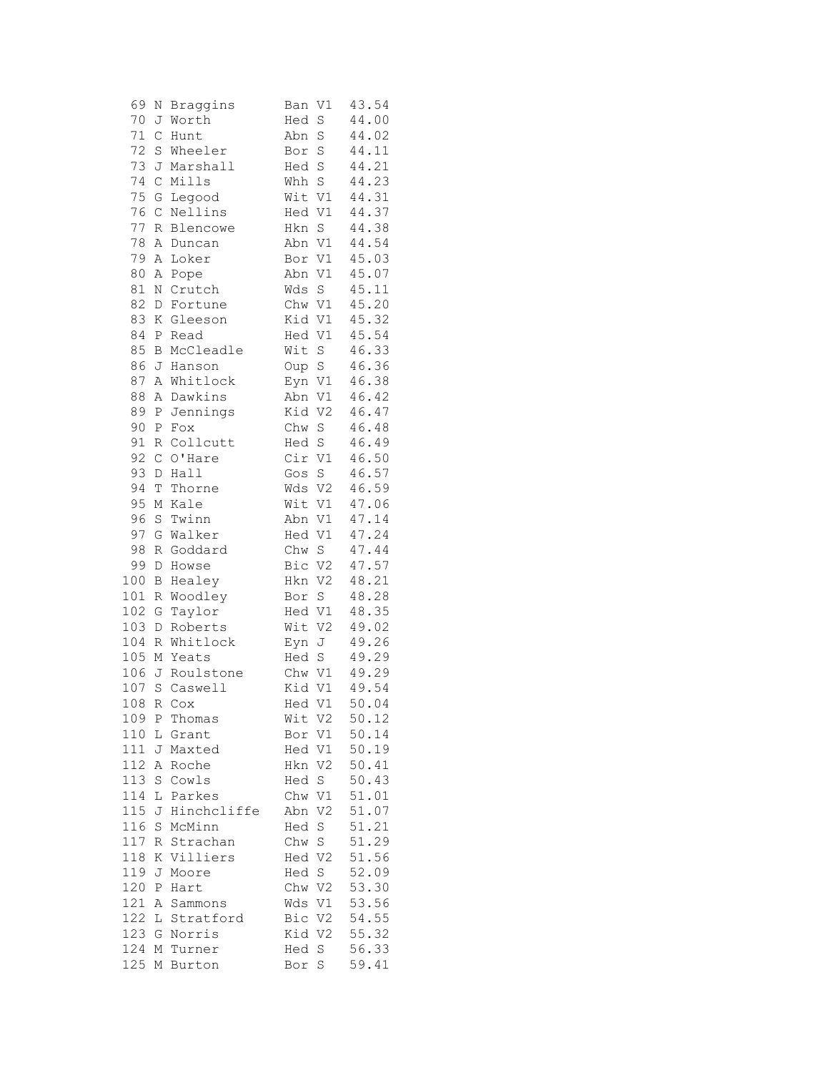| 69     | N             | Braggins     | V1<br>Ban             | 43.54 |
|--------|---------------|--------------|-----------------------|-------|
| 70     | J             | Worth        | S<br>Hed              | 44.00 |
| 71     | $\mathsf{C}$  | Hunt         | $\rm S$<br>Abn        | 44.02 |
| 72     | $\rm S$       | Wheeler      | S<br>Bor              | 44.11 |
| 73     | J             | Marshall     | S<br>Hed              | 44.21 |
| 74     | $\mathsf C$   | Mills        | S<br>Whh              | 44.23 |
| 75     | G             | Legood       | Wit<br>V1             | 44.31 |
| 76     | $\mathcal{C}$ | Nellins      | Hed V1                | 44.37 |
| 77     | R             | Blencowe     | $\rm S$<br>Hkn        | 44.38 |
| 78     | Α             | Duncan       | Abn V1                | 44.54 |
| 79     | Α             | Loker        | V1<br>Bor             | 45.03 |
| 80     | Α             | Pope         | Abn<br>V1             | 45.07 |
| $8\,1$ | Ν             | Crutch       | $\rm S$<br>Wds        | 45.11 |
| 82     | D             | Fortune      | Chw<br>$\mathtt{V1}$  | 45.20 |
| 83     | Κ             | Gleeson      | Kid<br>V1             | 45.32 |
| 84     | Ρ             | Read         | Hed V1                | 45.54 |
| 85     | B             | McCleadle    | Wit<br>S              | 46.33 |
| 86     | J             | Hanson       | S<br>Oup              | 46.36 |
| 87     | Α             | Whitlock     | Eyn V1                | 46.38 |
| 88     | Α             | Dawkins      | Abn<br>V1             | 46.42 |
| 89     | Ρ             | Jennings     | V <sub>2</sub><br>Kid | 46.47 |
| 90     | Ρ             | Fox          | Chw<br>$\rm S$        | 46.48 |
| 91     | R             | Collcutt     | Hed S                 | 46.49 |
| 92     | $\mathsf C$   | O'Hare       | Cir<br>V1             | 46.50 |
| 93     | D             | Hall         | S<br>Gos              | 46.57 |
| 94     | Т             | Thorne       | Wds<br>V <sub>2</sub> | 46.59 |
| 95     | М             | Kale         | V1<br>Wit             | 47.06 |
| 96     | $\mathbf S$   | Twinn        | Abn<br>V1             | 47.14 |
| 97     | G             | Walker       | $\mathtt{V1}$<br>Hed  | 47.24 |
| 98     | R             | Goddard      | S<br>Chw              | 47.44 |
| 99     | D             | Howse        | Bic<br>V2             | 47.57 |
| 100    | B             | Healey       | V2<br>Hkn             | 48.21 |
| 101    | R             | Woodley      | $\rm S$<br>Bor        | 48.28 |
| 102    | G             | Taylor       | Hed V1                | 48.35 |
| 103    | D             | Roberts      | Wit<br>V <sub>2</sub> | 49.02 |
| 104    | R             | Whitlock     | Eyn<br>J              | 49.26 |
| 105    | М             | Yeats        | Hed S                 | 49.29 |
| 106    | J             | Roulstone    | Chw V1                | 49.29 |
| 107    | $\rm S$       | Caswell      | Kid<br>V1             | 49.54 |
| 108    |               | R Cox        | Hed V1                | 50.04 |
| 109    | $\mathbb{P}$  | Thomas       | Wit V2                | 50.12 |
| 110    | L             | Grant        | Bor V1                | 50.14 |
| 111    | J             | Maxted       | Hed V1                | 50.19 |
| 112    | Α             | Roche        | Hkn V2                | 50.41 |
| 113    | S             | Cowls        | Hed S                 | 50.43 |
| 114    | L             | Parkes       | Chw V1                | 51.01 |
| 115    | J             | Hinchcliffe  | Abn V2                | 51.07 |
| 116    | S             | McMinn       | Hed S                 | 51.21 |
| 117    | R             | Strachan     | Chw S                 | 51.29 |
| 118    | Κ             | Villiers     | Hed V2                | 51.56 |
| 119    | J             | Moore        | Hed S                 | 52.09 |
| 120    | $\, {\bf P}$  | Hart         | Chw V2                | 53.30 |
| 121    | Α             | Sammons      | Wds V1                | 53.56 |
| 122    | L             | Stratford    | Bic V2                | 54.55 |
| 123    | G             | Norris       | Kid V2                | 55.32 |
| 124 M  |               | Turner       | Hed S                 | 56.33 |
|        |               | 125 M Burton | Bor S                 | 59.41 |
|        |               |              |                       |       |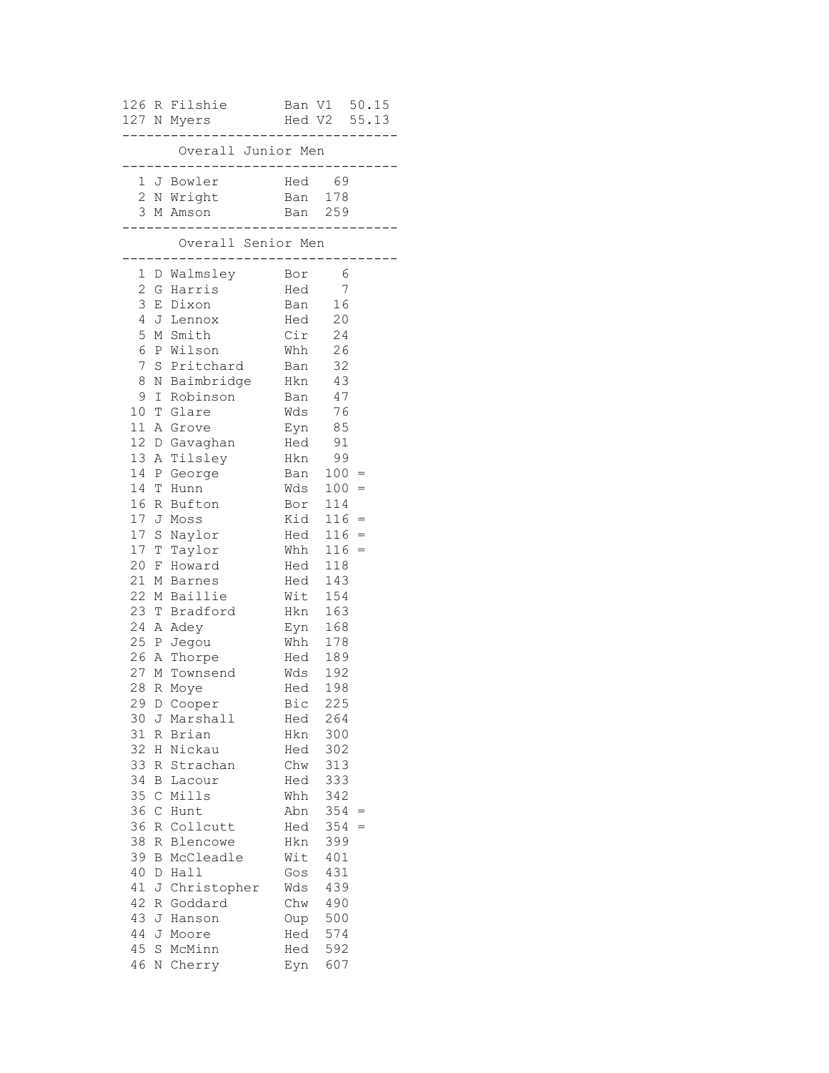|                                                                                                 |             | 126 R Filshie Ban V1 50.15<br>127 N Myers |     | Hed V2 55.13                                                |     |  |
|-------------------------------------------------------------------------------------------------|-------------|-------------------------------------------|-----|-------------------------------------------------------------|-----|--|
| . _ _ _ _ _ _ _ _ .<br>______________<br>Overall Junior Men<br>________________________________ |             |                                           |     |                                                             |     |  |
|                                                                                                 |             | 1 J Bowler                                |     | Hed 69                                                      |     |  |
|                                                                                                 |             | 2 N Wright Ban 178                        |     |                                                             |     |  |
|                                                                                                 |             | 3 M Amson                                 |     | Ban 259                                                     |     |  |
|                                                                                                 |             | Overall Senior Men<br>------------        |     | --------------                                              |     |  |
|                                                                                                 |             | 1 D Walmsley Bor                          |     | - 6                                                         |     |  |
|                                                                                                 |             | -<br>2 G Harris                           | Hed | $\overline{7}$                                              |     |  |
| 3                                                                                               |             | E Dixon                                   |     | Ban 16                                                      |     |  |
| 4                                                                                               |             | J Lennox                                  |     | Hed 20                                                      |     |  |
| 5                                                                                               |             | M Smith                                   |     | $Cir$ 24                                                    |     |  |
| 6                                                                                               |             | P Wilson                                  |     | Whh 26                                                      |     |  |
| 7                                                                                               |             | S Pritchard                               |     | Ban 32                                                      |     |  |
| 8                                                                                               |             | N Baimbridge Hkn 43                       |     |                                                             |     |  |
| 9                                                                                               |             | I Robinson Ban 47                         |     |                                                             |     |  |
| 10                                                                                              |             | T Glare                                   |     | $\begin{array}{cc}\n\text{Wds} & 76 \\ \hline\n\end{array}$ |     |  |
| 11                                                                                              |             | A Grove                                   |     |                                                             |     |  |
|                                                                                                 |             | 12 D Gavaghan                             |     | Eyn 85<br>Hed 91                                            |     |  |
| 13                                                                                              |             | A Tilsley                                 |     | Hkn 99                                                      |     |  |
| 14                                                                                              |             | P George                                  |     | Ban $100 =$                                                 |     |  |
| 14                                                                                              |             | T Hunn                                    |     | $Wds$ 100 =                                                 |     |  |
| 16                                                                                              |             | R Bufton                                  |     | Bor 114                                                     |     |  |
| 17                                                                                              |             | J Moss                                    |     | $Kid$ 116 =                                                 |     |  |
| 17 <sub>2</sub>                                                                                 |             | S Naylor                                  |     | $Head 116 =$                                                |     |  |
|                                                                                                 |             | 17 T Taylor                               |     | Whh $116 =$<br>Hed $118$                                    |     |  |
| 20                                                                                              |             | F Howard                                  | Hed | 118                                                         |     |  |
| 21                                                                                              |             | M Barnes                                  |     | $Hed$ 143                                                   |     |  |
| 22                                                                                              |             | M Baillie                                 |     | Wit 154                                                     |     |  |
| 23                                                                                              |             | T Bradford                                |     | Hkn 163                                                     |     |  |
| 24                                                                                              |             | A Adey                                    |     | Eyn 168                                                     |     |  |
|                                                                                                 |             | 25 P Jegou                                |     | Whh 178                                                     |     |  |
|                                                                                                 |             | 26 A Thorpe                               |     | Hed 189                                                     |     |  |
|                                                                                                 |             | 27 M Townsend                             |     | Wds 192                                                     |     |  |
|                                                                                                 |             | 28 R Moye                                 |     | Hed 198                                                     |     |  |
|                                                                                                 |             | 29 D Cooper                               | Bic | 225                                                         |     |  |
|                                                                                                 |             | 30 J Marshall                             | Hed | 264                                                         |     |  |
| 31                                                                                              |             | R Brian                                   | Hkn | 300                                                         |     |  |
| 32                                                                                              |             | H Nickau                                  | Hed | 302                                                         |     |  |
| 33                                                                                              |             | R Strachan                                | Chw | 313                                                         |     |  |
| 34                                                                                              |             | <b>B</b> Lacour                           | Hed | 333                                                         |     |  |
| 35                                                                                              |             | C Mills                                   | Whh | 342                                                         |     |  |
| 36                                                                                              | $\mathsf C$ | Hunt                                      | Abn | $354 =$                                                     |     |  |
| 36                                                                                              |             | R Collcutt                                | Hed | 354                                                         | $=$ |  |
| 38                                                                                              |             | R Blencowe                                | Hkn | 399                                                         |     |  |
| 39                                                                                              |             | <b>B</b> McCleadle                        | Wit | 401                                                         |     |  |
| 40                                                                                              | D           | Hall                                      | Gos | 431                                                         |     |  |
| 41                                                                                              |             | J Christopher                             | Wds | 439                                                         |     |  |
| 42                                                                                              |             | R Goddard                                 | Chw | 490                                                         |     |  |
| 43                                                                                              |             | J Hanson                                  | Oup | 500                                                         |     |  |
| 44                                                                                              |             | J Moore                                   | Hed | 574                                                         |     |  |
| 45                                                                                              | S           | McMinn                                    | Hed | 592                                                         |     |  |
| 46                                                                                              |             | N Cherry                                  | Eyn | 607                                                         |     |  |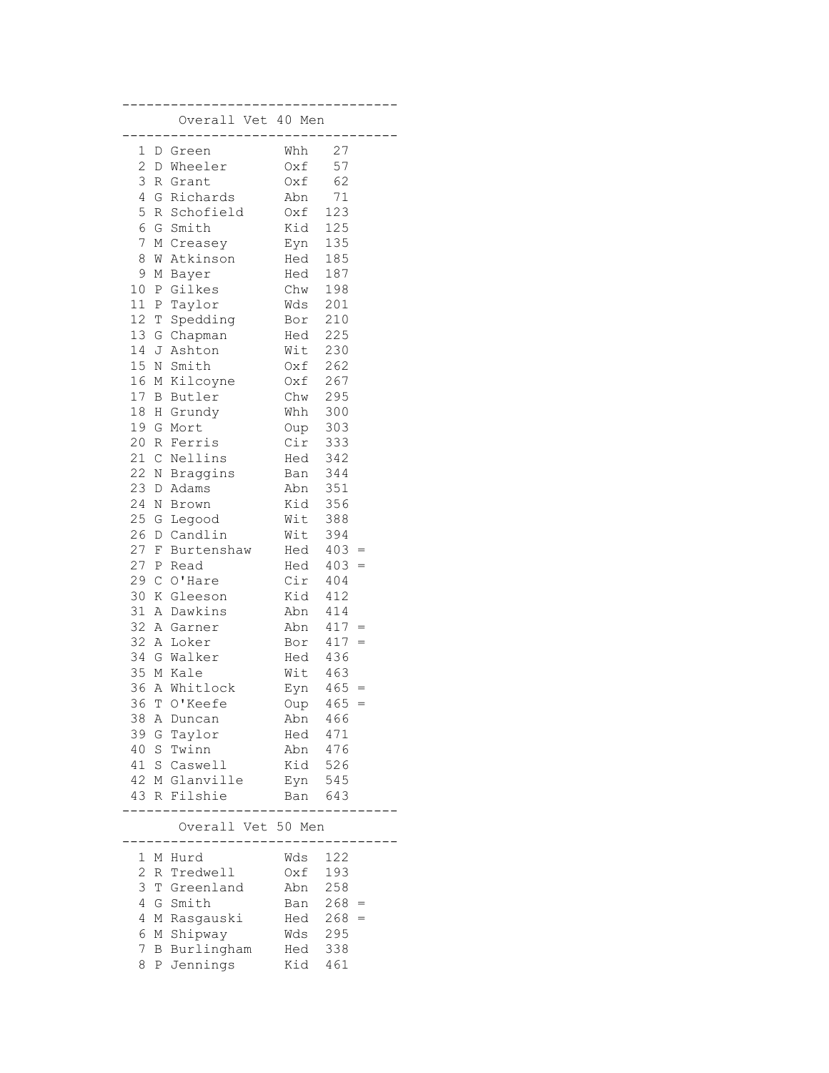|                |              | Overall Vet 40 Men  | . _ _ _ _ _ _ _ . |            |            |
|----------------|--------------|---------------------|-------------------|------------|------------|
| 1              |              | D Green             | Whh               | 27         |            |
|                |              | 2 D Wheeler         | Oxf               | 57         |            |
| 3              |              | R Grant             | Oxf               | 62         |            |
| 4              |              | G Richards          | Abn               | 71         |            |
| 5              |              | R Schofield         | Oxf<br>Kid<br>Eyn | 123        |            |
| 6              |              | G Smith             |                   | 125        |            |
| 7              |              | M Creasey           |                   | 135        |            |
| 8              | M            | Atkinson            | Hed               | 185        |            |
| 9              | М            | Bayer               | Hed               | 187        |            |
| $10$           | $\mathbb{P}$ | Gilkes              | Chw               | 198        |            |
|                |              | 11 P Taylor         | Wds               | 201        |            |
| 12 T           |              | Spedding            | Bor               | 210        |            |
|                |              | 13 G Chapman        | Hed               | 225        |            |
| 14 J           |              | Ashton              | Wit               | 230        |            |
|                |              | 15 N Smith          | Oxf               | 262        |            |
|                |              | 16 M Kilcoyne       | 0xf               | 267        |            |
| 17 B           |              | Butler              | Chw               | 295        |            |
|                |              | 18 H Grundy         | Whh               | 300        |            |
| 19 G           |              | Mort                | Oup               | 303        |            |
|                |              | 20 R Ferris         | Cir               | 333        |            |
| 21 C           |              | Nellins             | Hed               | 342        |            |
|                |              | 22 N Braggins       | Ban               | 344        |            |
| 23 D           |              | Adams<br>24 N Brown | Abn<br>Kid        | 351        |            |
|                |              | 25 G Legood         | Wit               | 356<br>388 |            |
| 26             |              | D Candlin           | Wit               | 394        |            |
| 27 F           |              | Burtenshaw          | Hed               | 403        |            |
| $27$ P         |              | Read                | Hed               | 403        | $=$<br>$=$ |
| 29 C           |              | O'Hare              | Cir               | 404        |            |
| 30             | K            | Gleeson             | Kid               | 412        |            |
| 31 A           |              | Dawkins             | Abn               | 414        |            |
|                |              | 32 A Garner         | Abn               | $417 =$    |            |
| 32 A           |              | Loker               | Bor               | $417 =$    |            |
|                |              | 34 G Walker         | Hed 436           |            |            |
|                |              | 35 M Kale           | Wit 463           |            |            |
|                |              | 36 A Whitlock       | Eyn 465           |            | $=$        |
| 36             |              | T O'Keefe           | Oup               | $465 =$    |            |
| 38             | Α            | Duncan              | Abn               | 466        |            |
| 39             | G            | Taylor              | Hed               | 471        |            |
| 40             |              | S Twinn             | Abn               | 476        |            |
| 41             |              | S Caswell           | Kid               | 526        |            |
| 42             |              | M Glanville         | Eyn               | 545        |            |
| 43             | R            | Filshie             | Ban               | 643        |            |
|                |              |                     |                   |            |            |
|                |              | Overall Vet 50 Men  |                   |            |            |
| 1              | Μ            | Hurd                | Wds               | 122        |            |
| $\overline{c}$ | R            | Tredwell            | Oxf               | 193        |            |
| 3              | T            | Greenland           | Abn               | 258        |            |
| 4              | G            | Smith               | Ban               | $268 =$    |            |
| 4              | М            | Rasgauski           | Hed               | 268        | $=$        |
| 6              | М            | Shipway             | Wds               | 295        |            |
| 7              | В            | Burlingham          | Hed               | 338        |            |
| 8              | Ρ            | Jennings            | Kid               | 461        |            |